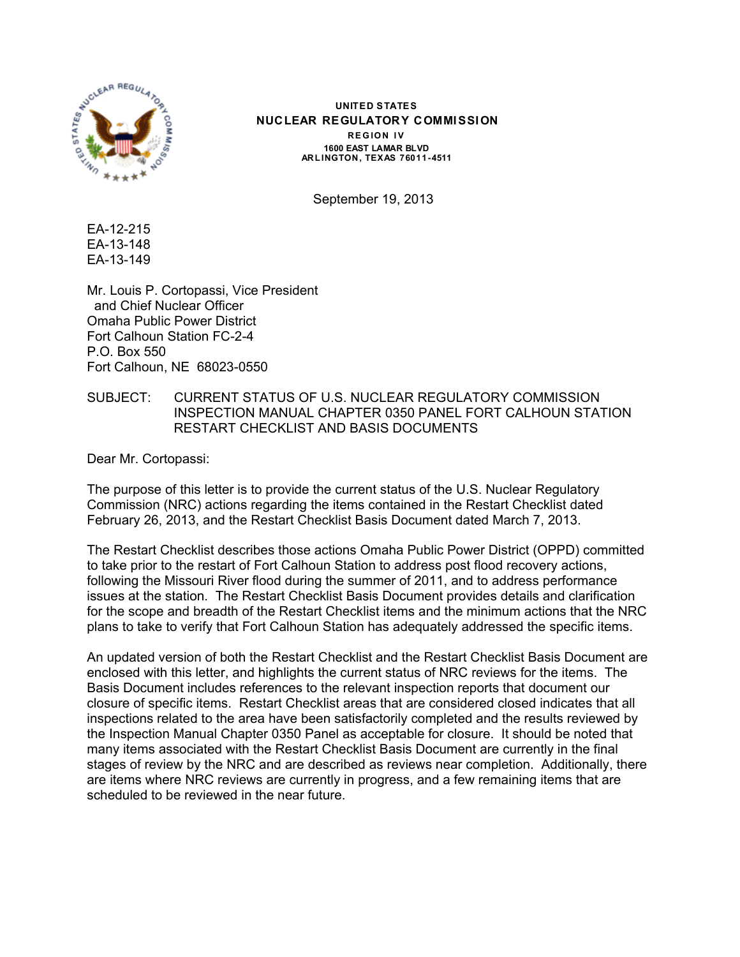

**UNITED STATES NUCLEAR REGULATORY COMMI SSI ON REGION IV 1600 EAST LAMAR BLVD ARL INGTON, TEXAS 76011-4511**

September 19, 2013

EA-12-215 EA-13-148 EA-13-149

Mr. Louis P. Cortopassi, Vice President and Chief Nuclear Officer Omaha Public Power District Fort Calhoun Station FC-2-4 P.O. Box 550 Fort Calhoun, NE 68023-0550

#### SUBJECT: CURRENT STATUS OF U.S. NUCLEAR REGULATORY COMMISSION INSPECTION MANUAL CHAPTER 0350 PANEL FORT CALHOUN STATION RESTART CHECKLIST AND BASIS DOCUMENTS

Dear Mr. Cortopassi:

The purpose of this letter is to provide the current status of the U.S. Nuclear Regulatory Commission (NRC) actions regarding the items contained in the Restart Checklist dated February 26, 2013, and the Restart Checklist Basis Document dated March 7, 2013.

The Restart Checklist describes those actions Omaha Public Power District (OPPD) committed to take prior to the restart of Fort Calhoun Station to address post flood recovery actions, following the Missouri River flood during the summer of 2011, and to address performance issues at the station. The Restart Checklist Basis Document provides details and clarification for the scope and breadth of the Restart Checklist items and the minimum actions that the NRC plans to take to verify that Fort Calhoun Station has adequately addressed the specific items.

An updated version of both the Restart Checklist and the Restart Checklist Basis Document are enclosed with this letter, and highlights the current status of NRC reviews for the items. The Basis Document includes references to the relevant inspection reports that document our closure of specific items. Restart Checklist areas that are considered closed indicates that all inspections related to the area have been satisfactorily completed and the results reviewed by the Inspection Manual Chapter 0350 Panel as acceptable for closure. It should be noted that many items associated with the Restart Checklist Basis Document are currently in the final stages of review by the NRC and are described as reviews near completion. Additionally, there are items where NRC reviews are currently in progress, and a few remaining items that are scheduled to be reviewed in the near future.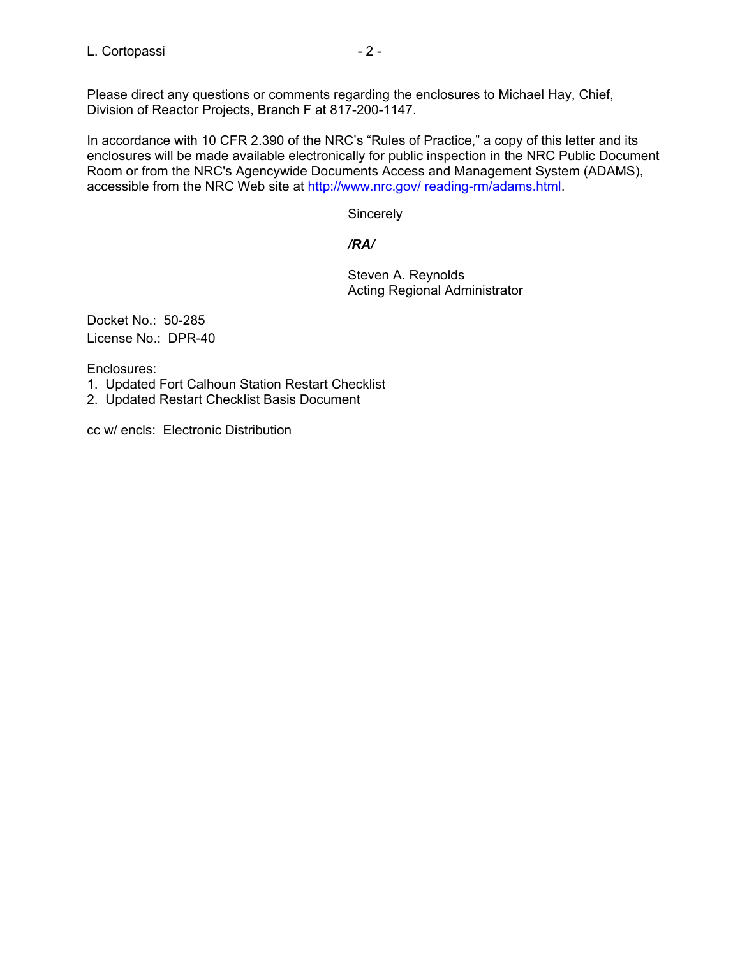Please direct any questions or comments regarding the enclosures to Michael Hay, Chief, Division of Reactor Projects, Branch F at 817-200-1147.

In accordance with 10 CFR 2.390 of the NRC's "Rules of Practice," a copy of this letter and its enclosures will be made available electronically for public inspection in the NRC Public Document Room or from the NRC's Agencywide Documents Access and Management System (ADAMS), accessible from the NRC Web site at http://www.nrc.gov/ reading-rm/adams.html.

**Sincerely** 

## */RA/*

Steven A. Reynolds Acting Regional Administrator

Docket No.: 50-285 License No.: DPR-40

Enclosures:

1. Updated Fort Calhoun Station Restart Checklist

2. Updated Restart Checklist Basis Document

cc w/ encls: Electronic Distribution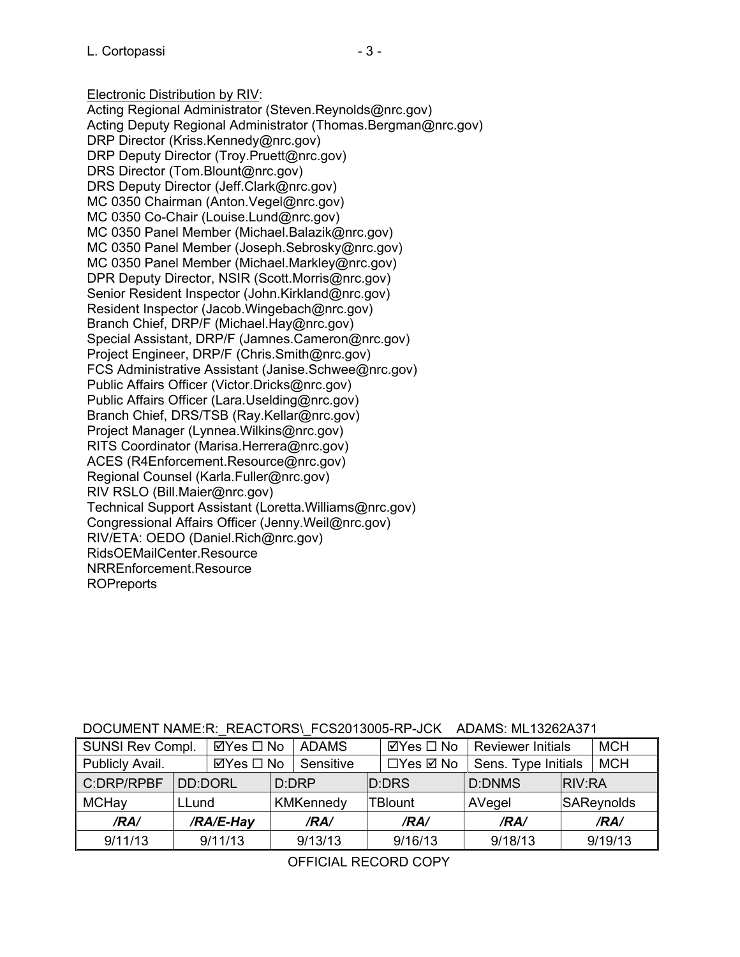Electronic Distribution by RIV: Acting Regional Administrator (Steven.Reynolds@nrc.gov) Acting Deputy Regional Administrator (Thomas.Bergman@nrc.gov) DRP Director (Kriss.Kennedy@nrc.gov) DRP Deputy Director (Troy.Pruett@nrc.gov) DRS Director (Tom.Blount@nrc.gov) DRS Deputy Director (Jeff.Clark@nrc.gov) MC 0350 Chairman (Anton.Vegel@nrc.gov) MC 0350 Co-Chair (Louise.Lund@nrc.gov) MC 0350 Panel Member (Michael.Balazik@nrc.gov) MC 0350 Panel Member (Joseph.Sebrosky@nrc.gov) MC 0350 Panel Member (Michael.Markley@nrc.gov) DPR Deputy Director, NSIR (Scott.Morris@nrc.gov) Senior Resident Inspector (John.Kirkland@nrc.gov) Resident Inspector (Jacob.Wingebach@nrc.gov) Branch Chief, DRP/F (Michael.Hay@nrc.gov) Special Assistant, DRP/F (Jamnes.Cameron@nrc.gov) Project Engineer, DRP/F (Chris.Smith@nrc.gov) FCS Administrative Assistant (Janise.Schwee@nrc.gov) Public Affairs Officer (Victor.Dricks@nrc.gov) Public Affairs Officer (Lara.Uselding@nrc.gov) Branch Chief, DRS/TSB (Ray.Kellar@nrc.gov) Project Manager (Lynnea.Wilkins@nrc.gov) RITS Coordinator (Marisa.Herrera@nrc.gov) ACES (R4Enforcement.Resource@nrc.gov) Regional Counsel (Karla.Fuller@nrc.gov) RIV RSLO (Bill.Maier@nrc.gov) Technical Support Assistant (Loretta.Williams@nrc.gov) Congressional Affairs Officer (Jenny.Weil@nrc.gov) RIV/ETA: OEDO (Daniel.Rich@nrc.gov) RidsOEMailCenter.Resource NRREnforcement.Resource ROPreports

| SUNSI Rev Compl. |                | $\boxtimes$ Yes $\square$ No | <b>ADAMS</b>     | $\boxtimes$ Yes $\square$ No | <b>Reviewer Initials</b> |               | <b>MCH</b> |
|------------------|----------------|------------------------------|------------------|------------------------------|--------------------------|---------------|------------|
| Publicly Avail.  |                | $\boxtimes$ Yes $\square$ No | Sensitive        | $\Box$ Yes $\boxtimes$ No    | Sens. Type Initials      |               | <b>MCH</b> |
| C:DRP/RPBF       | <b>DD:DORL</b> |                              | D:DRP            | D:DRS                        | <b>D:DNMS</b>            | <b>RIV:RA</b> |            |
| <b>MCHay</b>     | LLund          |                              | <b>KMKennedy</b> | TBlount                      | AVegel                   |               | SAReynolds |
| /RA/             |                | /RA/E-Hay                    | /RA/             | /RA/                         | /RA/                     |               | /RA/       |
| 9/11/13          |                | 9/11/13                      | 9/13/13          | 9/16/13                      | 9/18/13                  |               | 9/19/13    |

#### DOCUMENT NAME:R:\_REACTORS\\_FCS2013005-RP-JCK ADAMS: ML13262A371

OFFICIAL RECORD COPY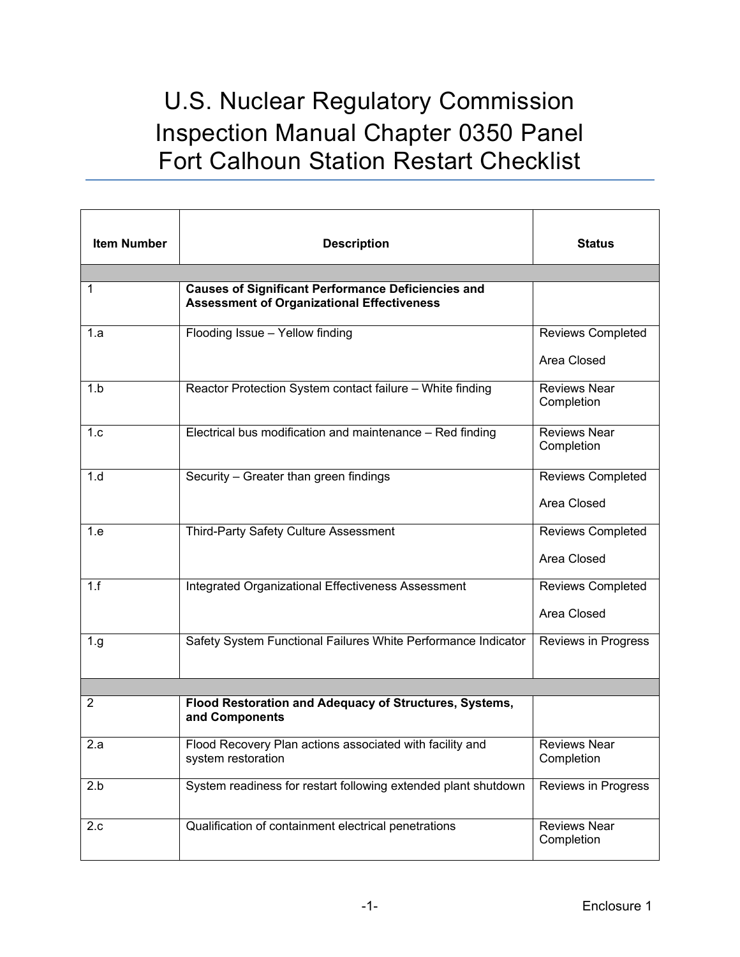# U.S. Nuclear Regulatory Commission Inspection Manual Chapter 0350 Panel Fort Calhoun Station Restart Checklist

| <b>Item Number</b> | <b>Description</b>                                                                                             | <b>Status</b>                     |
|--------------------|----------------------------------------------------------------------------------------------------------------|-----------------------------------|
|                    |                                                                                                                |                                   |
| 1                  | <b>Causes of Significant Performance Deficiencies and</b><br><b>Assessment of Organizational Effectiveness</b> |                                   |
| 1.a                | Flooding Issue - Yellow finding                                                                                | <b>Reviews Completed</b>          |
|                    |                                                                                                                | Area Closed                       |
| 1.b                | Reactor Protection System contact failure - White finding                                                      | <b>Reviews Near</b><br>Completion |
| 1.c                | Electrical bus modification and maintenance - Red finding                                                      | <b>Reviews Near</b><br>Completion |
| 1.d                | Security - Greater than green findings                                                                         | <b>Reviews Completed</b>          |
|                    |                                                                                                                | Area Closed                       |
| 1.e                | Third-Party Safety Culture Assessment                                                                          | <b>Reviews Completed</b>          |
|                    |                                                                                                                | Area Closed                       |
| 1.f                | Integrated Organizational Effectiveness Assessment                                                             | <b>Reviews Completed</b>          |
|                    |                                                                                                                | Area Closed                       |
| 1.g                | Safety System Functional Failures White Performance Indicator                                                  | Reviews in Progress               |
|                    |                                                                                                                |                                   |
|                    |                                                                                                                |                                   |
| 2                  | Flood Restoration and Adequacy of Structures, Systems,<br>and Components                                       |                                   |
| 2.a                | Flood Recovery Plan actions associated with facility and<br>system restoration                                 | <b>Reviews Near</b><br>Completion |
| 2.b                | System readiness for restart following extended plant shutdown                                                 | Reviews in Progress               |
| 2.c                | Qualification of containment electrical penetrations                                                           | <b>Reviews Near</b><br>Completion |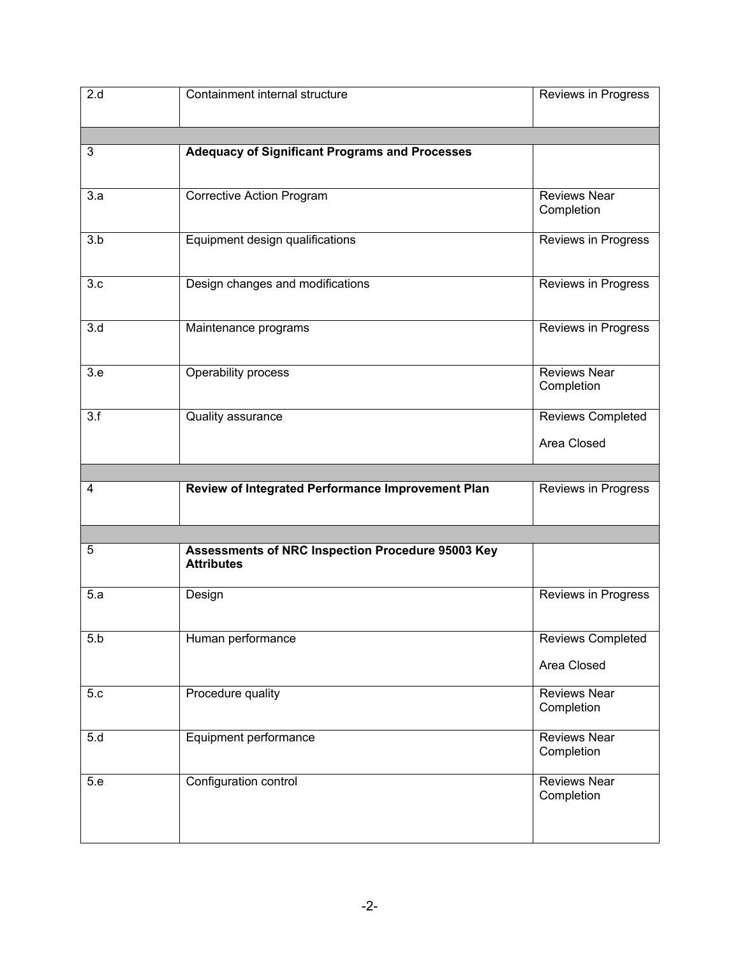| 2.d | Containment internal structure                                         | Reviews in Progress                     |
|-----|------------------------------------------------------------------------|-----------------------------------------|
|     |                                                                        |                                         |
| 3   | <b>Adequacy of Significant Programs and Processes</b>                  |                                         |
| 3.a | <b>Corrective Action Program</b>                                       | <b>Reviews Near</b><br>Completion       |
| 3.b | Equipment design qualifications                                        | Reviews in Progress                     |
| 3.c | Design changes and modifications                                       | Reviews in Progress                     |
| 3.d | Maintenance programs                                                   | Reviews in Progress                     |
| 3.e | Operability process                                                    | <b>Reviews Near</b><br>Completion       |
| 3.f | Quality assurance                                                      | Reviews Completed<br>Area Closed        |
|     |                                                                        |                                         |
| 4   | Review of Integrated Performance Improvement Plan                      | Reviews in Progress                     |
|     |                                                                        |                                         |
| 5   | Assessments of NRC Inspection Procedure 95003 Key<br><b>Attributes</b> |                                         |
| 5.a | Design                                                                 | Reviews in Progress                     |
| 5.b | Human performance                                                      | <b>Reviews Completed</b><br>Area Closed |
| 5.c | Procedure quality                                                      | <b>Reviews Near</b><br>Completion       |
| 5.d | Equipment performance                                                  | <b>Reviews Near</b><br>Completion       |
| 5.e | Configuration control                                                  | <b>Reviews Near</b><br>Completion       |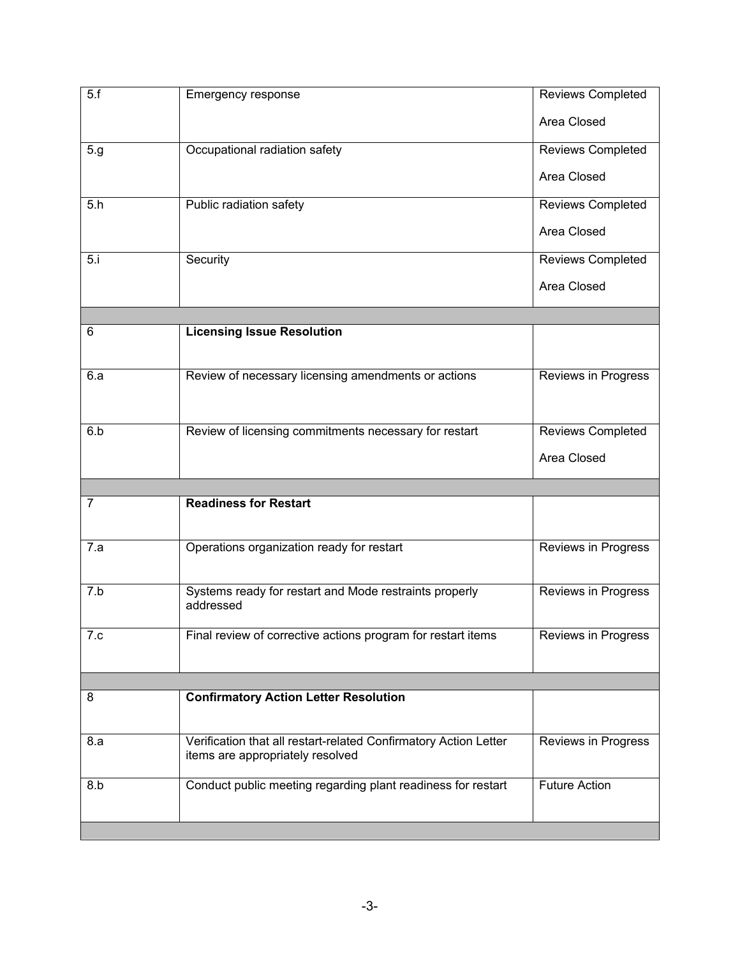| 5.f            | Emergency response                                                                                   | Reviews Completed        |
|----------------|------------------------------------------------------------------------------------------------------|--------------------------|
|                |                                                                                                      | Area Closed              |
| 5.g            | Occupational radiation safety                                                                        | <b>Reviews Completed</b> |
|                |                                                                                                      | Area Closed              |
| 5.h            | Public radiation safety                                                                              | <b>Reviews Completed</b> |
|                |                                                                                                      | Area Closed              |
| 5.i            | Security                                                                                             | <b>Reviews Completed</b> |
|                |                                                                                                      | Area Closed              |
|                |                                                                                                      |                          |
| 6              | <b>Licensing Issue Resolution</b>                                                                    |                          |
| 6.a            | Review of necessary licensing amendments or actions                                                  | Reviews in Progress      |
|                |                                                                                                      |                          |
| 6.b            | Review of licensing commitments necessary for restart                                                | <b>Reviews Completed</b> |
|                |                                                                                                      | Area Closed              |
|                |                                                                                                      |                          |
| $\overline{7}$ | <b>Readiness for Restart</b>                                                                         |                          |
| 7.a            | Operations organization ready for restart                                                            | Reviews in Progress      |
| 7.b            | Systems ready for restart and Mode restraints properly<br>addressed                                  | Reviews in Progress      |
| 7.c            | Final review of corrective actions program for restart items                                         | Reviews in Progress      |
|                |                                                                                                      |                          |
| 8              | <b>Confirmatory Action Letter Resolution</b>                                                         |                          |
|                |                                                                                                      |                          |
| 8.a            | Verification that all restart-related Confirmatory Action Letter<br>items are appropriately resolved | Reviews in Progress      |
| 8.b            | Conduct public meeting regarding plant readiness for restart                                         | <b>Future Action</b>     |
|                |                                                                                                      |                          |
|                |                                                                                                      |                          |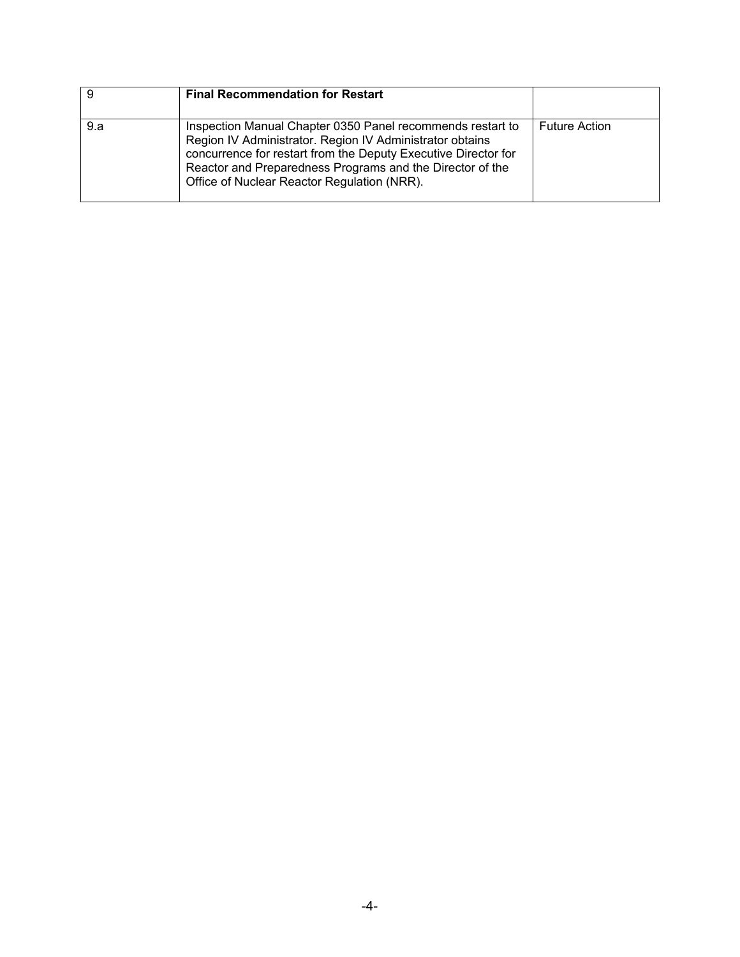|     | <b>Final Recommendation for Restart</b>                                                                                                                                                                                                                                                              |                      |
|-----|------------------------------------------------------------------------------------------------------------------------------------------------------------------------------------------------------------------------------------------------------------------------------------------------------|----------------------|
| 9.a | Inspection Manual Chapter 0350 Panel recommends restart to<br>Region IV Administrator. Region IV Administrator obtains<br>concurrence for restart from the Deputy Executive Director for<br>Reactor and Preparedness Programs and the Director of the<br>Office of Nuclear Reactor Regulation (NRR). | <b>Future Action</b> |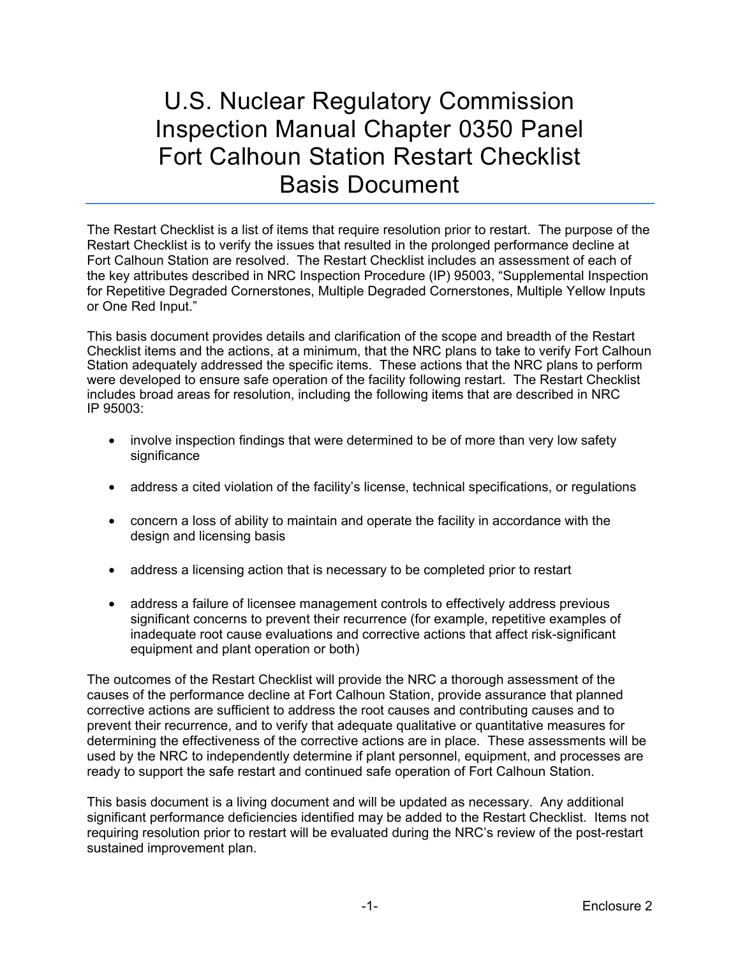## U.S. Nuclear Regulatory Commission Inspection Manual Chapter 0350 Panel Fort Calhoun Station Restart Checklist Basis Document

The Restart Checklist is a list of items that require resolution prior to restart. The purpose of the Restart Checklist is to verify the issues that resulted in the prolonged performance decline at Fort Calhoun Station are resolved. The Restart Checklist includes an assessment of each of the key attributes described in NRC Inspection Procedure (IP) 95003, "Supplemental Inspection for Repetitive Degraded Cornerstones, Multiple Degraded Cornerstones, Multiple Yellow Inputs or One Red Input."

This basis document provides details and clarification of the scope and breadth of the Restart Checklist items and the actions, at a minimum, that the NRC plans to take to verify Fort Calhoun Station adequately addressed the specific items. These actions that the NRC plans to perform were developed to ensure safe operation of the facility following restart. The Restart Checklist includes broad areas for resolution, including the following items that are described in NRC IP 95003:

- involve inspection findings that were determined to be of more than very low safety significance
- address a cited violation of the facility's license, technical specifications, or regulations
- concern a loss of ability to maintain and operate the facility in accordance with the design and licensing basis
- address a licensing action that is necessary to be completed prior to restart
- address a failure of licensee management controls to effectively address previous significant concerns to prevent their recurrence (for example, repetitive examples of inadequate root cause evaluations and corrective actions that affect risk-significant equipment and plant operation or both)

The outcomes of the Restart Checklist will provide the NRC a thorough assessment of the causes of the performance decline at Fort Calhoun Station, provide assurance that planned corrective actions are sufficient to address the root causes and contributing causes and to prevent their recurrence, and to verify that adequate qualitative or quantitative measures for determining the effectiveness of the corrective actions are in place. These assessments will be used by the NRC to independently determine if plant personnel, equipment, and processes are ready to support the safe restart and continued safe operation of Fort Calhoun Station.

This basis document is a living document and will be updated as necessary. Any additional significant performance deficiencies identified may be added to the Restart Checklist. Items not requiring resolution prior to restart will be evaluated during the NRC's review of the post-restart sustained improvement plan.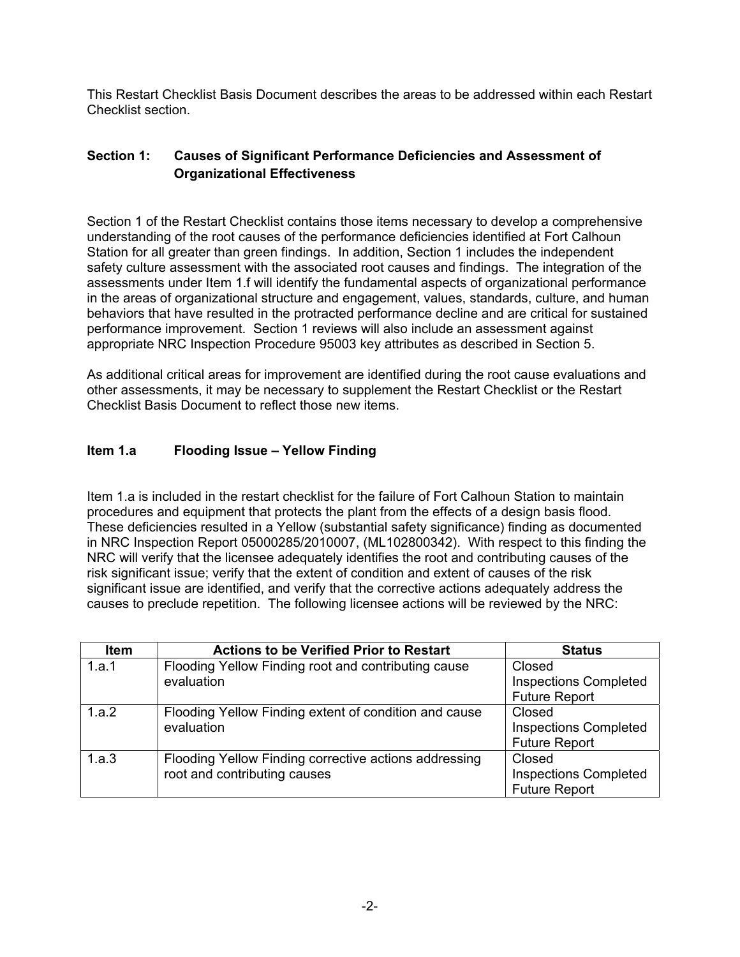This Restart Checklist Basis Document describes the areas to be addressed within each Restart Checklist section.

## **Section 1: Causes of Significant Performance Deficiencies and Assessment of Organizational Effectiveness**

Section 1 of the Restart Checklist contains those items necessary to develop a comprehensive understanding of the root causes of the performance deficiencies identified at Fort Calhoun Station for all greater than green findings. In addition, Section 1 includes the independent safety culture assessment with the associated root causes and findings. The integration of the assessments under Item 1.f will identify the fundamental aspects of organizational performance in the areas of organizational structure and engagement, values, standards, culture, and human behaviors that have resulted in the protracted performance decline and are critical for sustained performance improvement. Section 1 reviews will also include an assessment against appropriate NRC Inspection Procedure 95003 key attributes as described in Section 5.

As additional critical areas for improvement are identified during the root cause evaluations and other assessments, it may be necessary to supplement the Restart Checklist or the Restart Checklist Basis Document to reflect those new items.

## **Item 1.a Flooding Issue – Yellow Finding**

Item 1.a is included in the restart checklist for the failure of Fort Calhoun Station to maintain procedures and equipment that protects the plant from the effects of a design basis flood. These deficiencies resulted in a Yellow (substantial safety significance) finding as documented in NRC Inspection Report 05000285/2010007, (ML102800342). With respect to this finding the NRC will verify that the licensee adequately identifies the root and contributing causes of the risk significant issue; verify that the extent of condition and extent of causes of the risk significant issue are identified, and verify that the corrective actions adequately address the causes to preclude repetition. The following licensee actions will be reviewed by the NRC:

| <b>Item</b> | <b>Actions to be Verified Prior to Restart</b>        | <b>Status</b>                |
|-------------|-------------------------------------------------------|------------------------------|
| 1.a.1       | Flooding Yellow Finding root and contributing cause   | Closed                       |
|             | evaluation                                            | <b>Inspections Completed</b> |
|             |                                                       | <b>Future Report</b>         |
| 1.a.2       | Flooding Yellow Finding extent of condition and cause | Closed                       |
|             | evaluation                                            | <b>Inspections Completed</b> |
|             |                                                       | <b>Future Report</b>         |
| 1.a.3       | Flooding Yellow Finding corrective actions addressing | Closed                       |
|             | root and contributing causes                          | <b>Inspections Completed</b> |
|             |                                                       | <b>Future Report</b>         |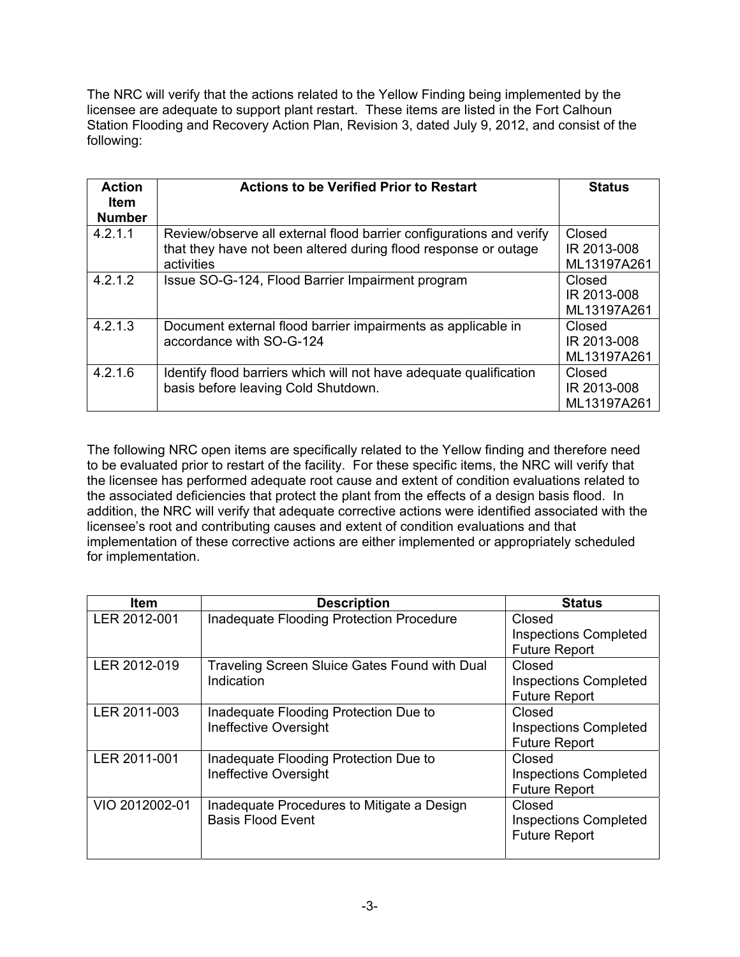The NRC will verify that the actions related to the Yellow Finding being implemented by the licensee are adequate to support plant restart. These items are listed in the Fort Calhoun Station Flooding and Recovery Action Plan, Revision 3, dated July 9, 2012, and consist of the following:

| <b>Action</b><br><b>Item</b> | <b>Actions to be Verified Prior to Restart</b>                      | <b>Status</b> |
|------------------------------|---------------------------------------------------------------------|---------------|
| <b>Number</b>                |                                                                     |               |
| 4.2.1.1                      | Review/observe all external flood barrier configurations and verify | Closed        |
|                              | that they have not been altered during flood response or outage     | IR 2013-008   |
|                              | activities                                                          | ML13197A261   |
| 4.2.1.2                      | Issue SO-G-124, Flood Barrier Impairment program                    | Closed        |
|                              |                                                                     | IR 2013-008   |
|                              |                                                                     | ML13197A261   |
| 4.2.1.3                      | Document external flood barrier impairments as applicable in        | Closed        |
|                              | accordance with SO-G-124                                            | IR 2013-008   |
|                              |                                                                     | ML13197A261   |
| 4.2.1.6                      | Identify flood barriers which will not have adequate qualification  | Closed        |
|                              | basis before leaving Cold Shutdown.                                 | IR 2013-008   |
|                              |                                                                     | ML13197A261   |

The following NRC open items are specifically related to the Yellow finding and therefore need to be evaluated prior to restart of the facility. For these specific items, the NRC will verify that the licensee has performed adequate root cause and extent of condition evaluations related to the associated deficiencies that protect the plant from the effects of a design basis flood. In addition, the NRC will verify that adequate corrective actions were identified associated with the licensee's root and contributing causes and extent of condition evaluations and that implementation of these corrective actions are either implemented or appropriately scheduled for implementation.

| <b>Item</b>    | <b>Description</b>                            | <b>Status</b>                |
|----------------|-----------------------------------------------|------------------------------|
| LER 2012-001   | Inadequate Flooding Protection Procedure      | Closed                       |
|                |                                               | <b>Inspections Completed</b> |
|                |                                               | <b>Future Report</b>         |
| LER 2012-019   | Traveling Screen Sluice Gates Found with Dual | Closed                       |
|                | Indication                                    | <b>Inspections Completed</b> |
|                |                                               | <b>Future Report</b>         |
| LER 2011-003   | Inadequate Flooding Protection Due to         | Closed                       |
|                | Ineffective Oversight                         | <b>Inspections Completed</b> |
|                |                                               | <b>Future Report</b>         |
| LER 2011-001   | Inadequate Flooding Protection Due to         | Closed                       |
|                | Ineffective Oversight                         | <b>Inspections Completed</b> |
|                |                                               | <b>Future Report</b>         |
| VIO 2012002-01 | Inadequate Procedures to Mitigate a Design    | Closed                       |
|                | <b>Basis Flood Event</b>                      | <b>Inspections Completed</b> |
|                |                                               | <b>Future Report</b>         |
|                |                                               |                              |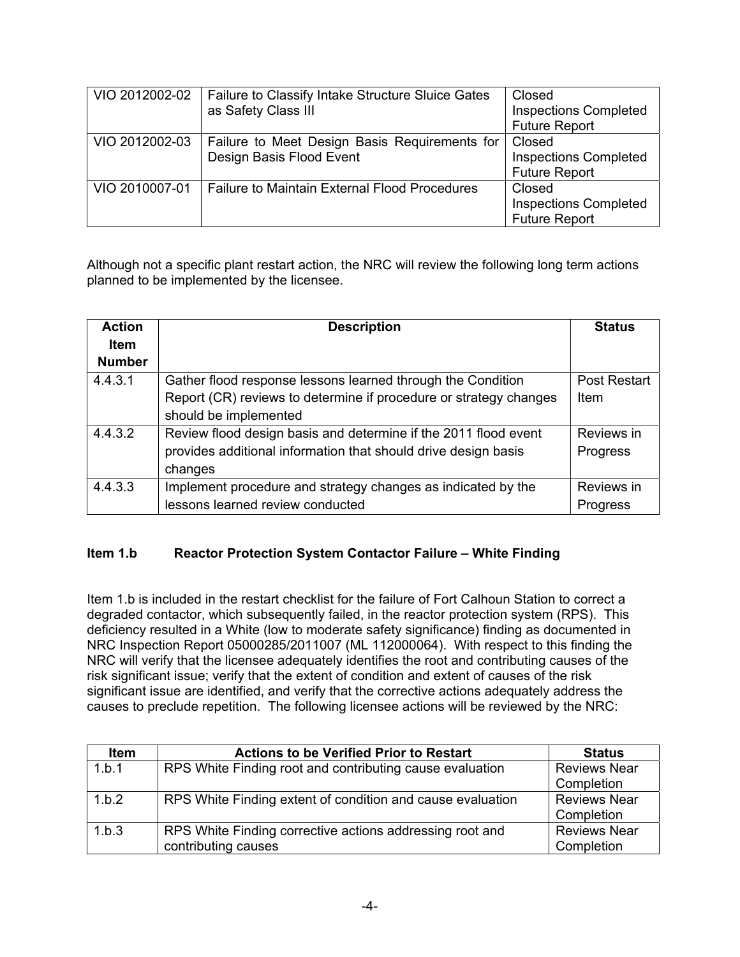| VIO 2012002-02 | Failure to Classify Intake Structure Sluice Gates<br>as Safety Class III  | Closed<br><b>Inspections Completed</b><br><b>Future Report</b> |
|----------------|---------------------------------------------------------------------------|----------------------------------------------------------------|
| VIO 2012002-03 | Failure to Meet Design Basis Requirements for<br>Design Basis Flood Event | Closed<br><b>Inspections Completed</b><br><b>Future Report</b> |
| VIO 2010007-01 | <b>Failure to Maintain External Flood Procedures</b>                      | Closed<br><b>Inspections Completed</b><br><b>Future Report</b> |

Although not a specific plant restart action, the NRC will review the following long term actions planned to be implemented by the licensee.

| <b>Action</b><br><b>Item</b><br><b>Number</b> | <b>Description</b>                                                | <b>Status</b>   |
|-----------------------------------------------|-------------------------------------------------------------------|-----------------|
| 4.4.3.1                                       | Gather flood response lessons learned through the Condition       | Post Restart    |
|                                               | Report (CR) reviews to determine if procedure or strategy changes | Item            |
|                                               | should be implemented                                             |                 |
| 4.4.3.2                                       | Review flood design basis and determine if the 2011 flood event   | Reviews in      |
|                                               | provides additional information that should drive design basis    | Progress        |
|                                               | changes                                                           |                 |
| 4.4.3.3                                       | Implement procedure and strategy changes as indicated by the      | Reviews in      |
|                                               | lessons learned review conducted                                  | <b>Progress</b> |

## **Item 1.b Reactor Protection System Contactor Failure – White Finding**

Item 1.b is included in the restart checklist for the failure of Fort Calhoun Station to correct a degraded contactor, which subsequently failed, in the reactor protection system (RPS). This deficiency resulted in a White (low to moderate safety significance) finding as documented in NRC Inspection Report 05000285/2011007 (ML 112000064). With respect to this finding the NRC will verify that the licensee adequately identifies the root and contributing causes of the risk significant issue; verify that the extent of condition and extent of causes of the risk significant issue are identified, and verify that the corrective actions adequately address the causes to preclude repetition. The following licensee actions will be reviewed by the NRC:

| <b>Item</b> | <b>Actions to be Verified Prior to Restart</b>                                  | <b>Status</b>                     |
|-------------|---------------------------------------------------------------------------------|-----------------------------------|
| 1.b.1       | RPS White Finding root and contributing cause evaluation                        | <b>Reviews Near</b><br>Completion |
| 1.b.2       | RPS White Finding extent of condition and cause evaluation                      | <b>Reviews Near</b><br>Completion |
| 1.b.3       | RPS White Finding corrective actions addressing root and<br>contributing causes | <b>Reviews Near</b><br>Completion |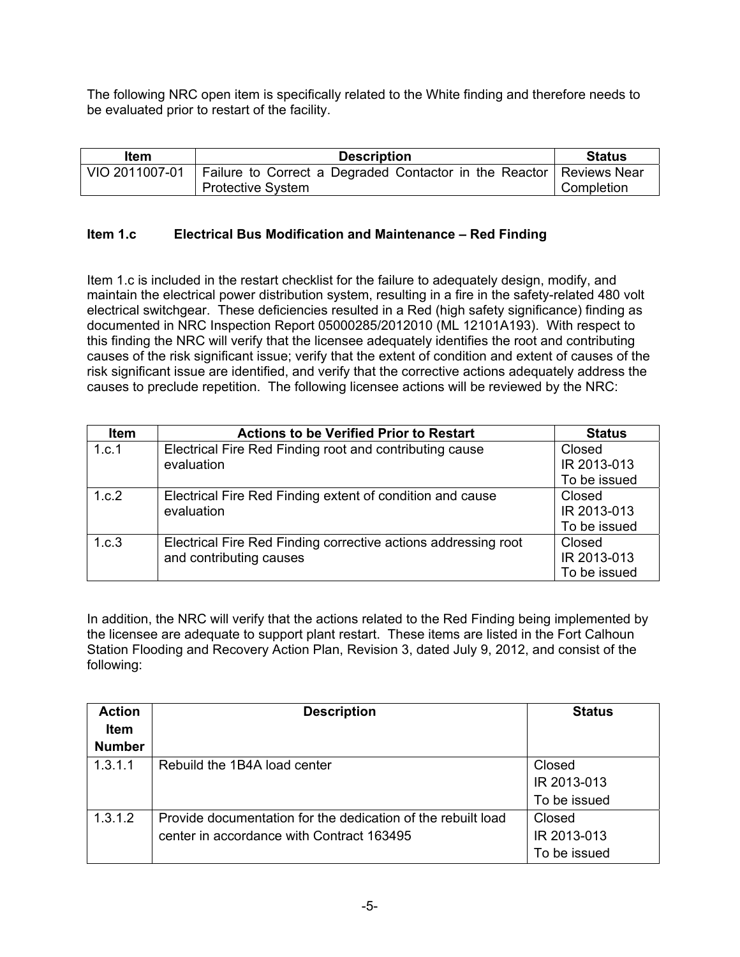The following NRC open item is specifically related to the White finding and therefore needs to be evaluated prior to restart of the facility.

| ltem | <b>Description</b>                                                                                                 | <b>Status</b> |
|------|--------------------------------------------------------------------------------------------------------------------|---------------|
|      | VIO 2011007-01   Failure to Correct a Degraded Contactor in the Reactor   Reviews Near<br><b>Protective System</b> | Completion    |

## **Item 1.c Electrical Bus Modification and Maintenance – Red Finding**

Item 1.c is included in the restart checklist for the failure to adequately design, modify, and maintain the electrical power distribution system, resulting in a fire in the safety-related 480 volt electrical switchgear. These deficiencies resulted in a Red (high safety significance) finding as documented in NRC Inspection Report 05000285/2012010 (ML 12101A193). With respect to this finding the NRC will verify that the licensee adequately identifies the root and contributing causes of the risk significant issue; verify that the extent of condition and extent of causes of the risk significant issue are identified, and verify that the corrective actions adequately address the causes to preclude repetition. The following licensee actions will be reviewed by the NRC:

| <b>Item</b> | <b>Actions to be Verified Prior to Restart</b>                 | <b>Status</b> |
|-------------|----------------------------------------------------------------|---------------|
| 1.c.1       | Electrical Fire Red Finding root and contributing cause        | Closed        |
|             | evaluation                                                     | IR 2013-013   |
|             |                                                                | To be issued  |
| 1.c.2       | Electrical Fire Red Finding extent of condition and cause      | Closed        |
|             | evaluation                                                     | IR 2013-013   |
|             |                                                                | To be issued  |
| 1.c.3       | Electrical Fire Red Finding corrective actions addressing root | Closed        |
|             | and contributing causes                                        | IR 2013-013   |
|             |                                                                | To be issued  |

In addition, the NRC will verify that the actions related to the Red Finding being implemented by the licensee are adequate to support plant restart. These items are listed in the Fort Calhoun Station Flooding and Recovery Action Plan, Revision 3, dated July 9, 2012, and consist of the following:

| <b>Action</b><br><b>Item</b><br><b>Number</b> | <b>Description</b>                                                                                        | <b>Status</b>                         |
|-----------------------------------------------|-----------------------------------------------------------------------------------------------------------|---------------------------------------|
| 1.3.1.1                                       | Rebuild the 1B4A load center                                                                              | Closed<br>IR 2013-013<br>To be issued |
| 1.3.1.2                                       | Provide documentation for the dedication of the rebuilt load<br>center in accordance with Contract 163495 | Closed<br>IR 2013-013<br>To be issued |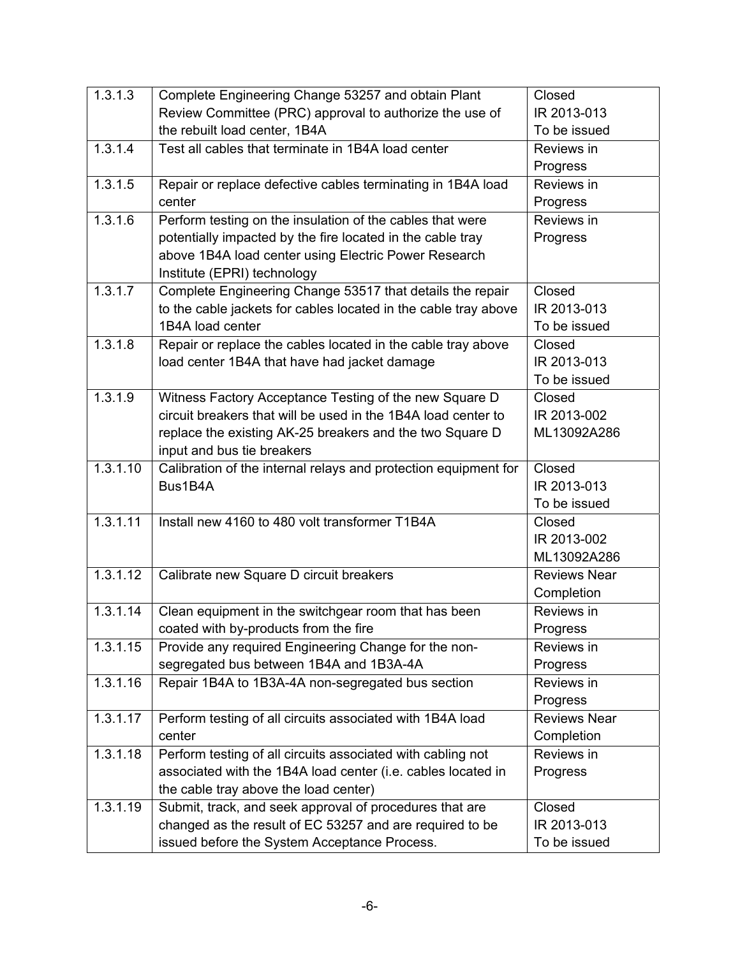| 1.3.1.3              | Complete Engineering Change 53257 and obtain Plant              | Closed              |
|----------------------|-----------------------------------------------------------------|---------------------|
|                      | Review Committee (PRC) approval to authorize the use of         | IR 2013-013         |
|                      | the rebuilt load center, 1B4A                                   | To be issued        |
| 1.3.1.4              | Test all cables that terminate in 1B4A load center              | Reviews in          |
|                      |                                                                 | Progress            |
| 1.3.1.5              | Repair or replace defective cables terminating in 1B4A load     | Reviews in          |
|                      | center                                                          | Progress            |
| 1.3.1.6              | Perform testing on the insulation of the cables that were       | Reviews in          |
|                      | potentially impacted by the fire located in the cable tray      | Progress            |
|                      | above 1B4A load center using Electric Power Research            |                     |
|                      | Institute (EPRI) technology                                     |                     |
| 1.3.1.7              | Complete Engineering Change 53517 that details the repair       | Closed              |
|                      | to the cable jackets for cables located in the cable tray above | IR 2013-013         |
|                      | 1B4A load center                                                | To be issued        |
| $\overline{1.3.1.8}$ | Repair or replace the cables located in the cable tray above    | Closed              |
|                      | load center 1B4A that have had jacket damage                    | IR 2013-013         |
|                      |                                                                 | To be issued        |
| 1.3.1.9              | Witness Factory Acceptance Testing of the new Square D          | Closed              |
|                      | circuit breakers that will be used in the 1B4A load center to   | IR 2013-002         |
|                      | replace the existing AK-25 breakers and the two Square D        | ML13092A286         |
|                      | input and bus tie breakers                                      |                     |
| 1.3.1.10             | Calibration of the internal relays and protection equipment for | Closed              |
|                      | Bus1B4A                                                         | IR 2013-013         |
|                      |                                                                 | To be issued        |
| 1.3.1.11             | Install new 4160 to 480 volt transformer T1B4A                  | Closed              |
|                      |                                                                 | IR 2013-002         |
|                      |                                                                 | ML13092A286         |
| 1.3.1.12             | Calibrate new Square D circuit breakers                         | <b>Reviews Near</b> |
|                      |                                                                 | Completion          |
| 1.3.1.14             | Clean equipment in the switchgear room that has been            | Reviews in          |
|                      | coated with by-products from the fire                           | Progress            |
| 1.3.1.15             | Provide any required Engineering Change for the non-            | Reviews in          |
|                      | segregated bus between 1B4A and 1B3A-4A                         | Progress            |
| 1.3.1.16             | Repair 1B4A to 1B3A-4A non-segregated bus section               | Reviews in          |
|                      |                                                                 | Progress            |
| 1.3.1.17             | Perform testing of all circuits associated with 1B4A load       | <b>Reviews Near</b> |
|                      | center                                                          | Completion          |
| 1.3.1.18             | Perform testing of all circuits associated with cabling not     | Reviews in          |
|                      | associated with the 1B4A load center (i.e. cables located in    | Progress            |
|                      | the cable tray above the load center)                           |                     |
| 1.3.1.19             | Submit, track, and seek approval of procedures that are         | Closed              |
|                      | changed as the result of EC 53257 and are required to be        | IR 2013-013         |
|                      | issued before the System Acceptance Process.                    | To be issued        |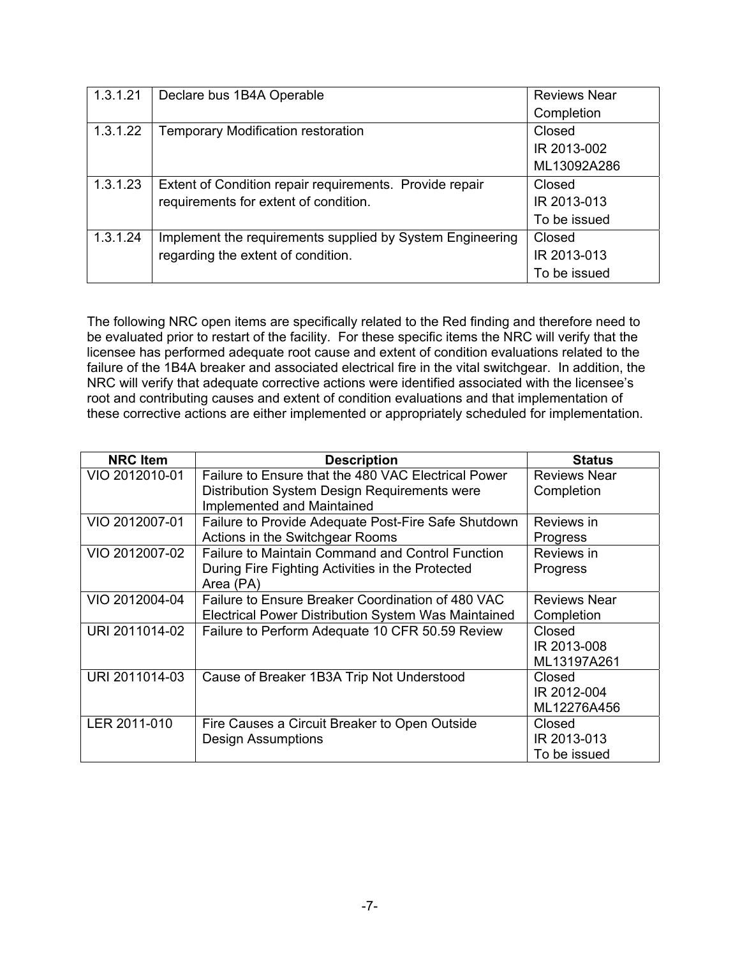| 1.3.1.21 | Declare bus 1B4A Operable                                 | <b>Reviews Near</b> |
|----------|-----------------------------------------------------------|---------------------|
|          |                                                           | Completion          |
| 1.3.1.22 | <b>Temporary Modification restoration</b>                 | Closed              |
|          |                                                           | IR 2013-002         |
|          |                                                           | ML13092A286         |
| 1.3.1.23 | Extent of Condition repair requirements. Provide repair   | Closed              |
|          | requirements for extent of condition.                     | IR 2013-013         |
|          |                                                           | To be issued        |
| 1.3.1.24 | Implement the requirements supplied by System Engineering | Closed              |
|          | regarding the extent of condition.                        | IR 2013-013         |
|          |                                                           | To be issued        |

The following NRC open items are specifically related to the Red finding and therefore need to be evaluated prior to restart of the facility. For these specific items the NRC will verify that the licensee has performed adequate root cause and extent of condition evaluations related to the failure of the 1B4A breaker and associated electrical fire in the vital switchgear. In addition, the NRC will verify that adequate corrective actions were identified associated with the licensee's root and contributing causes and extent of condition evaluations and that implementation of these corrective actions are either implemented or appropriately scheduled for implementation.

| <b>NRC</b> Item | <b>Description</b>                                      | <b>Status</b>       |
|-----------------|---------------------------------------------------------|---------------------|
| VIO 2012010-01  | Failure to Ensure that the 480 VAC Electrical Power     | <b>Reviews Near</b> |
|                 | Distribution System Design Requirements were            | Completion          |
|                 | Implemented and Maintained                              |                     |
| VIO 2012007-01  | Failure to Provide Adequate Post-Fire Safe Shutdown     | Reviews in          |
|                 | Actions in the Switchgear Rooms                         | <b>Progress</b>     |
| VIO 2012007-02  | <b>Failure to Maintain Command and Control Function</b> | Reviews in          |
|                 | During Fire Fighting Activities in the Protected        | Progress            |
|                 | Area (PA)                                               |                     |
| VIO 2012004-04  | Failure to Ensure Breaker Coordination of 480 VAC       | <b>Reviews Near</b> |
|                 | Electrical Power Distribution System Was Maintained     | Completion          |
| URI 2011014-02  | Failure to Perform Adequate 10 CFR 50.59 Review         | Closed              |
|                 |                                                         | IR 2013-008         |
|                 |                                                         | ML13197A261         |
| URI 2011014-03  | Cause of Breaker 1B3A Trip Not Understood               | Closed              |
|                 |                                                         | IR 2012-004         |
|                 |                                                         | ML12276A456         |
| LER 2011-010    | Fire Causes a Circuit Breaker to Open Outside           | Closed              |
|                 | <b>Design Assumptions</b>                               | IR 2013-013         |
|                 |                                                         | To be issued        |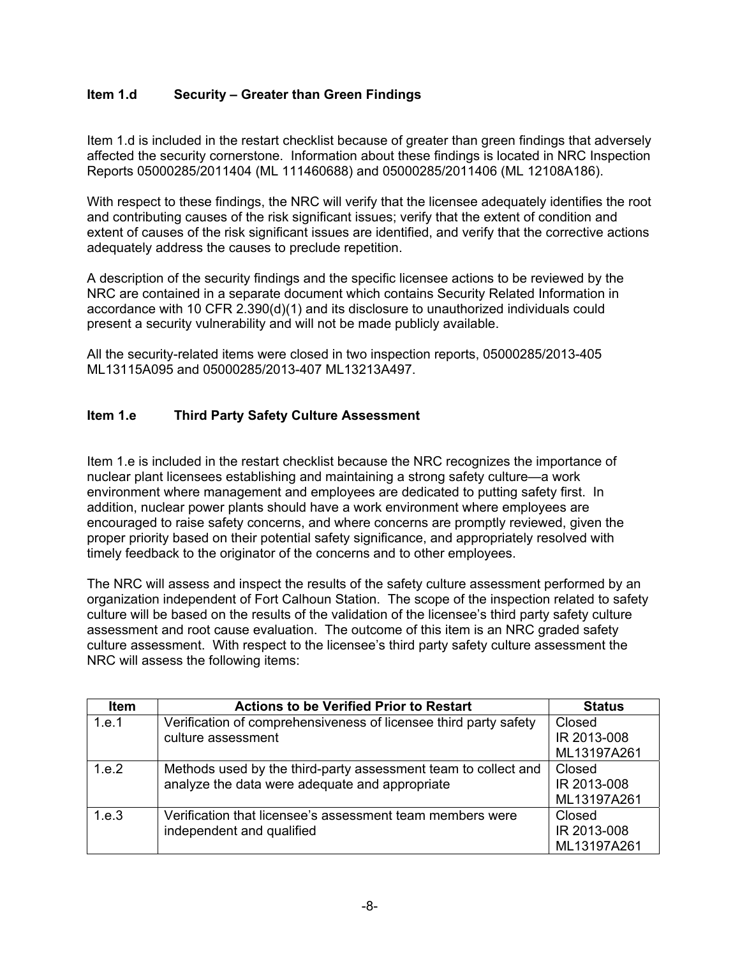## **Item 1.d Security – Greater than Green Findings**

Item 1.d is included in the restart checklist because of greater than green findings that adversely affected the security cornerstone. Information about these findings is located in NRC Inspection Reports 05000285/2011404 (ML 111460688) and 05000285/2011406 (ML 12108A186).

With respect to these findings, the NRC will verify that the licensee adequately identifies the root and contributing causes of the risk significant issues; verify that the extent of condition and extent of causes of the risk significant issues are identified, and verify that the corrective actions adequately address the causes to preclude repetition.

A description of the security findings and the specific licensee actions to be reviewed by the NRC are contained in a separate document which contains Security Related Information in accordance with 10 CFR 2.390(d)(1) and its disclosure to unauthorized individuals could present a security vulnerability and will not be made publicly available.

All the security-related items were closed in two inspection reports, 05000285/2013-405 ML13115A095 and 05000285/2013-407 ML13213A497.

## **Item 1.e Third Party Safety Culture Assessment**

Item 1.e is included in the restart checklist because the NRC recognizes the importance of nuclear plant licensees establishing and maintaining a strong safety culture—a work environment where management and employees are dedicated to putting safety first. In addition, nuclear power plants should have a work environment where employees are encouraged to raise safety concerns, and where concerns are promptly reviewed, given the proper priority based on their potential safety significance, and appropriately resolved with timely feedback to the originator of the concerns and to other employees.

The NRC will assess and inspect the results of the safety culture assessment performed by an organization independent of Fort Calhoun Station. The scope of the inspection related to safety culture will be based on the results of the validation of the licensee's third party safety culture assessment and root cause evaluation. The outcome of this item is an NRC graded safety culture assessment. With respect to the licensee's third party safety culture assessment the NRC will assess the following items:

| <b>Item</b> | <b>Actions to be Verified Prior to Restart</b>                   | <b>Status</b> |
|-------------|------------------------------------------------------------------|---------------|
| 1.e.1       | Verification of comprehensiveness of licensee third party safety | Closed        |
|             | culture assessment                                               | IR 2013-008   |
|             |                                                                  | ML13197A261   |
| 1.e.2       | Methods used by the third-party assessment team to collect and   | Closed        |
|             | analyze the data were adequate and appropriate                   | IR 2013-008   |
|             |                                                                  | ML13197A261   |
| 1.e.3       | Verification that licensee's assessment team members were        | Closed        |
|             | independent and qualified                                        | IR 2013-008   |
|             |                                                                  | ML13197A261   |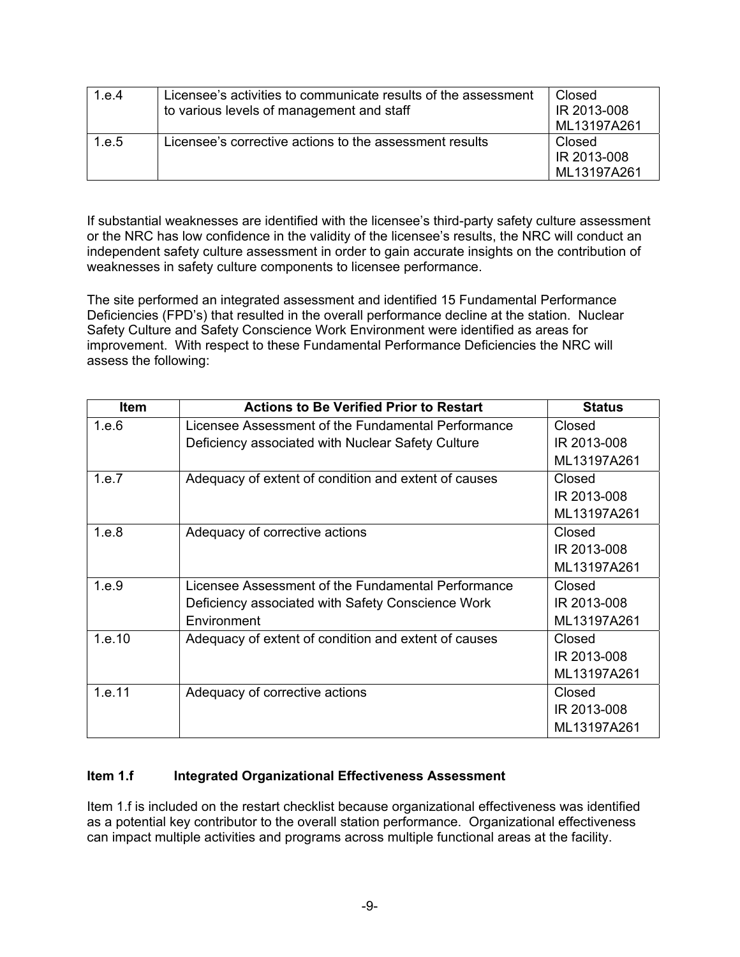| 1.e.4 | Licensee's activities to communicate results of the assessment<br>to various levels of management and staff | Closed<br>IR 2013-008<br>ML13197A261 |
|-------|-------------------------------------------------------------------------------------------------------------|--------------------------------------|
| 1.e.5 | Licensee's corrective actions to the assessment results                                                     | Closed<br>IR 2013-008<br>ML13197A261 |

If substantial weaknesses are identified with the licensee's third-party safety culture assessment or the NRC has low confidence in the validity of the licensee's results, the NRC will conduct an independent safety culture assessment in order to gain accurate insights on the contribution of weaknesses in safety culture components to licensee performance.

The site performed an integrated assessment and identified 15 Fundamental Performance Deficiencies (FPD's) that resulted in the overall performance decline at the station. Nuclear Safety Culture and Safety Conscience Work Environment were identified as areas for improvement. With respect to these Fundamental Performance Deficiencies the NRC will assess the following:

| Item   | <b>Actions to Be Verified Prior to Restart</b>       | <b>Status</b> |
|--------|------------------------------------------------------|---------------|
| 1.e.6  | Licensee Assessment of the Fundamental Performance   | Closed        |
|        | Deficiency associated with Nuclear Safety Culture    | IR 2013-008   |
|        |                                                      | ML13197A261   |
| 1.e.7  | Adequacy of extent of condition and extent of causes | Closed        |
|        |                                                      | IR 2013-008   |
|        |                                                      | ML13197A261   |
| 1.e.8  | Adequacy of corrective actions                       | Closed        |
|        |                                                      | IR 2013-008   |
|        |                                                      | ML13197A261   |
| 1.e.9  | Licensee Assessment of the Fundamental Performance   | Closed        |
|        | Deficiency associated with Safety Conscience Work    | IR 2013-008   |
|        | Environment                                          | ML13197A261   |
| 1.e.10 | Adequacy of extent of condition and extent of causes | Closed        |
|        |                                                      | IR 2013-008   |
|        |                                                      | ML13197A261   |
| 1.e.11 | Adequacy of corrective actions                       | Closed        |
|        |                                                      | IR 2013-008   |
|        |                                                      | ML13197A261   |

## **Item 1.f Integrated Organizational Effectiveness Assessment**

Item 1.f is included on the restart checklist because organizational effectiveness was identified as a potential key contributor to the overall station performance. Organizational effectiveness can impact multiple activities and programs across multiple functional areas at the facility.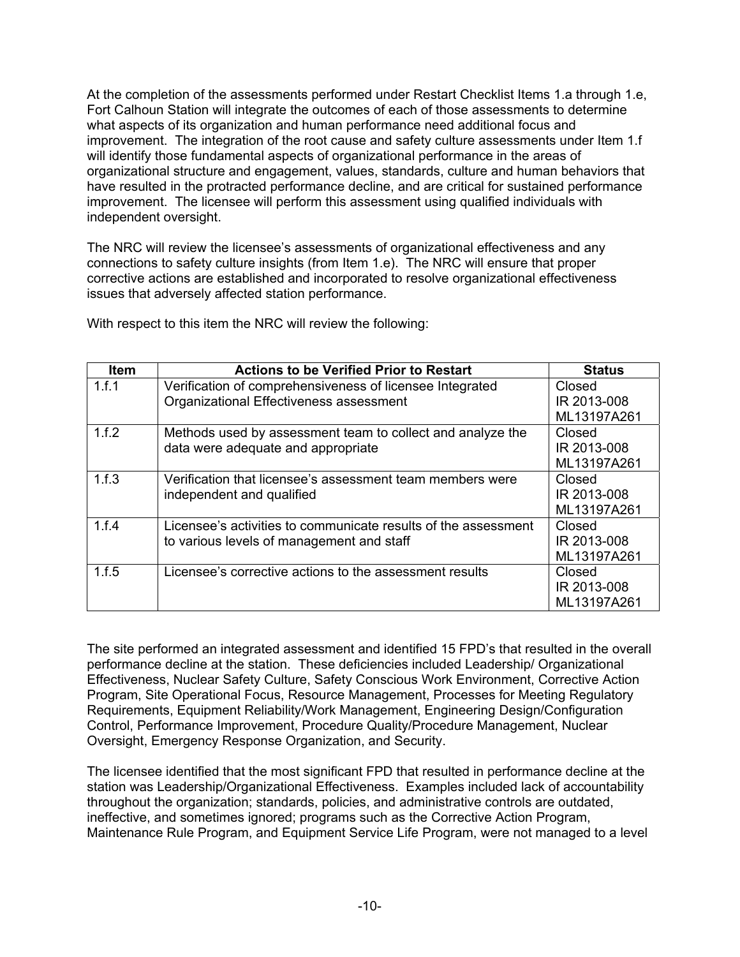At the completion of the assessments performed under Restart Checklist Items 1.a through 1.e, Fort Calhoun Station will integrate the outcomes of each of those assessments to determine what aspects of its organization and human performance need additional focus and improvement. The integration of the root cause and safety culture assessments under Item 1.f will identify those fundamental aspects of organizational performance in the areas of organizational structure and engagement, values, standards, culture and human behaviors that have resulted in the protracted performance decline, and are critical for sustained performance improvement. The licensee will perform this assessment using qualified individuals with independent oversight.

The NRC will review the licensee's assessments of organizational effectiveness and any connections to safety culture insights (from Item 1.e). The NRC will ensure that proper corrective actions are established and incorporated to resolve organizational effectiveness issues that adversely affected station performance.

| <b>Item</b> | <b>Actions to be Verified Prior to Restart</b>                 | <b>Status</b> |
|-------------|----------------------------------------------------------------|---------------|
| 1.f.1       | Verification of comprehensiveness of licensee Integrated       | Closed        |
|             | Organizational Effectiveness assessment                        | IR 2013-008   |
|             |                                                                | ML13197A261   |
| 1.f.2       | Methods used by assessment team to collect and analyze the     | Closed        |
|             | data were adequate and appropriate                             | IR 2013-008   |
|             |                                                                | ML13197A261   |
| 1.f.3       | Verification that licensee's assessment team members were      | Closed        |
|             | independent and qualified                                      | IR 2013-008   |
|             |                                                                | ML13197A261   |
| 1.f.4       | Licensee's activities to communicate results of the assessment | Closed        |
|             | to various levels of management and staff                      | IR 2013-008   |
|             |                                                                | ML13197A261   |
| 1.f.5       | Licensee's corrective actions to the assessment results        | Closed        |
|             |                                                                | IR 2013-008   |
|             |                                                                | ML13197A261   |

With respect to this item the NRC will review the following:

The site performed an integrated assessment and identified 15 FPD's that resulted in the overall performance decline at the station. These deficiencies included Leadership/ Organizational Effectiveness, Nuclear Safety Culture, Safety Conscious Work Environment, Corrective Action Program, Site Operational Focus, Resource Management, Processes for Meeting Regulatory Requirements, Equipment Reliability/Work Management, Engineering Design/Configuration Control, Performance Improvement, Procedure Quality/Procedure Management, Nuclear Oversight, Emergency Response Organization, and Security.

The licensee identified that the most significant FPD that resulted in performance decline at the station was Leadership/Organizational Effectiveness. Examples included lack of accountability throughout the organization; standards, policies, and administrative controls are outdated, ineffective, and sometimes ignored; programs such as the Corrective Action Program, Maintenance Rule Program, and Equipment Service Life Program, were not managed to a level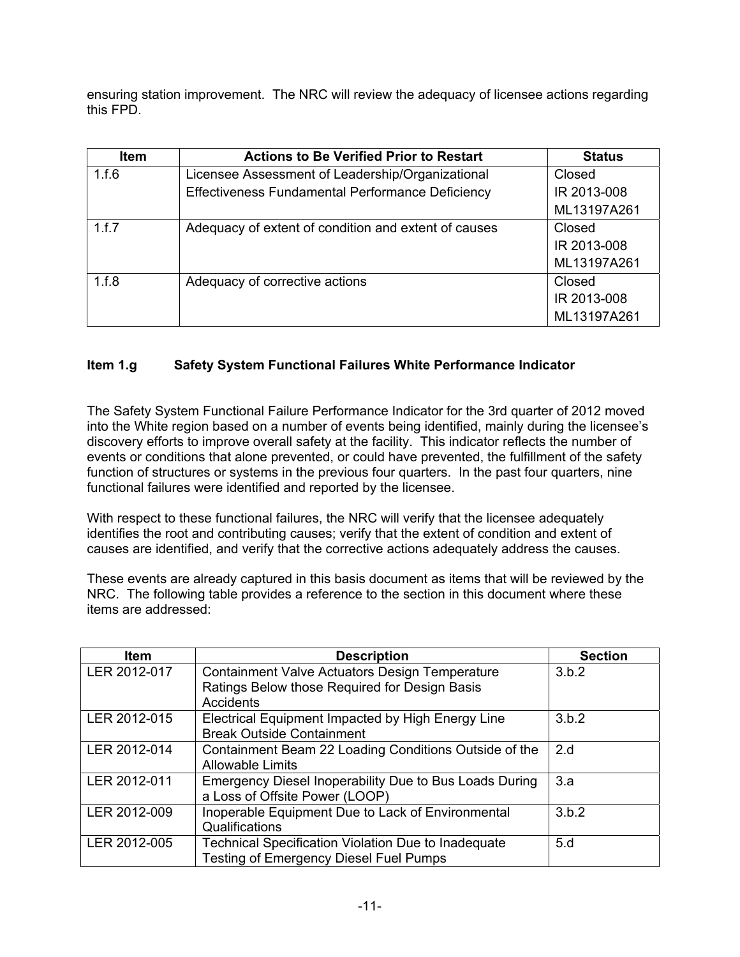ensuring station improvement. The NRC will review the adequacy of licensee actions regarding this FPD.

| <b>Item</b> | <b>Actions to Be Verified Prior to Restart</b>       | <b>Status</b> |
|-------------|------------------------------------------------------|---------------|
| 1.f.6       | Licensee Assessment of Leadership/Organizational     | Closed        |
|             | Effectiveness Fundamental Performance Deficiency     | IR 2013-008   |
|             |                                                      | ML13197A261   |
| 1.f.7       | Adequacy of extent of condition and extent of causes | Closed        |
|             |                                                      | IR 2013-008   |
|             |                                                      | ML13197A261   |
| 1.f.8       | Adequacy of corrective actions                       | Closed        |
|             |                                                      | IR 2013-008   |
|             |                                                      | ML13197A261   |

## **Item 1.g Safety System Functional Failures White Performance Indicator**

The Safety System Functional Failure Performance Indicator for the 3rd quarter of 2012 moved into the White region based on a number of events being identified, mainly during the licensee's discovery efforts to improve overall safety at the facility. This indicator reflects the number of events or conditions that alone prevented, or could have prevented, the fulfillment of the safety function of structures or systems in the previous four quarters. In the past four quarters, nine functional failures were identified and reported by the licensee.

With respect to these functional failures, the NRC will verify that the licensee adequately identifies the root and contributing causes; verify that the extent of condition and extent of causes are identified, and verify that the corrective actions adequately address the causes.

These events are already captured in this basis document as items that will be reviewed by the NRC. The following table provides a reference to the section in this document where these items are addressed:

| <b>Item</b>  | <b>Description</b>                                         | <b>Section</b> |
|--------------|------------------------------------------------------------|----------------|
| LER 2012-017 | <b>Containment Valve Actuators Design Temperature</b>      | 3.b.2          |
|              | Ratings Below those Required for Design Basis              |                |
|              | Accidents                                                  |                |
| LER 2012-015 | Electrical Equipment Impacted by High Energy Line          | 3.b.2          |
|              | <b>Break Outside Containment</b>                           |                |
| LER 2012-014 | Containment Beam 22 Loading Conditions Outside of the      | 2.d            |
|              | <b>Allowable Limits</b>                                    |                |
| LER 2012-011 | Emergency Diesel Inoperability Due to Bus Loads During     | 3.a            |
|              | a Loss of Offsite Power (LOOP)                             |                |
| LER 2012-009 | Inoperable Equipment Due to Lack of Environmental          | 3.b.2          |
|              | Qualifications                                             |                |
| LER 2012-005 | <b>Technical Specification Violation Due to Inadequate</b> | 5.d            |
|              | <b>Testing of Emergency Diesel Fuel Pumps</b>              |                |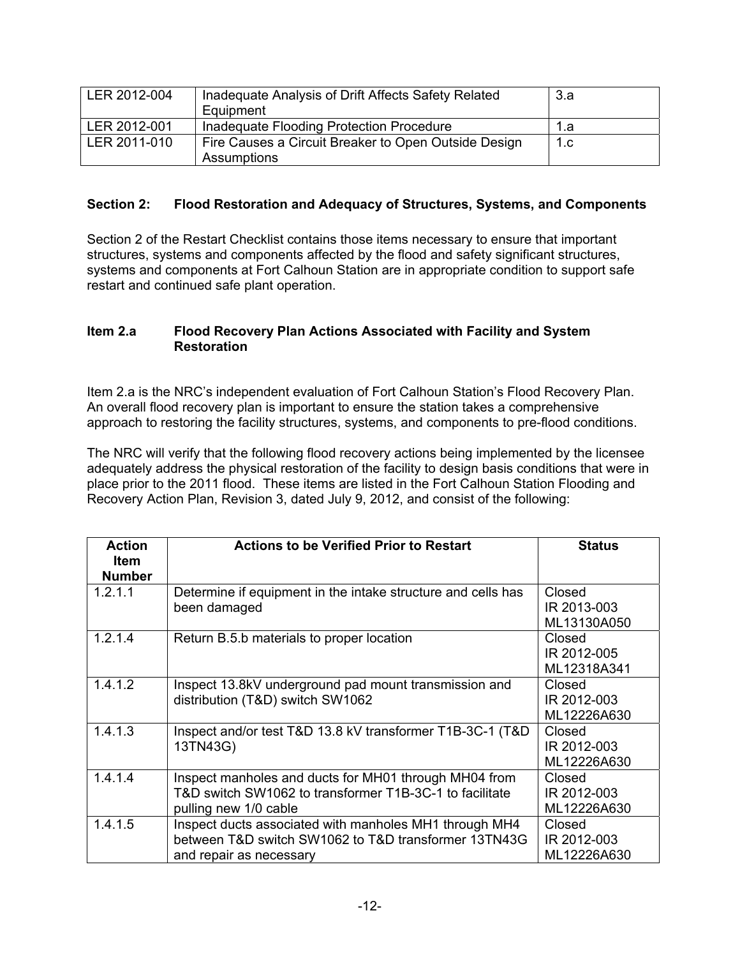| LER 2012-004 | Inadequate Analysis of Drift Affects Safety Related<br>Equipment    | 3.a |
|--------------|---------------------------------------------------------------------|-----|
| LER 2012-001 | Inadequate Flooding Protection Procedure                            | 1.a |
| LER 2011-010 | Fire Causes a Circuit Breaker to Open Outside Design<br>Assumptions | 1.c |

## **Section 2: Flood Restoration and Adequacy of Structures, Systems, and Components**

Section 2 of the Restart Checklist contains those items necessary to ensure that important structures, systems and components affected by the flood and safety significant structures, systems and components at Fort Calhoun Station are in appropriate condition to support safe restart and continued safe plant operation.

#### **Item 2.a Flood Recovery Plan Actions Associated with Facility and System Restoration**

Item 2.a is the NRC's independent evaluation of Fort Calhoun Station's Flood Recovery Plan. An overall flood recovery plan is important to ensure the station takes a comprehensive approach to restoring the facility structures, systems, and components to pre-flood conditions.

The NRC will verify that the following flood recovery actions being implemented by the licensee adequately address the physical restoration of the facility to design basis conditions that were in place prior to the 2011 flood. These items are listed in the Fort Calhoun Station Flooding and Recovery Action Plan, Revision 3, dated July 9, 2012, and consist of the following:

| <b>Action</b><br><b>Item</b> | <b>Actions to be Verified Prior to Restart</b>                                                                                            | <b>Status</b>                        |
|------------------------------|-------------------------------------------------------------------------------------------------------------------------------------------|--------------------------------------|
| <b>Number</b>                |                                                                                                                                           |                                      |
| 1.2.1.1                      | Determine if equipment in the intake structure and cells has<br>been damaged                                                              | Closed<br>IR 2013-003<br>ML13130A050 |
| 1.2.1.4                      | Return B.5.b materials to proper location                                                                                                 | Closed<br>IR 2012-005<br>ML12318A341 |
| 1.4.1.2                      | Inspect 13.8kV underground pad mount transmission and<br>distribution (T&D) switch SW1062                                                 | Closed<br>IR 2012-003<br>ML12226A630 |
| 1.4.1.3                      | Inspect and/or test T&D 13.8 kV transformer T1B-3C-1 (T&D<br>13TN43G)                                                                     | Closed<br>IR 2012-003<br>ML12226A630 |
| 1.4.1.4                      | Inspect manholes and ducts for MH01 through MH04 from<br>T&D switch SW1062 to transformer T1B-3C-1 to facilitate<br>pulling new 1/0 cable | Closed<br>IR 2012-003<br>ML12226A630 |
| 1.4.1.5                      | Inspect ducts associated with manholes MH1 through MH4<br>between T&D switch SW1062 to T&D transformer 13TN43G<br>and repair as necessary | Closed<br>IR 2012-003<br>ML12226A630 |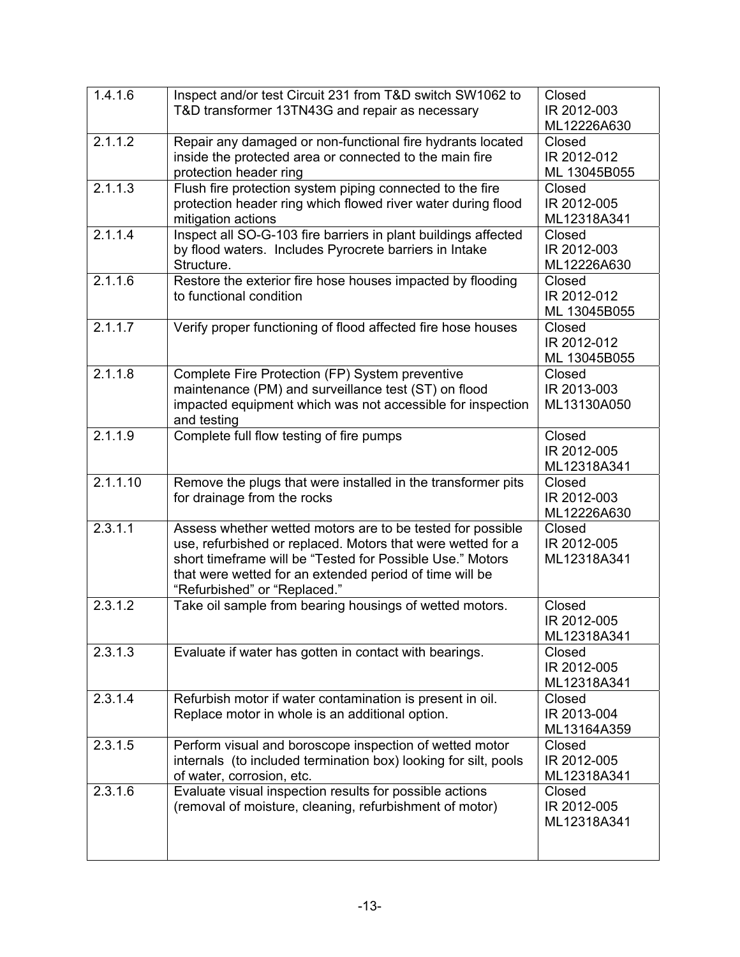| 1.4.1.6  | Inspect and/or test Circuit 231 from T&D switch SW1062 to<br>T&D transformer 13TN43G and repair as necessary                                                                                                                                                                      | Closed<br>IR 2012-003<br>ML12226A630  |
|----------|-----------------------------------------------------------------------------------------------------------------------------------------------------------------------------------------------------------------------------------------------------------------------------------|---------------------------------------|
| 2.1.1.2  | Repair any damaged or non-functional fire hydrants located<br>inside the protected area or connected to the main fire<br>protection header ring                                                                                                                                   | Closed<br>IR 2012-012<br>ML 13045B055 |
| 2.1.1.3  | Flush fire protection system piping connected to the fire<br>protection header ring which flowed river water during flood<br>mitigation actions                                                                                                                                   | Closed<br>IR 2012-005<br>ML12318A341  |
| 2.1.1.4  | Inspect all SO-G-103 fire barriers in plant buildings affected<br>by flood waters. Includes Pyrocrete barriers in Intake<br>Structure.                                                                                                                                            | Closed<br>IR 2012-003<br>ML12226A630  |
| 2.1.1.6  | Restore the exterior fire hose houses impacted by flooding<br>to functional condition                                                                                                                                                                                             | Closed<br>IR 2012-012<br>ML 13045B055 |
| 2.1.1.7  | Verify proper functioning of flood affected fire hose houses                                                                                                                                                                                                                      | Closed<br>IR 2012-012<br>ML 13045B055 |
| 2.1.1.8  | Complete Fire Protection (FP) System preventive<br>maintenance (PM) and surveillance test (ST) on flood<br>impacted equipment which was not accessible for inspection<br>and testing                                                                                              | Closed<br>IR 2013-003<br>ML13130A050  |
| 2.1.1.9  | Complete full flow testing of fire pumps                                                                                                                                                                                                                                          | Closed<br>IR 2012-005<br>ML12318A341  |
| 2.1.1.10 | Remove the plugs that were installed in the transformer pits<br>for drainage from the rocks                                                                                                                                                                                       | Closed<br>IR 2012-003<br>ML12226A630  |
| 2.3.1.1  | Assess whether wetted motors are to be tested for possible<br>use, refurbished or replaced. Motors that were wetted for a<br>short timeframe will be "Tested for Possible Use." Motors<br>that were wetted for an extended period of time will be<br>"Refurbished" or "Replaced." | Closed<br>IR 2012-005<br>ML12318A341  |
| 2.3.1.2  | Take oil sample from bearing housings of wetted motors.                                                                                                                                                                                                                           | Closed<br>IR 2012-005<br>ML12318A341  |
| 2.3.1.3  | Evaluate if water has gotten in contact with bearings.                                                                                                                                                                                                                            | Closed<br>IR 2012-005<br>ML12318A341  |
| 2.3.1.4  | Refurbish motor if water contamination is present in oil.<br>Replace motor in whole is an additional option.                                                                                                                                                                      | Closed<br>IR 2013-004<br>ML13164A359  |
| 2.3.1.5  | Perform visual and boroscope inspection of wetted motor<br>internals (to included termination box) looking for silt, pools<br>of water, corrosion, etc.                                                                                                                           | Closed<br>IR 2012-005<br>ML12318A341  |
| 2.3.1.6  | Evaluate visual inspection results for possible actions<br>(removal of moisture, cleaning, refurbishment of motor)                                                                                                                                                                | Closed<br>IR 2012-005<br>ML12318A341  |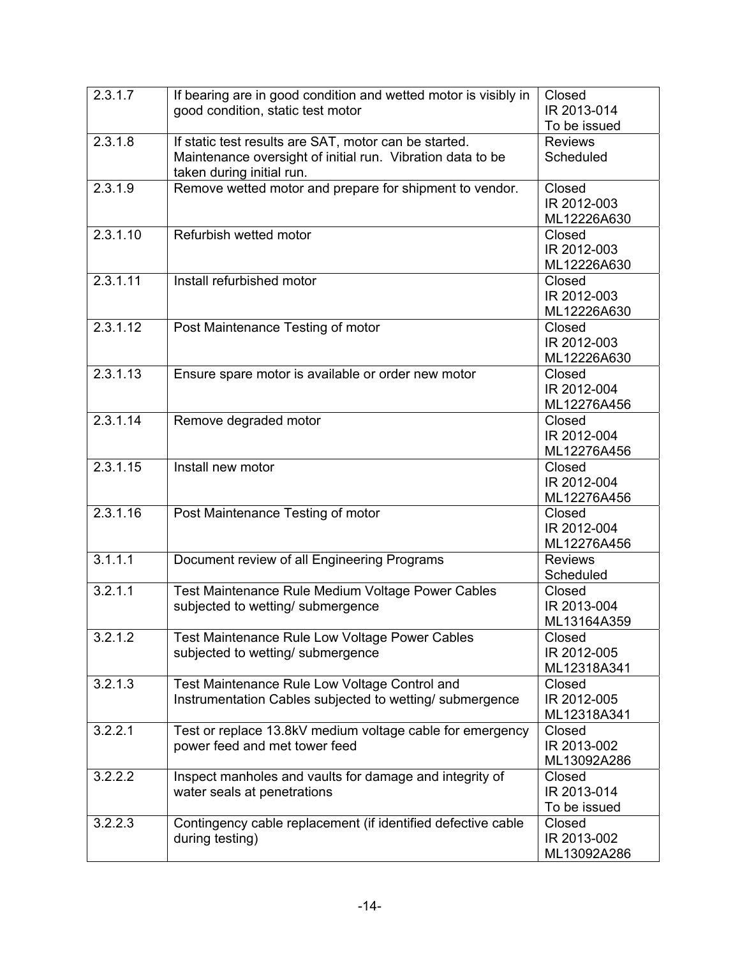| 2.3.1.7  | If bearing are in good condition and wetted motor is visibly in<br>good condition, static test motor | Closed<br>IR 2013-014 |
|----------|------------------------------------------------------------------------------------------------------|-----------------------|
|          |                                                                                                      | To be issued          |
| 2.3.1.8  | If static test results are SAT, motor can be started.                                                | <b>Reviews</b>        |
|          | Maintenance oversight of initial run. Vibration data to be<br>taken during initial run.              | Scheduled             |
| 2.3.1.9  | Remove wetted motor and prepare for shipment to vendor.                                              | Closed                |
|          |                                                                                                      | IR 2012-003           |
|          |                                                                                                      | ML12226A630           |
| 2.3.1.10 | Refurbish wetted motor                                                                               | Closed                |
|          |                                                                                                      | IR 2012-003           |
|          |                                                                                                      | ML12226A630           |
| 2.3.1.11 | Install refurbished motor                                                                            | Closed                |
|          |                                                                                                      | IR 2012-003           |
|          |                                                                                                      | ML12226A630           |
| 2.3.1.12 | Post Maintenance Testing of motor                                                                    | Closed                |
|          |                                                                                                      | IR 2012-003           |
|          |                                                                                                      | ML12226A630           |
| 2.3.1.13 | Ensure spare motor is available or order new motor                                                   | Closed                |
|          |                                                                                                      | IR 2012-004           |
|          |                                                                                                      | ML12276A456           |
| 2.3.1.14 | Remove degraded motor                                                                                | Closed                |
|          |                                                                                                      | IR 2012-004           |
|          |                                                                                                      | ML12276A456           |
| 2.3.1.15 | Install new motor                                                                                    | Closed                |
|          |                                                                                                      | IR 2012-004           |
|          |                                                                                                      | ML12276A456           |
| 2.3.1.16 | Post Maintenance Testing of motor                                                                    | Closed                |
|          |                                                                                                      | IR 2012-004           |
|          |                                                                                                      | ML12276A456           |
| 3.1.1.1  | Document review of all Engineering Programs                                                          | <b>Reviews</b>        |
|          |                                                                                                      | Scheduled             |
| 3.2.1.1  | Test Maintenance Rule Medium Voltage Power Cables                                                    | Closed                |
|          | subjected to wetting/ submergence                                                                    | IR 2013-004           |
|          |                                                                                                      | ML13164A359           |
| 3.2.1.2  | Test Maintenance Rule Low Voltage Power Cables                                                       | Closed                |
|          | subjected to wetting/ submergence                                                                    | IR 2012-005           |
|          |                                                                                                      | ML12318A341           |
| 3.2.1.3  | Test Maintenance Rule Low Voltage Control and                                                        | Closed                |
|          | Instrumentation Cables subjected to wetting/ submergence                                             | IR 2012-005           |
|          |                                                                                                      | ML12318A341           |
| 3.2.2.1  | Test or replace 13.8kV medium voltage cable for emergency                                            | Closed                |
|          | power feed and met tower feed                                                                        | IR 2013-002           |
|          |                                                                                                      | ML13092A286           |
| 3.2.2.2  | Inspect manholes and vaults for damage and integrity of                                              | Closed                |
|          | water seals at penetrations                                                                          | IR 2013-014           |
|          |                                                                                                      | To be issued          |
| 3.2.2.3  | Contingency cable replacement (if identified defective cable                                         | Closed                |
|          | during testing)                                                                                      | IR 2013-002           |
|          |                                                                                                      | ML13092A286           |
|          |                                                                                                      |                       |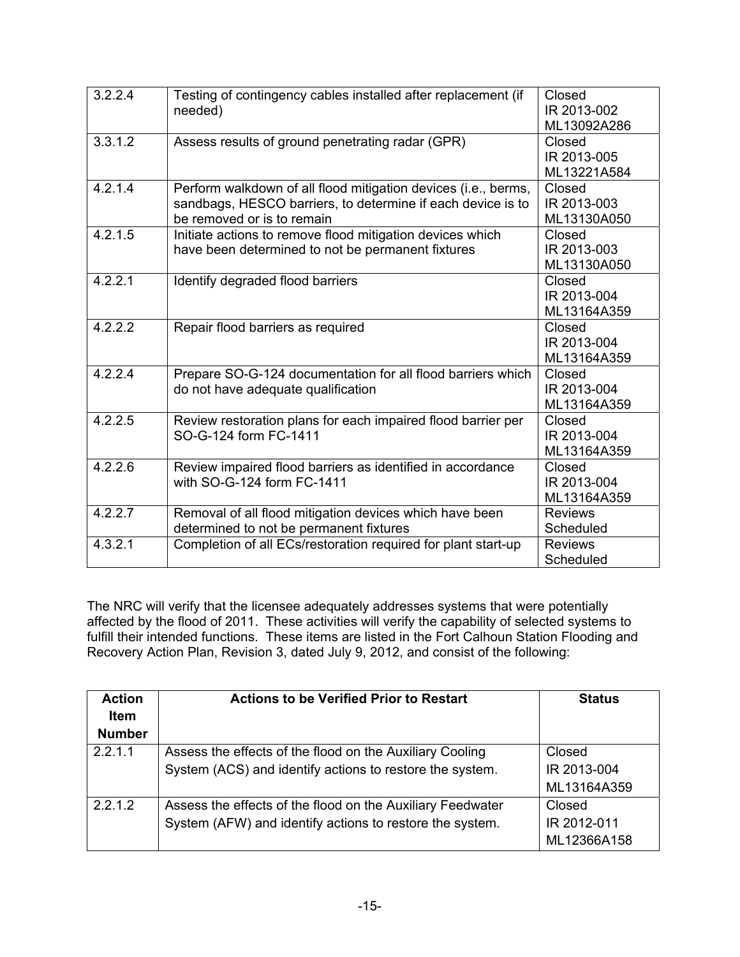| 3.2.2.4 | Testing of contingency cables installed after replacement (if<br>needed)                                                                                    | Closed<br>IR 2013-002<br>ML13092A286 |
|---------|-------------------------------------------------------------------------------------------------------------------------------------------------------------|--------------------------------------|
| 3.3.1.2 | Assess results of ground penetrating radar (GPR)                                                                                                            | Closed<br>IR 2013-005<br>ML13221A584 |
| 4.2.1.4 | Perform walkdown of all flood mitigation devices (i.e., berms,<br>sandbags, HESCO barriers, to determine if each device is to<br>be removed or is to remain | Closed<br>IR 2013-003<br>ML13130A050 |
| 4.2.1.5 | Initiate actions to remove flood mitigation devices which<br>have been determined to not be permanent fixtures                                              | Closed<br>IR 2013-003<br>ML13130A050 |
| 4.2.2.1 | Identify degraded flood barriers                                                                                                                            | Closed<br>IR 2013-004<br>ML13164A359 |
| 4.2.2.2 | Repair flood barriers as required                                                                                                                           | Closed<br>IR 2013-004<br>ML13164A359 |
| 4.2.2.4 | Prepare SO-G-124 documentation for all flood barriers which<br>do not have adequate qualification                                                           | Closed<br>IR 2013-004<br>ML13164A359 |
| 4.2.2.5 | Review restoration plans for each impaired flood barrier per<br>SO-G-124 form FC-1411                                                                       | Closed<br>IR 2013-004<br>ML13164A359 |
| 4.2.2.6 | Review impaired flood barriers as identified in accordance<br>with SO-G-124 form FC-1411                                                                    | Closed<br>IR 2013-004<br>ML13164A359 |
| 4.2.2.7 | Removal of all flood mitigation devices which have been<br>determined to not be permanent fixtures                                                          | <b>Reviews</b><br>Scheduled          |
| 4.3.2.1 | Completion of all ECs/restoration required for plant start-up                                                                                               | <b>Reviews</b><br>Scheduled          |

The NRC will verify that the licensee adequately addresses systems that were potentially affected by the flood of 2011. These activities will verify the capability of selected systems to fulfill their intended functions. These items are listed in the Fort Calhoun Station Flooding and Recovery Action Plan, Revision 3, dated July 9, 2012, and consist of the following:

| <b>Action</b><br><b>Item</b><br><b>Number</b> | <b>Actions to be Verified Prior to Restart</b>                                                                         | <b>Status</b>                        |
|-----------------------------------------------|------------------------------------------------------------------------------------------------------------------------|--------------------------------------|
| 2.2.1.1                                       | Assess the effects of the flood on the Auxiliary Cooling<br>System (ACS) and identify actions to restore the system.   | Closed<br>IR 2013-004<br>ML13164A359 |
| 2.2.1.2                                       | Assess the effects of the flood on the Auxiliary Feedwater<br>System (AFW) and identify actions to restore the system. | Closed<br>IR 2012-011<br>ML12366A158 |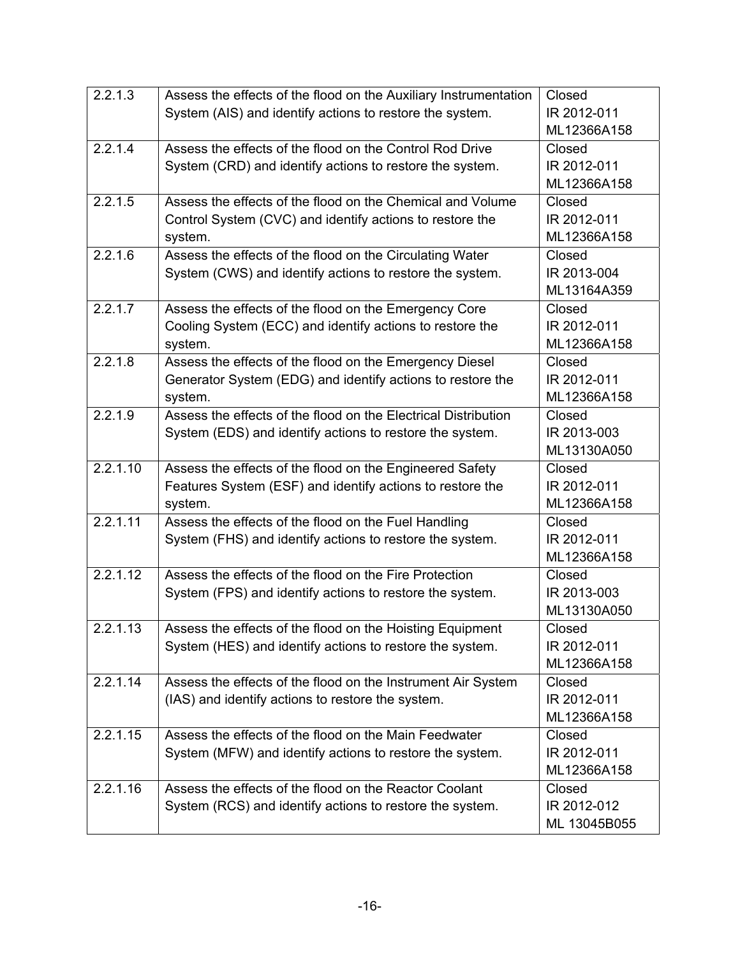| 2.2.1.3  | Assess the effects of the flood on the Auxiliary Instrumentation | Closed       |
|----------|------------------------------------------------------------------|--------------|
|          | System (AIS) and identify actions to restore the system.         | IR 2012-011  |
|          |                                                                  | ML12366A158  |
| 2.2.1.4  | Assess the effects of the flood on the Control Rod Drive         | Closed       |
|          | System (CRD) and identify actions to restore the system.         | IR 2012-011  |
|          |                                                                  | ML12366A158  |
| 2.2.1.5  | Assess the effects of the flood on the Chemical and Volume       | Closed       |
|          | Control System (CVC) and identify actions to restore the         | IR 2012-011  |
|          | system.                                                          | ML12366A158  |
| 2.2.1.6  | Assess the effects of the flood on the Circulating Water         | Closed       |
|          | System (CWS) and identify actions to restore the system.         | IR 2013-004  |
|          |                                                                  | ML13164A359  |
| 2.2.1.7  | Assess the effects of the flood on the Emergency Core            | Closed       |
|          | Cooling System (ECC) and identify actions to restore the         | IR 2012-011  |
|          | system.                                                          | ML12366A158  |
| 2.2.1.8  | Assess the effects of the flood on the Emergency Diesel          | Closed       |
|          | Generator System (EDG) and identify actions to restore the       | IR 2012-011  |
|          | system.                                                          | ML12366A158  |
| 2.2.1.9  | Assess the effects of the flood on the Electrical Distribution   | Closed       |
|          | System (EDS) and identify actions to restore the system.         | IR 2013-003  |
|          |                                                                  | ML13130A050  |
| 2.2.1.10 | Assess the effects of the flood on the Engineered Safety         | Closed       |
|          | Features System (ESF) and identify actions to restore the        | IR 2012-011  |
|          | system.                                                          | ML12366A158  |
| 2.2.1.11 | Assess the effects of the flood on the Fuel Handling             | Closed       |
|          | System (FHS) and identify actions to restore the system.         | IR 2012-011  |
|          |                                                                  | ML12366A158  |
| 2.2.1.12 | Assess the effects of the flood on the Fire Protection           | Closed       |
|          | System (FPS) and identify actions to restore the system.         | IR 2013-003  |
|          |                                                                  | ML13130A050  |
| 2.2.1.13 | Assess the effects of the flood on the Hoisting Equipment        | Closed       |
|          | System (HES) and identify actions to restore the system.         | IR 2012-011  |
|          |                                                                  | ML12366A158  |
| 2.2.1.14 | Assess the effects of the flood on the Instrument Air System     | Closed       |
|          | (IAS) and identify actions to restore the system.                | IR 2012-011  |
|          |                                                                  | ML12366A158  |
| 2.2.1.15 | Assess the effects of the flood on the Main Feedwater            | Closed       |
|          | System (MFW) and identify actions to restore the system.         | IR 2012-011  |
|          |                                                                  | ML12366A158  |
| 2.2.1.16 | Assess the effects of the flood on the Reactor Coolant           | Closed       |
|          | System (RCS) and identify actions to restore the system.         | IR 2012-012  |
|          |                                                                  | ML 13045B055 |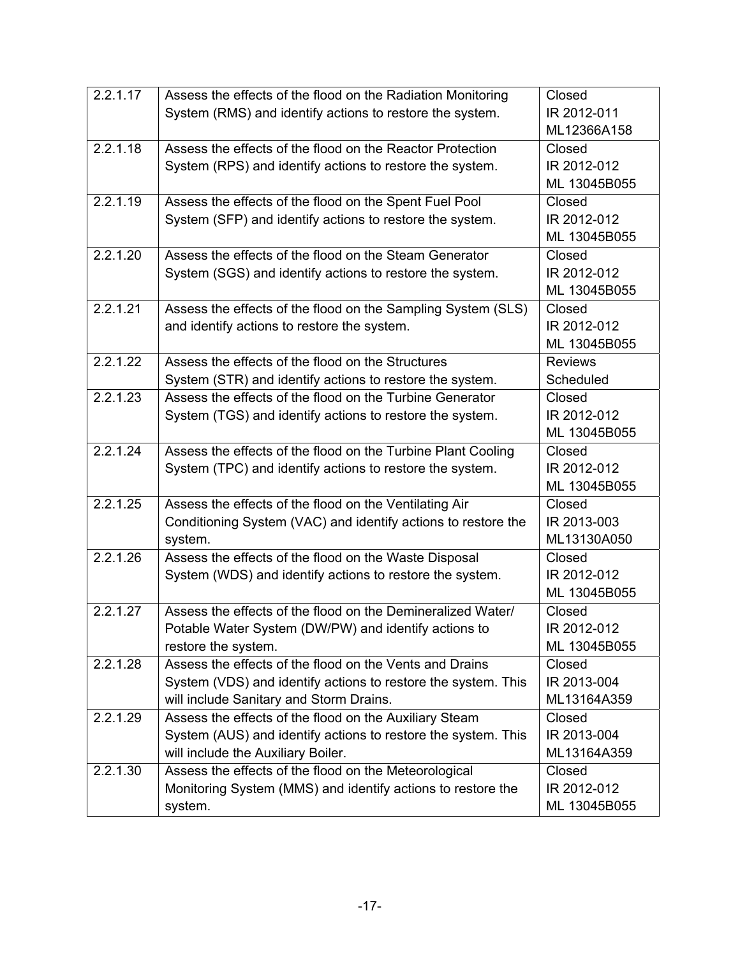| 2.2.1.17 | Assess the effects of the flood on the Radiation Monitoring   | Closed         |
|----------|---------------------------------------------------------------|----------------|
|          | System (RMS) and identify actions to restore the system.      | IR 2012-011    |
|          |                                                               | ML12366A158    |
| 2.2.1.18 | Assess the effects of the flood on the Reactor Protection     | Closed         |
|          | System (RPS) and identify actions to restore the system.      | IR 2012-012    |
|          |                                                               | ML 13045B055   |
| 2.2.1.19 | Assess the effects of the flood on the Spent Fuel Pool        | Closed         |
|          | System (SFP) and identify actions to restore the system.      | IR 2012-012    |
|          |                                                               | ML 13045B055   |
| 2.2.1.20 | Assess the effects of the flood on the Steam Generator        | Closed         |
|          | System (SGS) and identify actions to restore the system.      | IR 2012-012    |
|          |                                                               | ML 13045B055   |
| 2.2.1.21 | Assess the effects of the flood on the Sampling System (SLS)  | Closed         |
|          | and identify actions to restore the system.                   | IR 2012-012    |
|          |                                                               | ML 13045B055   |
| 2.2.1.22 | Assess the effects of the flood on the Structures             | <b>Reviews</b> |
|          | System (STR) and identify actions to restore the system.      | Scheduled      |
| 2.2.1.23 | Assess the effects of the flood on the Turbine Generator      | Closed         |
|          | System (TGS) and identify actions to restore the system.      | IR 2012-012    |
|          |                                                               | ML 13045B055   |
| 2.2.1.24 | Assess the effects of the flood on the Turbine Plant Cooling  | Closed         |
|          | System (TPC) and identify actions to restore the system.      | IR 2012-012    |
|          |                                                               | ML 13045B055   |
| 2.2.1.25 | Assess the effects of the flood on the Ventilating Air        | Closed         |
|          | Conditioning System (VAC) and identify actions to restore the | IR 2013-003    |
|          | system.                                                       | ML13130A050    |
| 2.2.1.26 | Assess the effects of the flood on the Waste Disposal         | Closed         |
|          | System (WDS) and identify actions to restore the system.      | IR 2012-012    |
|          |                                                               | ML 13045B055   |
| 2.2.1.27 | Assess the effects of the flood on the Demineralized Water/   | Closed         |
|          | Potable Water System (DW/PW) and identify actions to          | IR 2012-012    |
|          | restore the system.                                           | ML 13045B055   |
| 2.2.1.28 | Assess the effects of the flood on the Vents and Drains       | Closed         |
|          | System (VDS) and identify actions to restore the system. This | IR 2013-004    |
|          | will include Sanitary and Storm Drains.                       | ML13164A359    |
| 2.2.1.29 | Assess the effects of the flood on the Auxiliary Steam        | Closed         |
|          | System (AUS) and identify actions to restore the system. This | IR 2013-004    |
|          | will include the Auxiliary Boiler.                            | ML13164A359    |
| 2.2.1.30 | Assess the effects of the flood on the Meteorological         | Closed         |
|          | Monitoring System (MMS) and identify actions to restore the   | IR 2012-012    |
|          | system.                                                       | ML 13045B055   |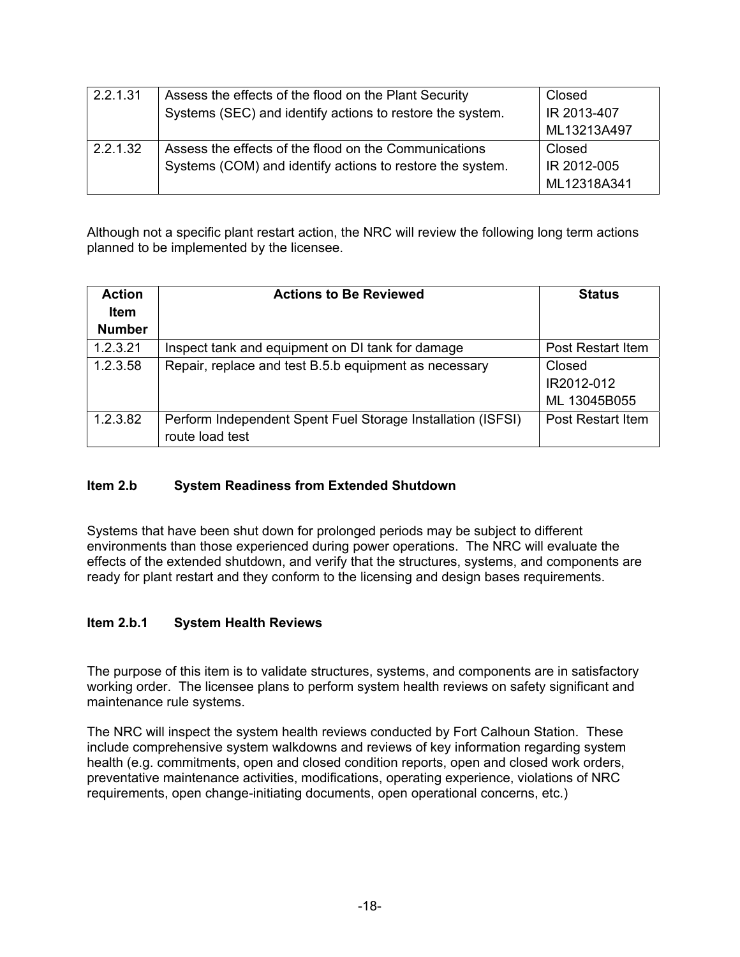| 2.2.1.31 | Assess the effects of the flood on the Plant Security     | Closed      |
|----------|-----------------------------------------------------------|-------------|
|          | Systems (SEC) and identify actions to restore the system. | IR 2013-407 |
|          |                                                           | ML13213A497 |
| 2.2.1.32 | Assess the effects of the flood on the Communications     | Closed      |
|          | Systems (COM) and identify actions to restore the system. | IR 2012-005 |
|          |                                                           | ML12318A341 |

Although not a specific plant restart action, the NRC will review the following long term actions planned to be implemented by the licensee.

| <b>Action</b> | <b>Actions to Be Reviewed</b>                               | <b>Status</b>     |
|---------------|-------------------------------------------------------------|-------------------|
| <b>Item</b>   |                                                             |                   |
| <b>Number</b> |                                                             |                   |
| 1.2.3.21      | Inspect tank and equipment on DI tank for damage            | Post Restart Item |
| 1.2.3.58      | Repair, replace and test B.5.b equipment as necessary       | Closed            |
|               |                                                             | IR2012-012        |
|               |                                                             | ML 13045B055      |
| 1.2.3.82      | Perform Independent Spent Fuel Storage Installation (ISFSI) | Post Restart Item |
|               | route load test                                             |                   |

## **Item 2.b System Readiness from Extended Shutdown**

Systems that have been shut down for prolonged periods may be subject to different environments than those experienced during power operations. The NRC will evaluate the effects of the extended shutdown, and verify that the structures, systems, and components are ready for plant restart and they conform to the licensing and design bases requirements.

#### **Item 2.b.1 System Health Reviews**

The purpose of this item is to validate structures, systems, and components are in satisfactory working order. The licensee plans to perform system health reviews on safety significant and maintenance rule systems.

The NRC will inspect the system health reviews conducted by Fort Calhoun Station. These include comprehensive system walkdowns and reviews of key information regarding system health (e.g. commitments, open and closed condition reports, open and closed work orders, preventative maintenance activities, modifications, operating experience, violations of NRC requirements, open change-initiating documents, open operational concerns, etc.)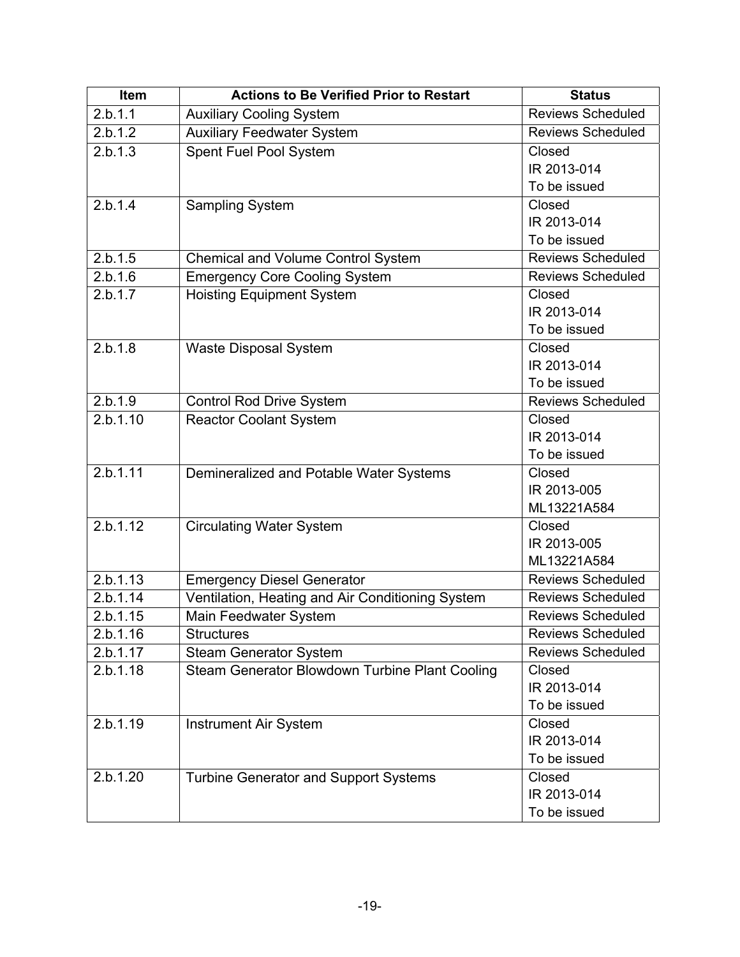| Item     | <b>Actions to Be Verified Prior to Restart</b>   | <b>Status</b>            |
|----------|--------------------------------------------------|--------------------------|
| 2.b.1.1  | <b>Auxiliary Cooling System</b>                  | <b>Reviews Scheduled</b> |
| 2.b.1.2  | <b>Auxiliary Feedwater System</b>                | <b>Reviews Scheduled</b> |
| 2.b.1.3  | Spent Fuel Pool System                           | Closed                   |
|          |                                                  | IR 2013-014              |
|          |                                                  | To be issued             |
| 2.b.1.4  | <b>Sampling System</b>                           | Closed                   |
|          |                                                  | IR 2013-014              |
|          |                                                  | To be issued             |
| 2.b.1.5  | Chemical and Volume Control System               | <b>Reviews Scheduled</b> |
| 2.b.1.6  | <b>Emergency Core Cooling System</b>             | <b>Reviews Scheduled</b> |
| 2.b.1.7  | <b>Hoisting Equipment System</b>                 | Closed                   |
|          |                                                  | IR 2013-014              |
|          |                                                  | To be issued             |
| 2.b.1.8  | Waste Disposal System                            | Closed                   |
|          |                                                  | IR 2013-014              |
|          |                                                  | To be issued             |
| 2.b.1.9  | <b>Control Rod Drive System</b>                  | Reviews Scheduled        |
| 2.b.1.10 | <b>Reactor Coolant System</b>                    | Closed                   |
|          |                                                  | IR 2013-014              |
|          |                                                  | To be issued             |
| 2.b.1.11 | Demineralized and Potable Water Systems          | Closed                   |
|          |                                                  | IR 2013-005              |
|          |                                                  | ML13221A584              |
| 2.b.1.12 | <b>Circulating Water System</b>                  | Closed                   |
|          |                                                  | IR 2013-005              |
|          |                                                  | ML13221A584              |
| 2.b.1.13 | <b>Emergency Diesel Generator</b>                | <b>Reviews Scheduled</b> |
| 2.b.1.14 | Ventilation, Heating and Air Conditioning System | <b>Reviews Scheduled</b> |
| 2.b.1.15 | Main Feedwater System                            | <b>Reviews Scheduled</b> |
| 2.b.1.16 | <b>Structures</b>                                | <b>Reviews Scheduled</b> |
| 2.b.1.17 | <b>Steam Generator System</b>                    | <b>Reviews Scheduled</b> |
| 2.b.1.18 | Steam Generator Blowdown Turbine Plant Cooling   | Closed                   |
|          |                                                  | IR 2013-014              |
|          |                                                  | To be issued             |
| 2.b.1.19 | Instrument Air System                            | Closed                   |
|          |                                                  | IR 2013-014              |
|          |                                                  | To be issued             |
| 2.b.1.20 | <b>Turbine Generator and Support Systems</b>     | Closed                   |
|          |                                                  | IR 2013-014              |
|          |                                                  | To be issued             |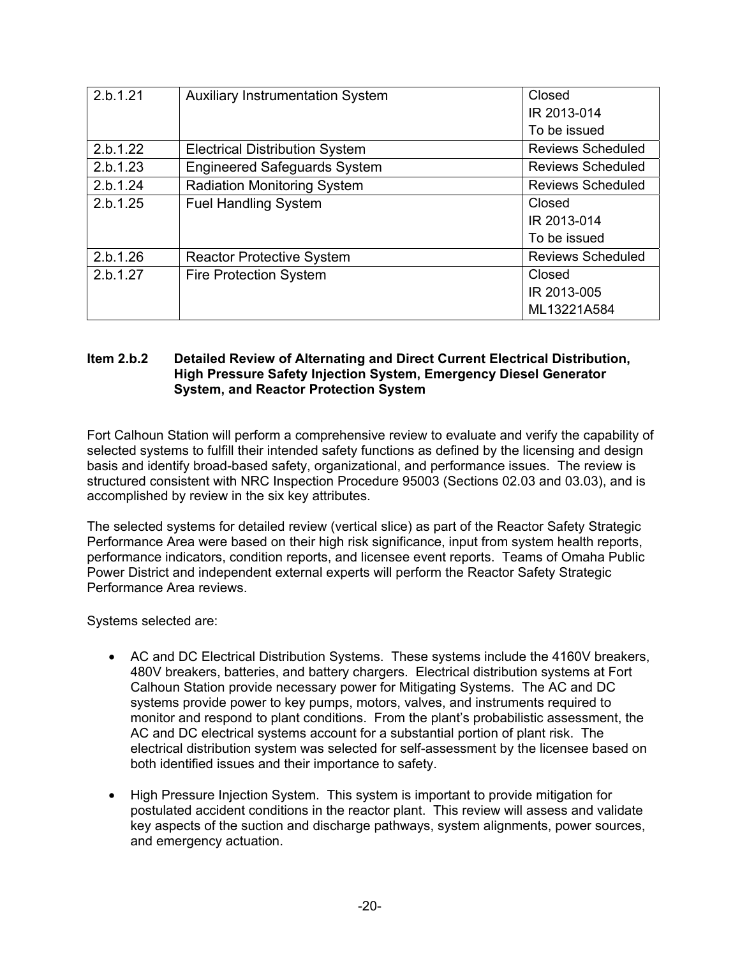| 2.b.1.21 | <b>Auxiliary Instrumentation System</b> | Closed                   |
|----------|-----------------------------------------|--------------------------|
|          |                                         | IR 2013-014              |
|          |                                         | To be issued             |
| 2.b.1.22 | <b>Electrical Distribution System</b>   | <b>Reviews Scheduled</b> |
| 2.b.1.23 | <b>Engineered Safeguards System</b>     | <b>Reviews Scheduled</b> |
| 2.b.1.24 | <b>Radiation Monitoring System</b>      | <b>Reviews Scheduled</b> |
| 2.b.1.25 | <b>Fuel Handling System</b>             | Closed                   |
|          |                                         | IR 2013-014              |
|          |                                         | To be issued             |
| 2.b.1.26 | <b>Reactor Protective System</b>        | <b>Reviews Scheduled</b> |
| 2.b.1.27 | <b>Fire Protection System</b>           | Closed                   |
|          |                                         | IR 2013-005              |
|          |                                         | ML13221A584              |

#### **Item 2.b.2 Detailed Review of Alternating and Direct Current Electrical Distribution, High Pressure Safety Injection System, Emergency Diesel Generator System, and Reactor Protection System**

Fort Calhoun Station will perform a comprehensive review to evaluate and verify the capability of selected systems to fulfill their intended safety functions as defined by the licensing and design basis and identify broad-based safety, organizational, and performance issues. The review is structured consistent with NRC Inspection Procedure 95003 (Sections 02.03 and 03.03), and is accomplished by review in the six key attributes.

The selected systems for detailed review (vertical slice) as part of the Reactor Safety Strategic Performance Area were based on their high risk significance, input from system health reports, performance indicators, condition reports, and licensee event reports. Teams of Omaha Public Power District and independent external experts will perform the Reactor Safety Strategic Performance Area reviews.

Systems selected are:

- AC and DC Electrical Distribution Systems. These systems include the 4160V breakers, 480V breakers, batteries, and battery chargers. Electrical distribution systems at Fort Calhoun Station provide necessary power for Mitigating Systems. The AC and DC systems provide power to key pumps, motors, valves, and instruments required to monitor and respond to plant conditions. From the plant's probabilistic assessment, the AC and DC electrical systems account for a substantial portion of plant risk. The electrical distribution system was selected for self-assessment by the licensee based on both identified issues and their importance to safety.
- High Pressure Injection System. This system is important to provide mitigation for postulated accident conditions in the reactor plant. This review will assess and validate key aspects of the suction and discharge pathways, system alignments, power sources, and emergency actuation.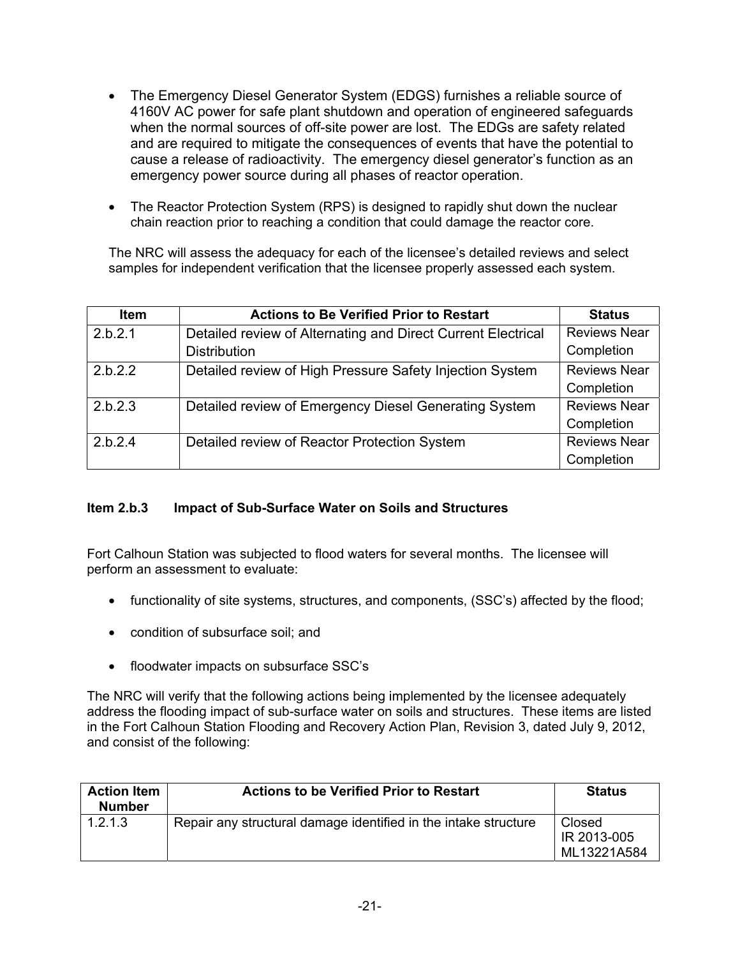- The Emergency Diesel Generator System (EDGS) furnishes a reliable source of 4160V AC power for safe plant shutdown and operation of engineered safeguards when the normal sources of off-site power are lost. The EDGs are safety related and are required to mitigate the consequences of events that have the potential to cause a release of radioactivity. The emergency diesel generator's function as an emergency power source during all phases of reactor operation.
- The Reactor Protection System (RPS) is designed to rapidly shut down the nuclear chain reaction prior to reaching a condition that could damage the reactor core.

The NRC will assess the adequacy for each of the licensee's detailed reviews and select samples for independent verification that the licensee properly assessed each system.

| <b>Item</b> | <b>Actions to Be Verified Prior to Restart</b>               | <b>Status</b>       |
|-------------|--------------------------------------------------------------|---------------------|
| 2.b.2.1     | Detailed review of Alternating and Direct Current Electrical | <b>Reviews Near</b> |
|             | <b>Distribution</b>                                          | Completion          |
| 2.b.2.2     | Detailed review of High Pressure Safety Injection System     | <b>Reviews Near</b> |
|             |                                                              | Completion          |
| 2.b.2.3     | Detailed review of Emergency Diesel Generating System        | <b>Reviews Near</b> |
|             |                                                              | Completion          |
| 2.b.2.4     | Detailed review of Reactor Protection System                 | <b>Reviews Near</b> |
|             |                                                              | Completion          |

## **Item 2.b.3 Impact of Sub-Surface Water on Soils and Structures**

Fort Calhoun Station was subjected to flood waters for several months. The licensee will perform an assessment to evaluate:

- functionality of site systems, structures, and components, (SSC's) affected by the flood;
- condition of subsurface soil; and
- floodwater impacts on subsurface SSC's

The NRC will verify that the following actions being implemented by the licensee adequately address the flooding impact of sub-surface water on soils and structures. These items are listed in the Fort Calhoun Station Flooding and Recovery Action Plan, Revision 3, dated July 9, 2012, and consist of the following:

| <b>Action Item</b><br><b>Number</b> | <b>Actions to be Verified Prior to Restart</b>                  | <b>Status</b>                        |
|-------------------------------------|-----------------------------------------------------------------|--------------------------------------|
| 1.2.1.3                             | Repair any structural damage identified in the intake structure | Closed<br>IR 2013-005<br>ML13221A584 |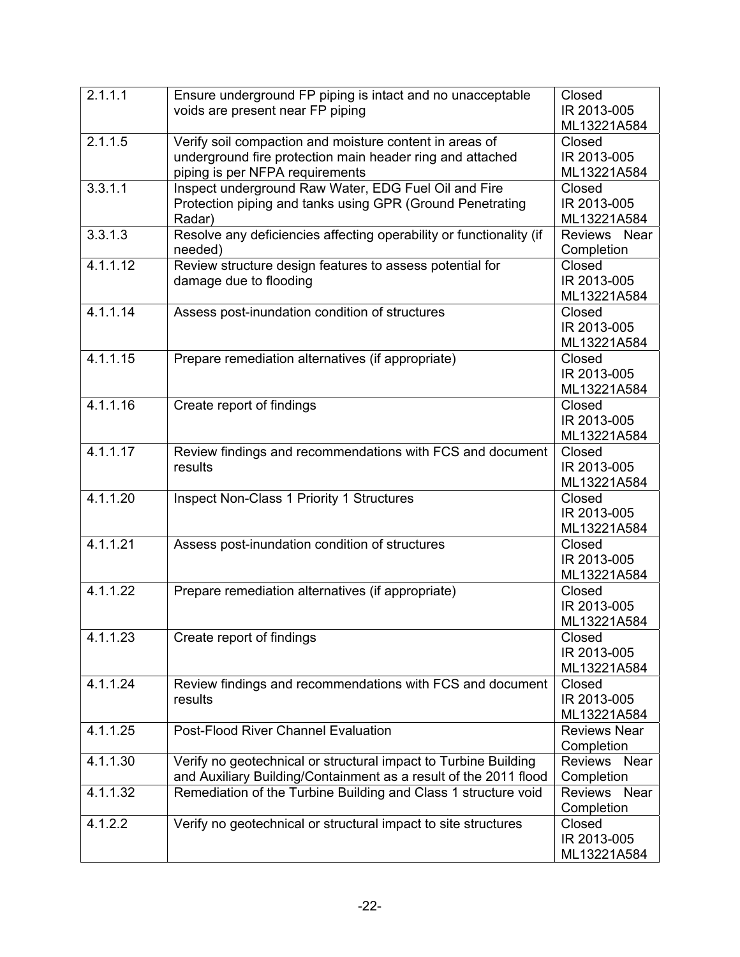| 2.1.1.1  | Ensure underground FP piping is intact and no unacceptable          | Closed              |
|----------|---------------------------------------------------------------------|---------------------|
|          | voids are present near FP piping                                    | IR 2013-005         |
|          |                                                                     | ML13221A584         |
| 2.1.1.5  | Verify soil compaction and moisture content in areas of             | Closed              |
|          | underground fire protection main header ring and attached           | IR 2013-005         |
|          | piping is per NFPA requirements                                     | ML13221A584         |
| 3.3.1.1  | Inspect underground Raw Water, EDG Fuel Oil and Fire                | Closed              |
|          | Protection piping and tanks using GPR (Ground Penetrating           | IR 2013-005         |
|          | Radar)                                                              | ML13221A584         |
| 3.3.1.3  | Resolve any deficiencies affecting operability or functionality (if | Reviews Near        |
|          | needed)                                                             | Completion          |
| 4.1.1.12 | Review structure design features to assess potential for            | Closed              |
|          | damage due to flooding                                              | IR 2013-005         |
|          |                                                                     | ML13221A584         |
| 4.1.1.14 | Assess post-inundation condition of structures                      | Closed              |
|          |                                                                     | IR 2013-005         |
|          |                                                                     | ML13221A584         |
| 4.1.1.15 | Prepare remediation alternatives (if appropriate)                   | Closed              |
|          |                                                                     | IR 2013-005         |
|          |                                                                     | ML13221A584         |
| 4.1.1.16 | Create report of findings                                           | Closed              |
|          |                                                                     | IR 2013-005         |
|          |                                                                     | ML13221A584         |
| 4.1.1.17 | Review findings and recommendations with FCS and document           | Closed              |
|          | results                                                             | IR 2013-005         |
|          |                                                                     | ML13221A584         |
| 4.1.1.20 | Inspect Non-Class 1 Priority 1 Structures                           | Closed              |
|          |                                                                     | IR 2013-005         |
|          |                                                                     | ML13221A584         |
| 4.1.1.21 | Assess post-inundation condition of structures                      | Closed              |
|          |                                                                     | IR 2013-005         |
|          |                                                                     | ML13221A584         |
| 4.1.1.22 | Prepare remediation alternatives (if appropriate)                   | Closed              |
|          |                                                                     | IR 2013-005         |
|          |                                                                     | ML13221A584         |
| 4.1.1.23 | Create report of findings                                           | Closed              |
|          |                                                                     | IR 2013-005         |
|          |                                                                     | ML13221A584         |
| 4.1.1.24 | Review findings and recommendations with FCS and document           | Closed              |
|          | results                                                             | IR 2013-005         |
|          |                                                                     | ML13221A584         |
| 4.1.1.25 | <b>Post-Flood River Channel Evaluation</b>                          | <b>Reviews Near</b> |
|          |                                                                     | Completion          |
| 4.1.1.30 | Verify no geotechnical or structural impact to Turbine Building     | Reviews Near        |
|          | and Auxiliary Building/Containment as a result of the 2011 flood    | Completion          |
| 4.1.1.32 | Remediation of the Turbine Building and Class 1 structure void      | Reviews Near        |
|          |                                                                     | Completion          |
| 4.1.2.2  | Verify no geotechnical or structural impact to site structures      | Closed              |
|          |                                                                     | IR 2013-005         |
|          |                                                                     | ML13221A584         |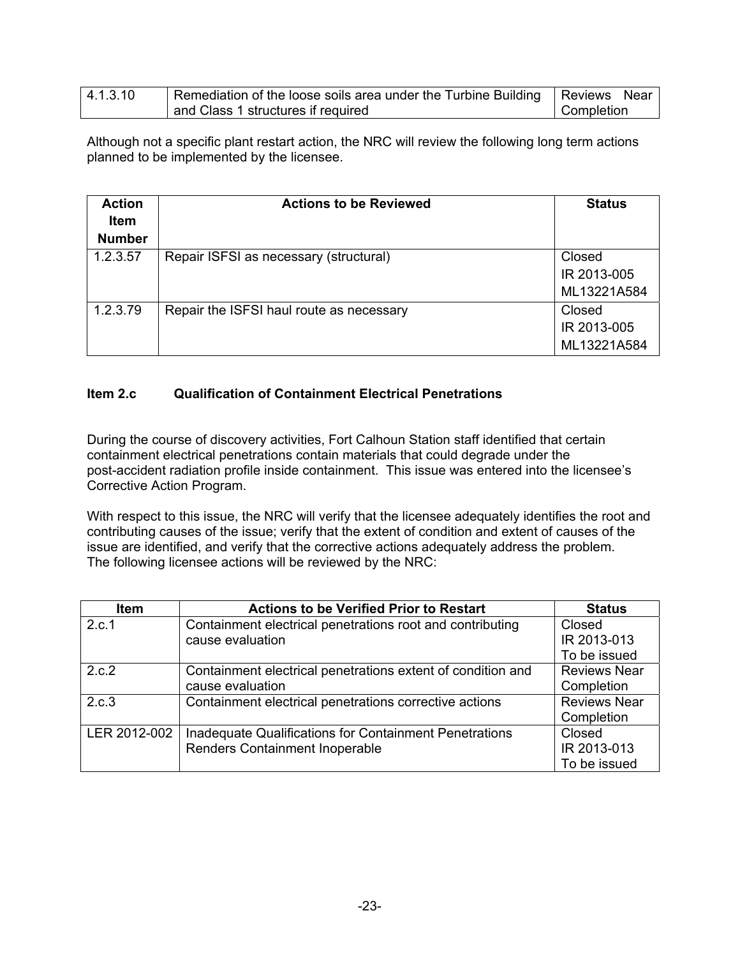| 4.1.3.10 | Remediation of the loose soils area under the Turbine Building   Reviews Near |                   |  |
|----------|-------------------------------------------------------------------------------|-------------------|--|
|          | and Class 1 structures if required                                            | <b>Completion</b> |  |

Although not a specific plant restart action, the NRC will review the following long term actions planned to be implemented by the licensee.

| <b>Action</b><br><b>Item</b><br><b>Number</b> | <b>Actions to be Reviewed</b>            | <b>Status</b>                        |
|-----------------------------------------------|------------------------------------------|--------------------------------------|
| 1.2.3.57                                      | Repair ISFSI as necessary (structural)   | Closed<br>IR 2013-005<br>ML13221A584 |
| 1.2.3.79                                      | Repair the ISFSI haul route as necessary | Closed<br>IR 2013-005<br>ML13221A584 |

#### **Item 2.c Qualification of Containment Electrical Penetrations**

During the course of discovery activities, Fort Calhoun Station staff identified that certain containment electrical penetrations contain materials that could degrade under the post-accident radiation profile inside containment. This issue was entered into the licensee's Corrective Action Program.

With respect to this issue, the NRC will verify that the licensee adequately identifies the root and contributing causes of the issue; verify that the extent of condition and extent of causes of the issue are identified, and verify that the corrective actions adequately address the problem. The following licensee actions will be reviewed by the NRC:

| <b>Item</b>  | <b>Actions to be Verified Prior to Restart</b>              | <b>Status</b>       |
|--------------|-------------------------------------------------------------|---------------------|
| 2.c.1        | Containment electrical penetrations root and contributing   | Closed              |
|              | cause evaluation                                            | IR 2013-013         |
|              |                                                             | To be issued        |
| 2.c.2        | Containment electrical penetrations extent of condition and | <b>Reviews Near</b> |
|              | cause evaluation                                            | Completion          |
| 2.c.3        | Containment electrical penetrations corrective actions      | <b>Reviews Near</b> |
|              |                                                             | Completion          |
| LER 2012-002 | Inadequate Qualifications for Containment Penetrations      | Closed              |
|              | Renders Containment Inoperable                              | IR 2013-013         |
|              |                                                             | To be issued        |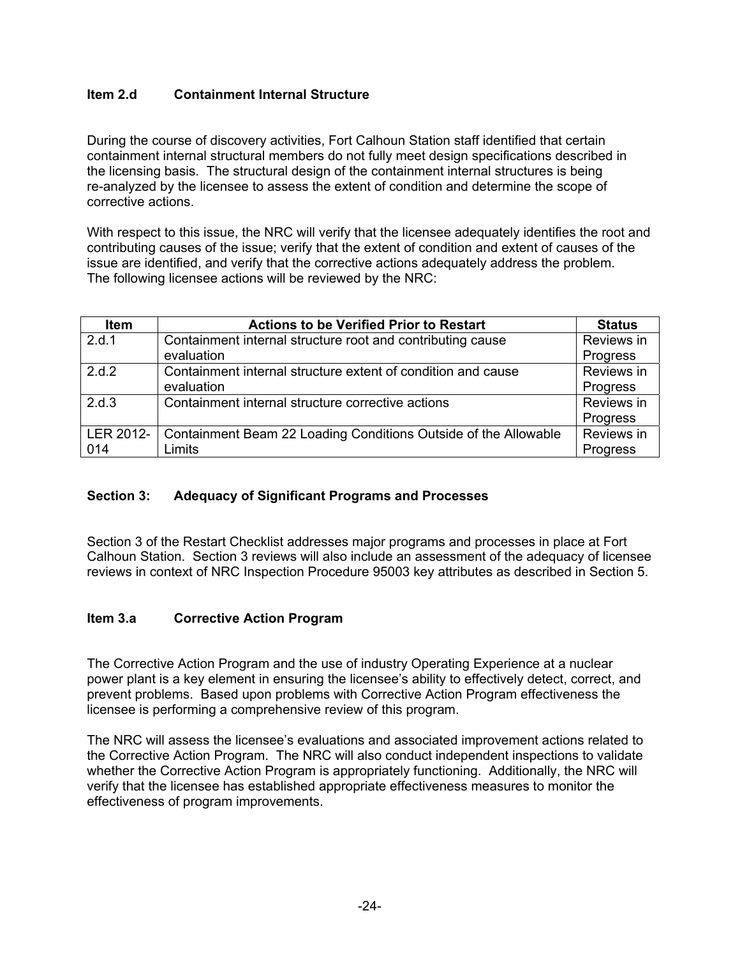## **Item 2.d Containment Internal Structure**

During the course of discovery activities, Fort Calhoun Station staff identified that certain containment internal structural members do not fully meet design specifications described in the licensing basis. The structural design of the containment internal structures is being re-analyzed by the licensee to assess the extent of condition and determine the scope of corrective actions.

With respect to this issue, the NRC will verify that the licensee adequately identifies the root and contributing causes of the issue; verify that the extent of condition and extent of causes of the issue are identified, and verify that the corrective actions adequately address the problem. The following licensee actions will be reviewed by the NRC:

| <b>Item</b> | <b>Actions to be Verified Prior to Restart</b>                  | <b>Status</b> |
|-------------|-----------------------------------------------------------------|---------------|
| 2.d.1       | Containment internal structure root and contributing cause      | Reviews in    |
|             | evaluation                                                      | Progress      |
| 2.d.2       | Containment internal structure extent of condition and cause    | Reviews in    |
|             | evaluation                                                      | Progress      |
| 2.d.3       | Containment internal structure corrective actions               | Reviews in    |
|             |                                                                 | Progress      |
| LER 2012-   | Containment Beam 22 Loading Conditions Outside of the Allowable | Reviews in    |
| 014         | Limits                                                          | Progress      |

#### **Section 3: Adequacy of Significant Programs and Processes**

Section 3 of the Restart Checklist addresses major programs and processes in place at Fort Calhoun Station. Section 3 reviews will also include an assessment of the adequacy of licensee reviews in context of NRC Inspection Procedure 95003 key attributes as described in Section 5.

#### **Item 3.a Corrective Action Program**

The Corrective Action Program and the use of industry Operating Experience at a nuclear power plant is a key element in ensuring the licensee's ability to effectively detect, correct, and prevent problems. Based upon problems with Corrective Action Program effectiveness the licensee is performing a comprehensive review of this program.

The NRC will assess the licensee's evaluations and associated improvement actions related to the Corrective Action Program. The NRC will also conduct independent inspections to validate whether the Corrective Action Program is appropriately functioning. Additionally, the NRC will verify that the licensee has established appropriate effectiveness measures to monitor the effectiveness of program improvements.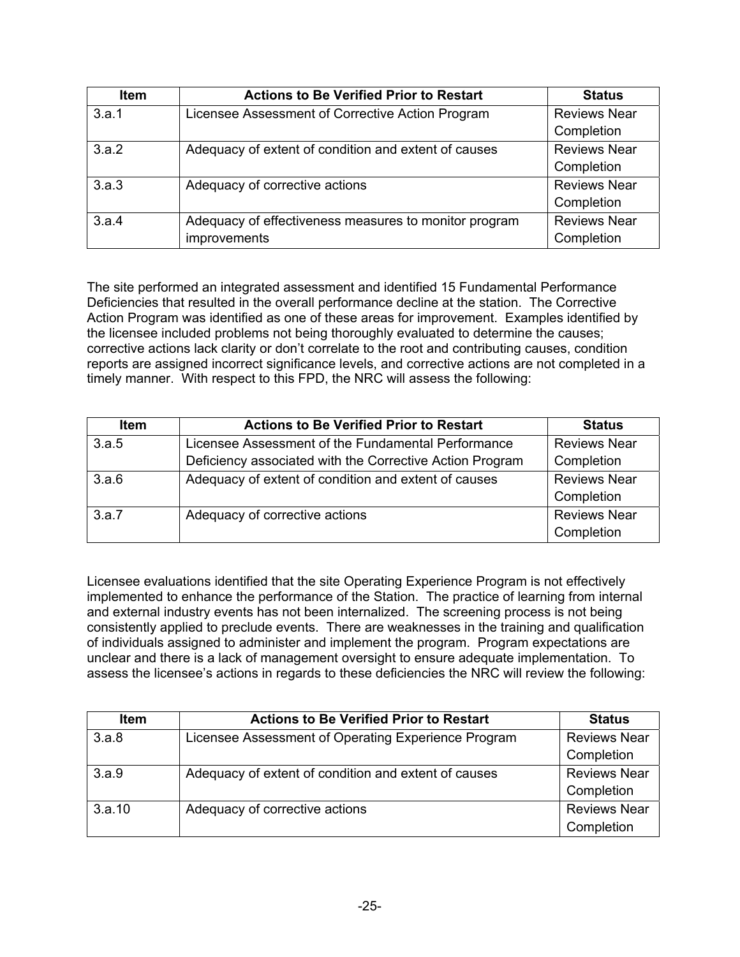| <b>Item</b> | <b>Actions to Be Verified Prior to Restart</b>        | <b>Status</b>       |
|-------------|-------------------------------------------------------|---------------------|
| 3.a.1       | Licensee Assessment of Corrective Action Program      | <b>Reviews Near</b> |
|             |                                                       | Completion          |
| 3.a.2       | Adequacy of extent of condition and extent of causes  | <b>Reviews Near</b> |
|             |                                                       | Completion          |
| 3.a.3       | Adequacy of corrective actions                        | <b>Reviews Near</b> |
|             |                                                       | Completion          |
| 3.a.4       | Adequacy of effectiveness measures to monitor program | <b>Reviews Near</b> |
|             | improvements                                          | Completion          |

The site performed an integrated assessment and identified 15 Fundamental Performance Deficiencies that resulted in the overall performance decline at the station. The Corrective Action Program was identified as one of these areas for improvement. Examples identified by the licensee included problems not being thoroughly evaluated to determine the causes; corrective actions lack clarity or don't correlate to the root and contributing causes, condition reports are assigned incorrect significance levels, and corrective actions are not completed in a timely manner. With respect to this FPD, the NRC will assess the following:

| <b>Item</b> | <b>Actions to Be Verified Prior to Restart</b>           | <b>Status</b>       |
|-------------|----------------------------------------------------------|---------------------|
| 3.a.5       | Licensee Assessment of the Fundamental Performance       | <b>Reviews Near</b> |
|             | Deficiency associated with the Corrective Action Program | Completion          |
| 3.a.6       | Adequacy of extent of condition and extent of causes     | <b>Reviews Near</b> |
|             |                                                          | Completion          |
| 3.a.7       | Adequacy of corrective actions                           | <b>Reviews Near</b> |
|             |                                                          | Completion          |

Licensee evaluations identified that the site Operating Experience Program is not effectively implemented to enhance the performance of the Station. The practice of learning from internal and external industry events has not been internalized. The screening process is not being consistently applied to preclude events. There are weaknesses in the training and qualification of individuals assigned to administer and implement the program. Program expectations are unclear and there is a lack of management oversight to ensure adequate implementation. To assess the licensee's actions in regards to these deficiencies the NRC will review the following:

| <b>Item</b> | <b>Actions to Be Verified Prior to Restart</b>       | <b>Status</b>       |
|-------------|------------------------------------------------------|---------------------|
| 3.a.8       | Licensee Assessment of Operating Experience Program  | <b>Reviews Near</b> |
|             |                                                      | Completion          |
| 3.a.9       | Adequacy of extent of condition and extent of causes | <b>Reviews Near</b> |
|             |                                                      | Completion          |
| 3.a.10      | Adequacy of corrective actions                       | <b>Reviews Near</b> |
|             |                                                      | Completion          |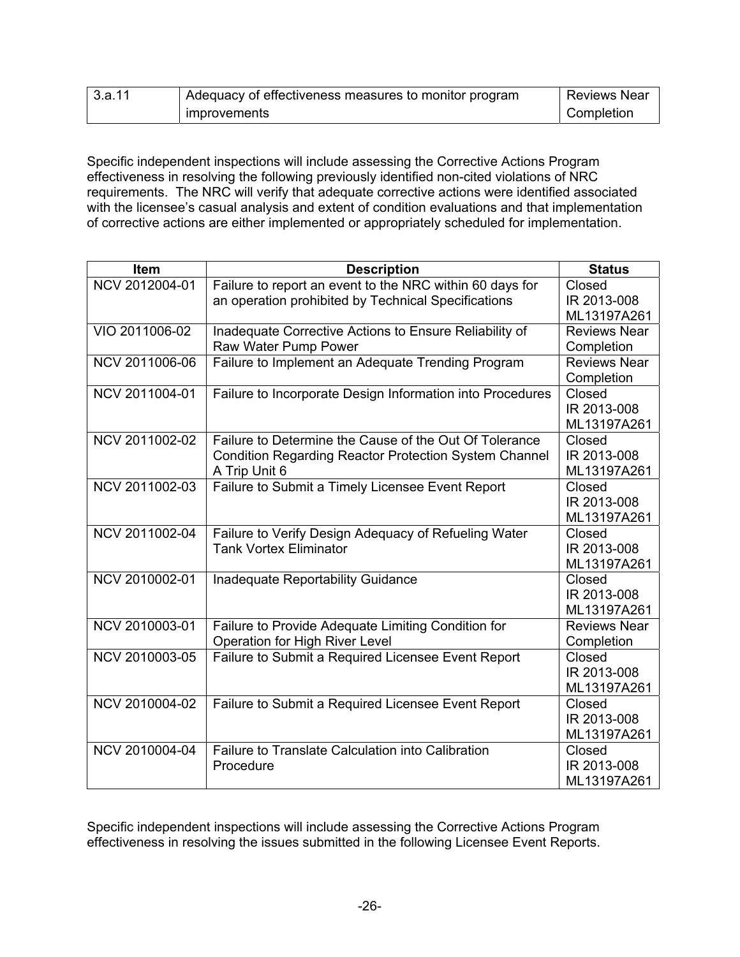| 3.a.11 | Adequacy of effectiveness measures to monitor program | Reviews Near |
|--------|-------------------------------------------------------|--------------|
|        | improvements                                          | Completion   |

Specific independent inspections will include assessing the Corrective Actions Program effectiveness in resolving the following previously identified non-cited violations of NRC requirements. The NRC will verify that adequate corrective actions were identified associated with the licensee's casual analysis and extent of condition evaluations and that implementation of corrective actions are either implemented or appropriately scheduled for implementation.

| <b>Item</b>    | <b>Description</b>                                                                                                                      | <b>Status</b>                        |
|----------------|-----------------------------------------------------------------------------------------------------------------------------------------|--------------------------------------|
| NCV 2012004-01 | Failure to report an event to the NRC within 60 days for<br>an operation prohibited by Technical Specifications                         | Closed<br>IR 2013-008<br>ML13197A261 |
| VIO 2011006-02 | Inadequate Corrective Actions to Ensure Reliability of<br>Raw Water Pump Power                                                          | <b>Reviews Near</b><br>Completion    |
| NCV 2011006-06 | Failure to Implement an Adequate Trending Program                                                                                       | <b>Reviews Near</b><br>Completion    |
| NCV 2011004-01 | Failure to Incorporate Design Information into Procedures                                                                               | Closed<br>IR 2013-008<br>ML13197A261 |
| NCV 2011002-02 | Failure to Determine the Cause of the Out Of Tolerance<br><b>Condition Regarding Reactor Protection System Channel</b><br>A Trip Unit 6 | Closed<br>IR 2013-008<br>ML13197A261 |
| NCV 2011002-03 | Failure to Submit a Timely Licensee Event Report                                                                                        | Closed<br>IR 2013-008<br>ML13197A261 |
| NCV 2011002-04 | Failure to Verify Design Adequacy of Refueling Water<br><b>Tank Vortex Eliminator</b>                                                   | Closed<br>IR 2013-008<br>ML13197A261 |
| NCV 2010002-01 | Inadequate Reportability Guidance                                                                                                       | Closed<br>IR 2013-008<br>ML13197A261 |
| NCV 2010003-01 | Failure to Provide Adequate Limiting Condition for<br>Operation for High River Level                                                    | <b>Reviews Near</b><br>Completion    |
| NCV 2010003-05 | Failure to Submit a Required Licensee Event Report                                                                                      | Closed<br>IR 2013-008<br>ML13197A261 |
| NCV 2010004-02 | Failure to Submit a Required Licensee Event Report                                                                                      | Closed<br>IR 2013-008<br>ML13197A261 |
| NCV 2010004-04 | Failure to Translate Calculation into Calibration<br>Procedure                                                                          | Closed<br>IR 2013-008<br>ML13197A261 |

Specific independent inspections will include assessing the Corrective Actions Program effectiveness in resolving the issues submitted in the following Licensee Event Reports.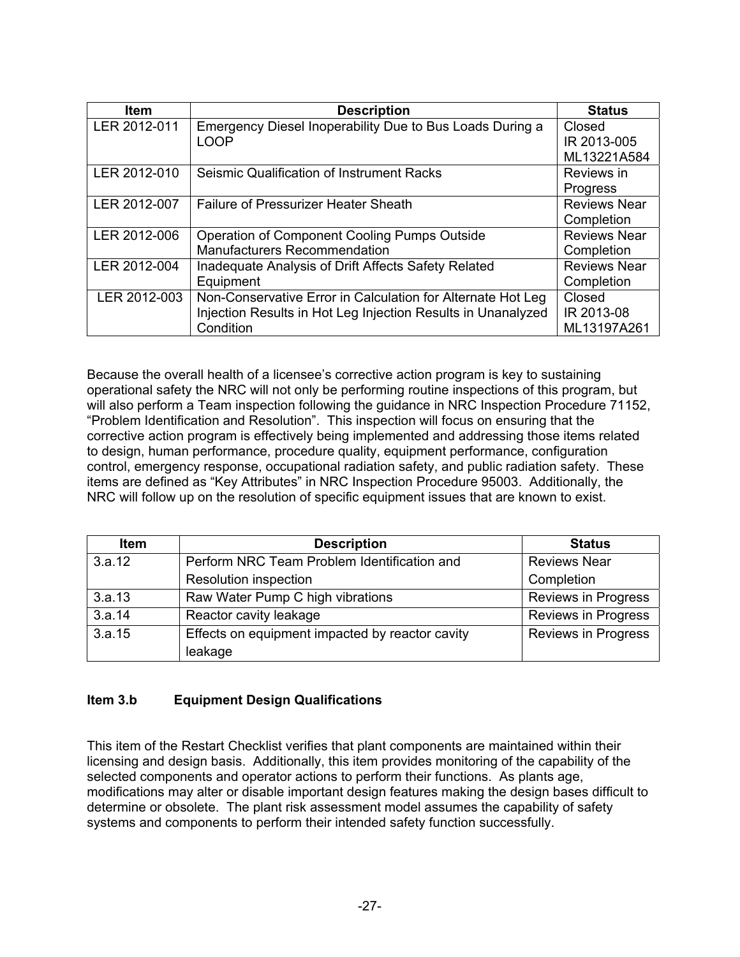| Item         | <b>Description</b>                                           | <b>Status</b>       |
|--------------|--------------------------------------------------------------|---------------------|
| LER 2012-011 | Emergency Diesel Inoperability Due to Bus Loads During a     | Closed              |
|              | <b>LOOP</b>                                                  | IR 2013-005         |
|              |                                                              | ML13221A584         |
| LER 2012-010 | Seismic Qualification of Instrument Racks                    | Reviews in          |
|              |                                                              | Progress            |
| LER 2012-007 | <b>Failure of Pressurizer Heater Sheath</b>                  | <b>Reviews Near</b> |
|              |                                                              | Completion          |
| LER 2012-006 | Operation of Component Cooling Pumps Outside                 | <b>Reviews Near</b> |
|              | <b>Manufacturers Recommendation</b>                          | Completion          |
| LER 2012-004 | Inadequate Analysis of Drift Affects Safety Related          | <b>Reviews Near</b> |
|              | Equipment                                                    | Completion          |
| LER 2012-003 | Non-Conservative Error in Calculation for Alternate Hot Leg  | Closed              |
|              | Injection Results in Hot Leg Injection Results in Unanalyzed | IR 2013-08          |
|              | Condition                                                    | ML13197A261         |

Because the overall health of a licensee's corrective action program is key to sustaining operational safety the NRC will not only be performing routine inspections of this program, but will also perform a Team inspection following the guidance in NRC Inspection Procedure 71152, "Problem Identification and Resolution". This inspection will focus on ensuring that the corrective action program is effectively being implemented and addressing those items related to design, human performance, procedure quality, equipment performance, configuration control, emergency response, occupational radiation safety, and public radiation safety. These items are defined as "Key Attributes" in NRC Inspection Procedure 95003. Additionally, the NRC will follow up on the resolution of specific equipment issues that are known to exist.

| Item   | <b>Description</b>                              | <b>Status</b>              |
|--------|-------------------------------------------------|----------------------------|
| 3.a.12 | Perform NRC Team Problem Identification and     | <b>Reviews Near</b>        |
|        | Resolution inspection                           | Completion                 |
| 3.a.13 | Raw Water Pump C high vibrations                | <b>Reviews in Progress</b> |
| 3.a.14 | Reactor cavity leakage                          | <b>Reviews in Progress</b> |
| 3.a.15 | Effects on equipment impacted by reactor cavity | <b>Reviews in Progress</b> |
|        | leakage                                         |                            |

## **Item 3.b Equipment Design Qualifications**

This item of the Restart Checklist verifies that plant components are maintained within their licensing and design basis. Additionally, this item provides monitoring of the capability of the selected components and operator actions to perform their functions. As plants age, modifications may alter or disable important design features making the design bases difficult to determine or obsolete. The plant risk assessment model assumes the capability of safety systems and components to perform their intended safety function successfully.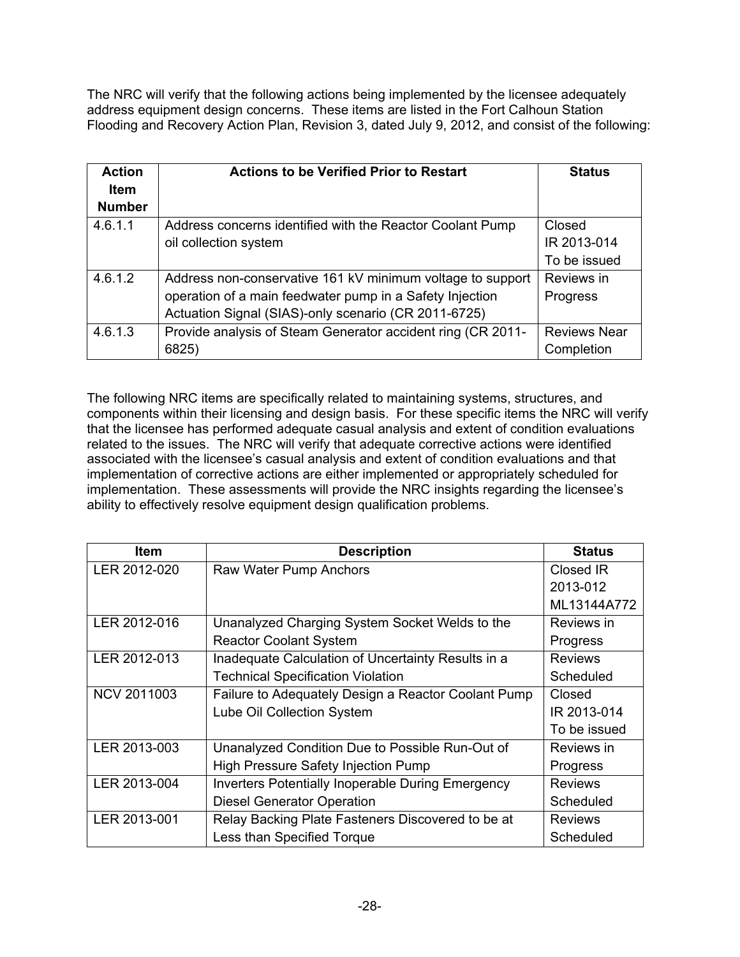The NRC will verify that the following actions being implemented by the licensee adequately address equipment design concerns. These items are listed in the Fort Calhoun Station Flooding and Recovery Action Plan, Revision 3, dated July 9, 2012, and consist of the following:

| <b>Action</b> | <b>Actions to be Verified Prior to Restart</b>              | <b>Status</b>       |
|---------------|-------------------------------------------------------------|---------------------|
| <b>Item</b>   |                                                             |                     |
| <b>Number</b> |                                                             |                     |
| 4.6.1.1       | Address concerns identified with the Reactor Coolant Pump   | Closed              |
|               | oil collection system                                       | IR 2013-014         |
|               |                                                             | To be issued        |
| 4.6.1.2       | Address non-conservative 161 kV minimum voltage to support  | Reviews in          |
|               | operation of a main feedwater pump in a Safety Injection    | Progress            |
|               | Actuation Signal (SIAS)-only scenario (CR 2011-6725)        |                     |
| 4.6.1.3       | Provide analysis of Steam Generator accident ring (CR 2011- | <b>Reviews Near</b> |
|               | 6825)                                                       | Completion          |

The following NRC items are specifically related to maintaining systems, structures, and components within their licensing and design basis. For these specific items the NRC will verify that the licensee has performed adequate casual analysis and extent of condition evaluations related to the issues. The NRC will verify that adequate corrective actions were identified associated with the licensee's casual analysis and extent of condition evaluations and that implementation of corrective actions are either implemented or appropriately scheduled for implementation. These assessments will provide the NRC insights regarding the licensee's ability to effectively resolve equipment design qualification problems.

| <b>Item</b>        | <b>Description</b>                                       | <b>Status</b>  |
|--------------------|----------------------------------------------------------|----------------|
| LER 2012-020       | Raw Water Pump Anchors                                   | Closed IR      |
|                    |                                                          | 2013-012       |
|                    |                                                          | ML13144A772    |
| LER 2012-016       | Unanalyzed Charging System Socket Welds to the           | Reviews in     |
|                    | <b>Reactor Coolant System</b>                            | Progress       |
| LER 2012-013       | Inadequate Calculation of Uncertainty Results in a       | <b>Reviews</b> |
|                    | <b>Technical Specification Violation</b>                 | Scheduled      |
| <b>NCV 2011003</b> | Failure to Adequately Design a Reactor Coolant Pump      | Closed         |
|                    | Lube Oil Collection System                               | IR 2013-014    |
|                    |                                                          | To be issued   |
| LER 2013-003       | Unanalyzed Condition Due to Possible Run-Out of          | Reviews in     |
|                    | High Pressure Safety Injection Pump                      | Progress       |
| LER 2013-004       | <b>Inverters Potentially Inoperable During Emergency</b> | <b>Reviews</b> |
|                    | <b>Diesel Generator Operation</b>                        | Scheduled      |
| LER 2013-001       | Relay Backing Plate Fasteners Discovered to be at        | <b>Reviews</b> |
|                    | Less than Specified Torque                               | Scheduled      |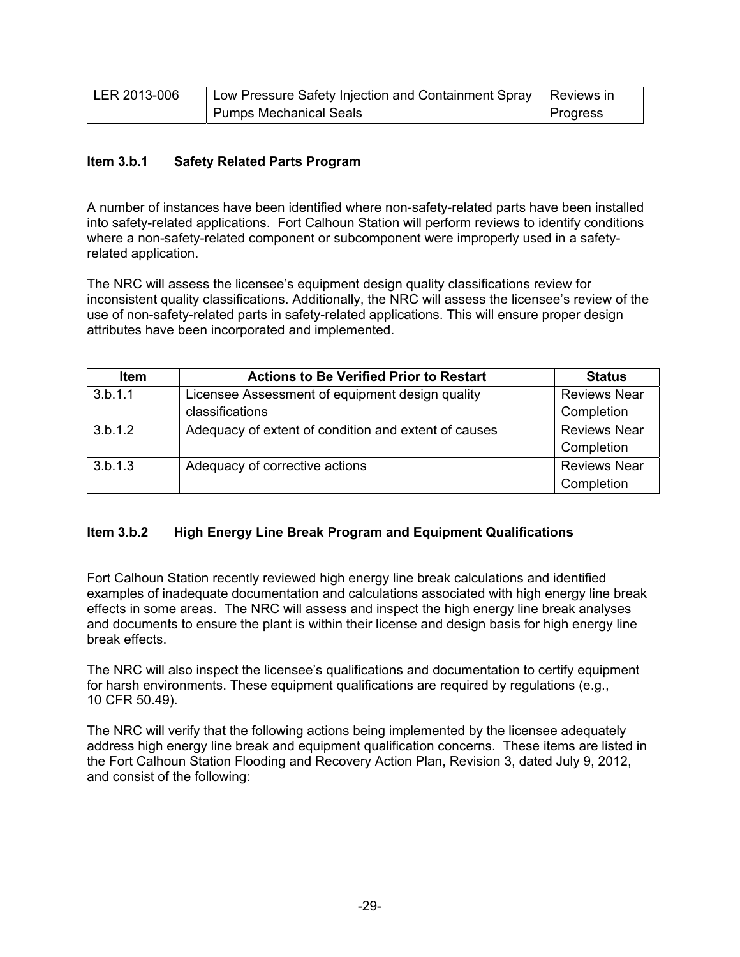| LER 2013-006 | Low Pressure Safety Injection and Containment Spray   Reviews in |          |
|--------------|------------------------------------------------------------------|----------|
|              | Pumps Mechanical Seals                                           | Progress |

## **Item 3.b.1 Safety Related Parts Program**

A number of instances have been identified where non-safety-related parts have been installed into safety-related applications. Fort Calhoun Station will perform reviews to identify conditions where a non-safety-related component or subcomponent were improperly used in a safetyrelated application.

The NRC will assess the licensee's equipment design quality classifications review for inconsistent quality classifications. Additionally, the NRC will assess the licensee's review of the use of non-safety-related parts in safety-related applications. This will ensure proper design attributes have been incorporated and implemented.

| <b>Item</b> | <b>Actions to Be Verified Prior to Restart</b>       | <b>Status</b>       |
|-------------|------------------------------------------------------|---------------------|
| 3.b.1.1     | Licensee Assessment of equipment design quality      | <b>Reviews Near</b> |
|             | classifications                                      | Completion          |
| 3.b.1.2     | Adequacy of extent of condition and extent of causes | <b>Reviews Near</b> |
|             |                                                      | Completion          |
| 3.b.1.3     | Adequacy of corrective actions                       | <b>Reviews Near</b> |
|             |                                                      | Completion          |

## **Item 3.b.2 High Energy Line Break Program and Equipment Qualifications**

Fort Calhoun Station recently reviewed high energy line break calculations and identified examples of inadequate documentation and calculations associated with high energy line break effects in some areas. The NRC will assess and inspect the high energy line break analyses and documents to ensure the plant is within their license and design basis for high energy line break effects.

The NRC will also inspect the licensee's qualifications and documentation to certify equipment for harsh environments. These equipment qualifications are required by regulations (e.g., 10 CFR 50.49).

The NRC will verify that the following actions being implemented by the licensee adequately address high energy line break and equipment qualification concerns. These items are listed in the Fort Calhoun Station Flooding and Recovery Action Plan, Revision 3, dated July 9, 2012, and consist of the following: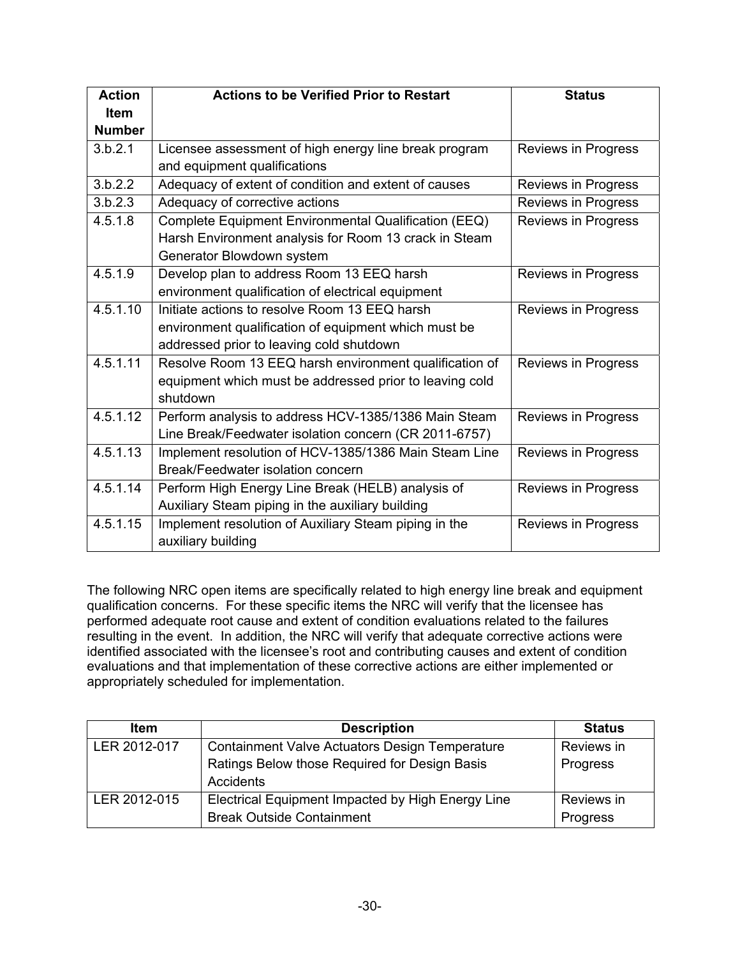| <b>Action</b> | <b>Actions to be Verified Prior to Restart</b>          | <b>Status</b>              |
|---------------|---------------------------------------------------------|----------------------------|
| <b>Item</b>   |                                                         |                            |
| <b>Number</b> |                                                         |                            |
| 3.b.2.1       | Licensee assessment of high energy line break program   | <b>Reviews in Progress</b> |
|               | and equipment qualifications                            |                            |
| 3.b.2.2       | Adequacy of extent of condition and extent of causes    | <b>Reviews in Progress</b> |
| 3.b.2.3       | Adequacy of corrective actions                          | Reviews in Progress        |
| 4.5.1.8       | Complete Equipment Environmental Qualification (EEQ)    | Reviews in Progress        |
|               | Harsh Environment analysis for Room 13 crack in Steam   |                            |
|               | Generator Blowdown system                               |                            |
| 4.5.1.9       | Develop plan to address Room 13 EEQ harsh               | Reviews in Progress        |
|               | environment qualification of electrical equipment       |                            |
| 4.5.1.10      | Initiate actions to resolve Room 13 EEQ harsh           | Reviews in Progress        |
|               | environment qualification of equipment which must be    |                            |
|               | addressed prior to leaving cold shutdown                |                            |
| 4.5.1.11      | Resolve Room 13 EEQ harsh environment qualification of  | Reviews in Progress        |
|               | equipment which must be addressed prior to leaving cold |                            |
|               | shutdown                                                |                            |
| 4.5.1.12      | Perform analysis to address HCV-1385/1386 Main Steam    | <b>Reviews in Progress</b> |
|               | Line Break/Feedwater isolation concern (CR 2011-6757)   |                            |
| 4.5.1.13      | Implement resolution of HCV-1385/1386 Main Steam Line   | <b>Reviews in Progress</b> |
|               | Break/Feedwater isolation concern                       |                            |
| 4.5.1.14      | Perform High Energy Line Break (HELB) analysis of       | Reviews in Progress        |
|               | Auxiliary Steam piping in the auxiliary building        |                            |
| 4.5.1.15      | Implement resolution of Auxiliary Steam piping in the   | Reviews in Progress        |
|               | auxiliary building                                      |                            |

The following NRC open items are specifically related to high energy line break and equipment qualification concerns. For these specific items the NRC will verify that the licensee has performed adequate root cause and extent of condition evaluations related to the failures resulting in the event. In addition, the NRC will verify that adequate corrective actions were identified associated with the licensee's root and contributing causes and extent of condition evaluations and that implementation of these corrective actions are either implemented or appropriately scheduled for implementation.

| <b>Item</b>  | <b>Description</b>                                | <b>Status</b> |
|--------------|---------------------------------------------------|---------------|
| LER 2012-017 | Containment Valve Actuators Design Temperature    | Reviews in    |
|              | Ratings Below those Required for Design Basis     | Progress      |
|              | Accidents                                         |               |
| LER 2012-015 | Electrical Equipment Impacted by High Energy Line | Reviews in    |
|              | <b>Break Outside Containment</b>                  | Progress      |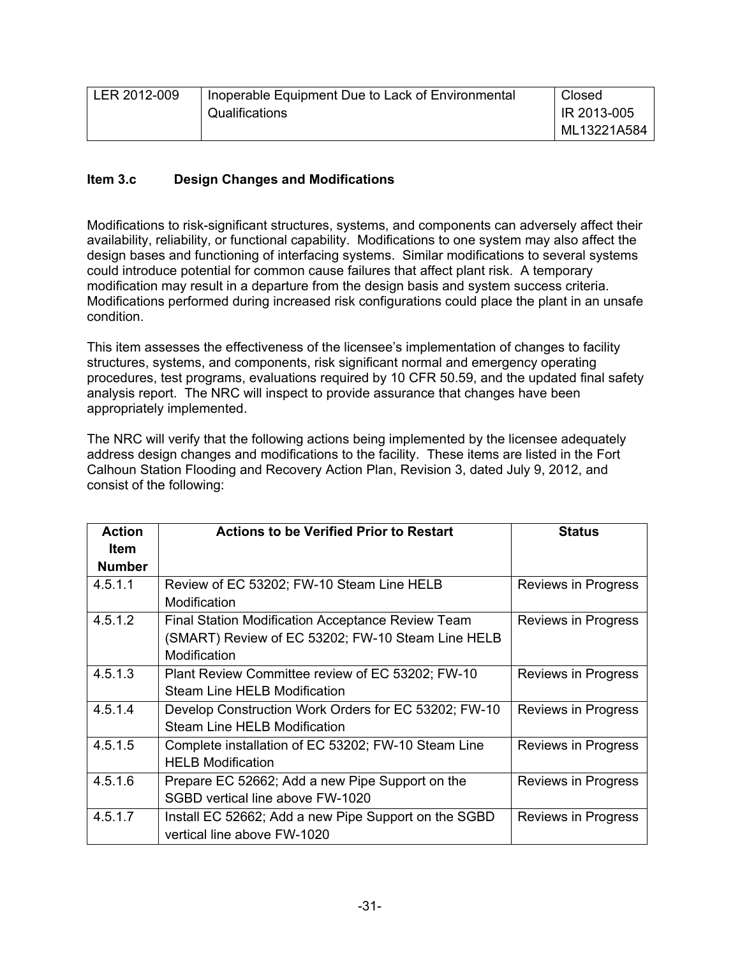| LER 2012-009 | Inoperable Equipment Due to Lack of Environmental | Closed      |
|--------------|---------------------------------------------------|-------------|
|              | Qualifications                                    | IR 2013-005 |
|              |                                                   | ML13221A584 |

## **Item 3.c Design Changes and Modifications**

Modifications to risk-significant structures, systems, and components can adversely affect their availability, reliability, or functional capability. Modifications to one system may also affect the design bases and functioning of interfacing systems. Similar modifications to several systems could introduce potential for common cause failures that affect plant risk. A temporary modification may result in a departure from the design basis and system success criteria. Modifications performed during increased risk configurations could place the plant in an unsafe condition.

This item assesses the effectiveness of the licensee's implementation of changes to facility structures, systems, and components, risk significant normal and emergency operating procedures, test programs, evaluations required by 10 CFR 50.59, and the updated final safety analysis report. The NRC will inspect to provide assurance that changes have been appropriately implemented.

The NRC will verify that the following actions being implemented by the licensee adequately address design changes and modifications to the facility. These items are listed in the Fort Calhoun Station Flooding and Recovery Action Plan, Revision 3, dated July 9, 2012, and consist of the following:

| <b>Action</b> | <b>Actions to be Verified Prior to Restart</b>       | <b>Status</b>              |
|---------------|------------------------------------------------------|----------------------------|
| <b>Item</b>   |                                                      |                            |
| <b>Number</b> |                                                      |                            |
| 4.5.1.1       | Review of EC 53202; FW-10 Steam Line HELB            | Reviews in Progress        |
|               | Modification                                         |                            |
| 4.5.1.2       | Final Station Modification Acceptance Review Team    | Reviews in Progress        |
|               | (SMART) Review of EC 53202; FW-10 Steam Line HELB    |                            |
|               | Modification                                         |                            |
| 4.5.1.3       | Plant Review Committee review of EC 53202; FW-10     | Reviews in Progress        |
|               | <b>Steam Line HELB Modification</b>                  |                            |
| 4.5.1.4       | Develop Construction Work Orders for EC 53202; FW-10 | <b>Reviews in Progress</b> |
|               | Steam Line HELB Modification                         |                            |
| 4.5.1.5       | Complete installation of EC 53202; FW-10 Steam Line  | Reviews in Progress        |
|               | <b>HELB Modification</b>                             |                            |
| 4.5.1.6       | Prepare EC 52662; Add a new Pipe Support on the      | Reviews in Progress        |
|               | SGBD vertical line above FW-1020                     |                            |
| 4.5.1.7       | Install EC 52662; Add a new Pipe Support on the SGBD | Reviews in Progress        |
|               | vertical line above FW-1020                          |                            |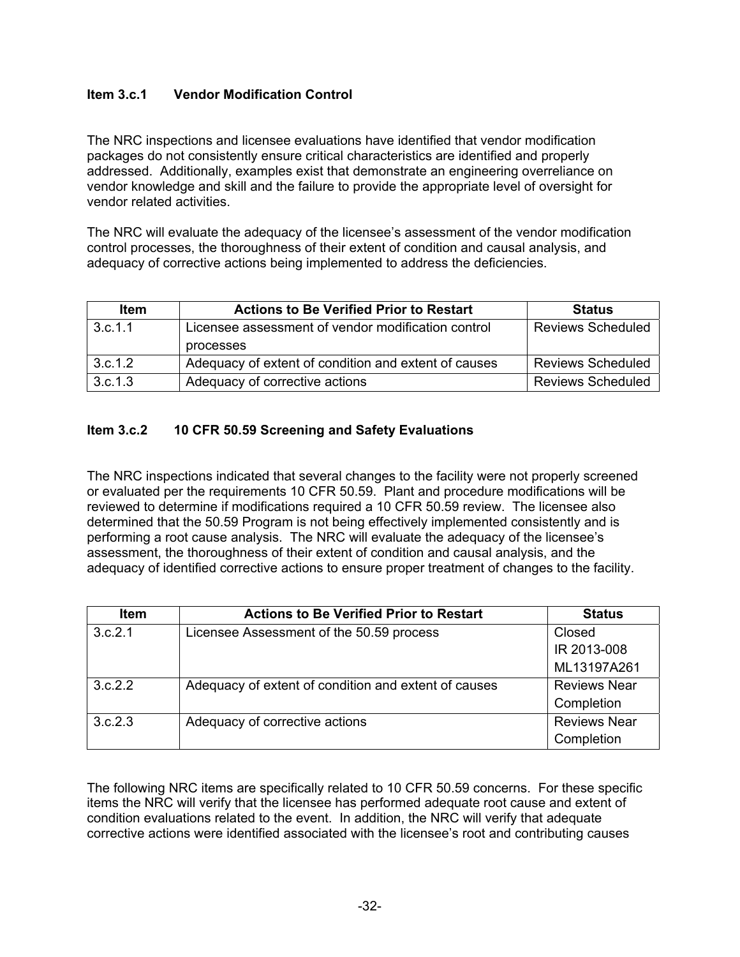## **Item 3.c.1 Vendor Modification Control**

The NRC inspections and licensee evaluations have identified that vendor modification packages do not consistently ensure critical characteristics are identified and properly addressed. Additionally, examples exist that demonstrate an engineering overreliance on vendor knowledge and skill and the failure to provide the appropriate level of oversight for vendor related activities.

The NRC will evaluate the adequacy of the licensee's assessment of the vendor modification control processes, the thoroughness of their extent of condition and causal analysis, and adequacy of corrective actions being implemented to address the deficiencies.

| <b>Item</b> | <b>Actions to Be Verified Prior to Restart</b>       | <b>Status</b>            |
|-------------|------------------------------------------------------|--------------------------|
| 3.c.1.1     | Licensee assessment of vendor modification control   | <b>Reviews Scheduled</b> |
|             | processes                                            |                          |
| 3.c.1.2     | Adequacy of extent of condition and extent of causes | <b>Reviews Scheduled</b> |
| 3.c.1.3     | Adequacy of corrective actions                       | <b>Reviews Scheduled</b> |

## **Item 3.c.2 10 CFR 50.59 Screening and Safety Evaluations**

The NRC inspections indicated that several changes to the facility were not properly screened or evaluated per the requirements 10 CFR 50.59. Plant and procedure modifications will be reviewed to determine if modifications required a 10 CFR 50.59 review. The licensee also determined that the 50.59 Program is not being effectively implemented consistently and is performing a root cause analysis. The NRC will evaluate the adequacy of the licensee's assessment, the thoroughness of their extent of condition and causal analysis, and the adequacy of identified corrective actions to ensure proper treatment of changes to the facility.

| <b>Item</b> | <b>Actions to Be Verified Prior to Restart</b>       | <b>Status</b>       |
|-------------|------------------------------------------------------|---------------------|
| 3.c.2.1     | Licensee Assessment of the 50.59 process             | Closed              |
|             |                                                      | IR 2013-008         |
|             |                                                      | ML13197A261         |
| 3.c.2.2     | Adequacy of extent of condition and extent of causes | <b>Reviews Near</b> |
|             |                                                      | Completion          |
| 3.c.2.3     | Adequacy of corrective actions                       | <b>Reviews Near</b> |
|             |                                                      | Completion          |

The following NRC items are specifically related to 10 CFR 50.59 concerns. For these specific items the NRC will verify that the licensee has performed adequate root cause and extent of condition evaluations related to the event. In addition, the NRC will verify that adequate corrective actions were identified associated with the licensee's root and contributing causes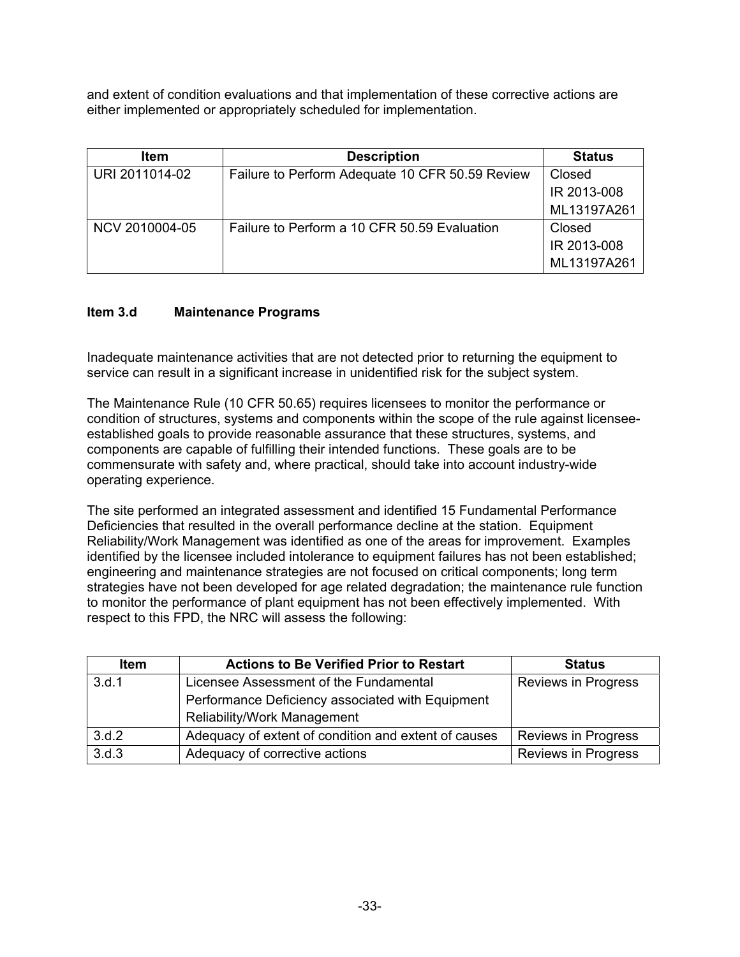and extent of condition evaluations and that implementation of these corrective actions are either implemented or appropriately scheduled for implementation.

| ltem           | <b>Description</b>                              | <b>Status</b> |
|----------------|-------------------------------------------------|---------------|
| URI 2011014-02 | Failure to Perform Adequate 10 CFR 50.59 Review | Closed        |
|                |                                                 | IR 2013-008   |
|                |                                                 | ML13197A261   |
| NCV 2010004-05 | Failure to Perform a 10 CFR 50.59 Evaluation    | Closed        |
|                |                                                 | IR 2013-008   |
|                |                                                 | ML13197A261   |

#### **Item 3.d Maintenance Programs**

Inadequate maintenance activities that are not detected prior to returning the equipment to service can result in a significant increase in unidentified risk for the subject system.

The Maintenance Rule (10 CFR 50.65) requires licensees to monitor the performance or condition of structures, systems and components within the scope of the rule against licenseeestablished goals to provide reasonable assurance that these structures, systems, and components are capable of fulfilling their intended functions. These goals are to be commensurate with safety and, where practical, should take into account industry-wide operating experience.

The site performed an integrated assessment and identified 15 Fundamental Performance Deficiencies that resulted in the overall performance decline at the station. Equipment Reliability/Work Management was identified as one of the areas for improvement. Examples identified by the licensee included intolerance to equipment failures has not been established; engineering and maintenance strategies are not focused on critical components; long term strategies have not been developed for age related degradation; the maintenance rule function to monitor the performance of plant equipment has not been effectively implemented. With respect to this FPD, the NRC will assess the following:

| <b>Item</b> | <b>Actions to Be Verified Prior to Restart</b>       | <b>Status</b>              |
|-------------|------------------------------------------------------|----------------------------|
| 3.d.1       | Licensee Assessment of the Fundamental               | <b>Reviews in Progress</b> |
|             | Performance Deficiency associated with Equipment     |                            |
|             | <b>Reliability/Work Management</b>                   |                            |
| 3.d.2       | Adequacy of extent of condition and extent of causes | <b>Reviews in Progress</b> |
| 3.d.3       | Adequacy of corrective actions                       | <b>Reviews in Progress</b> |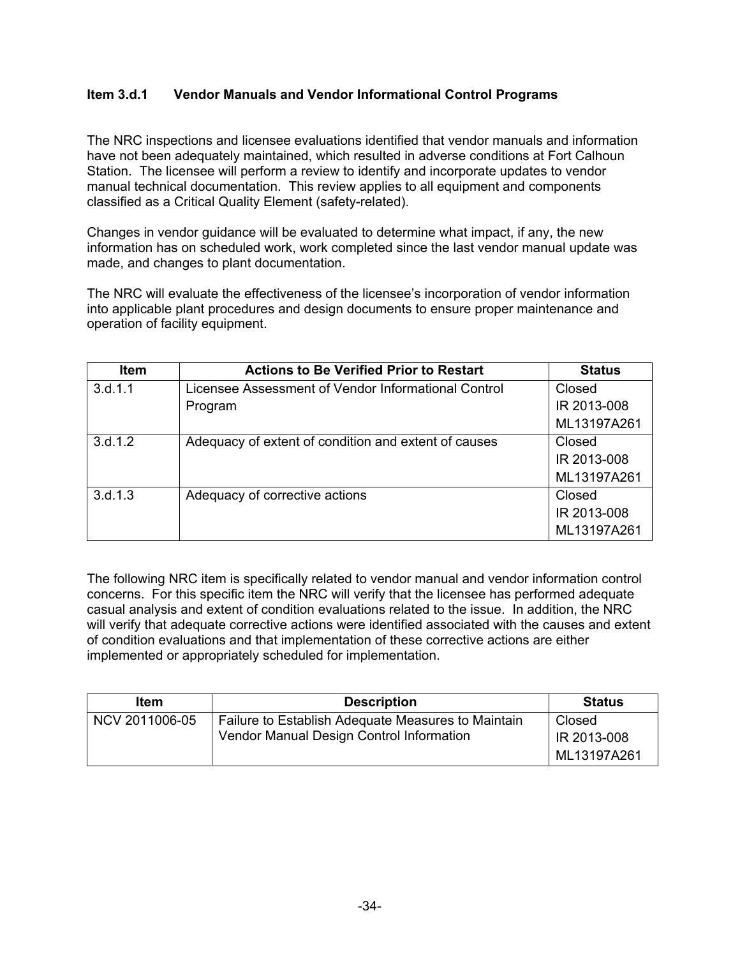## **Item 3.d.1 Vendor Manuals and Vendor Informational Control Programs**

The NRC inspections and licensee evaluations identified that vendor manuals and information have not been adequately maintained, which resulted in adverse conditions at Fort Calhoun Station. The licensee will perform a review to identify and incorporate updates to vendor manual technical documentation. This review applies to all equipment and components classified as a Critical Quality Element (safety-related).

Changes in vendor guidance will be evaluated to determine what impact, if any, the new information has on scheduled work, work completed since the last vendor manual update was made, and changes to plant documentation.

The NRC will evaluate the effectiveness of the licensee's incorporation of vendor information into applicable plant procedures and design documents to ensure proper maintenance and operation of facility equipment.

| <b>Item</b> | <b>Actions to Be Verified Prior to Restart</b>       | <b>Status</b> |
|-------------|------------------------------------------------------|---------------|
| 3.d.1.1     | Licensee Assessment of Vendor Informational Control  | Closed        |
|             | Program                                              | IR 2013-008   |
|             |                                                      | ML13197A261   |
| 3.d.1.2     | Adequacy of extent of condition and extent of causes | Closed        |
|             |                                                      | IR 2013-008   |
|             |                                                      | ML13197A261   |
| 3.d.1.3     | Adequacy of corrective actions                       | Closed        |
|             |                                                      | IR 2013-008   |
|             |                                                      | ML13197A261   |

The following NRC item is specifically related to vendor manual and vendor information control concerns. For this specific item the NRC will verify that the licensee has performed adequate casual analysis and extent of condition evaluations related to the issue. In addition, the NRC will verify that adequate corrective actions were identified associated with the causes and extent of condition evaluations and that implementation of these corrective actions are either implemented or appropriately scheduled for implementation.

| <b>Item</b>    | <b>Description</b>                                                                             | <b>Status</b>                        |
|----------------|------------------------------------------------------------------------------------------------|--------------------------------------|
| NCV 2011006-05 | Failure to Establish Adequate Measures to Maintain<br>Vendor Manual Design Control Information | Closed<br>IR 2013-008<br>ML13197A261 |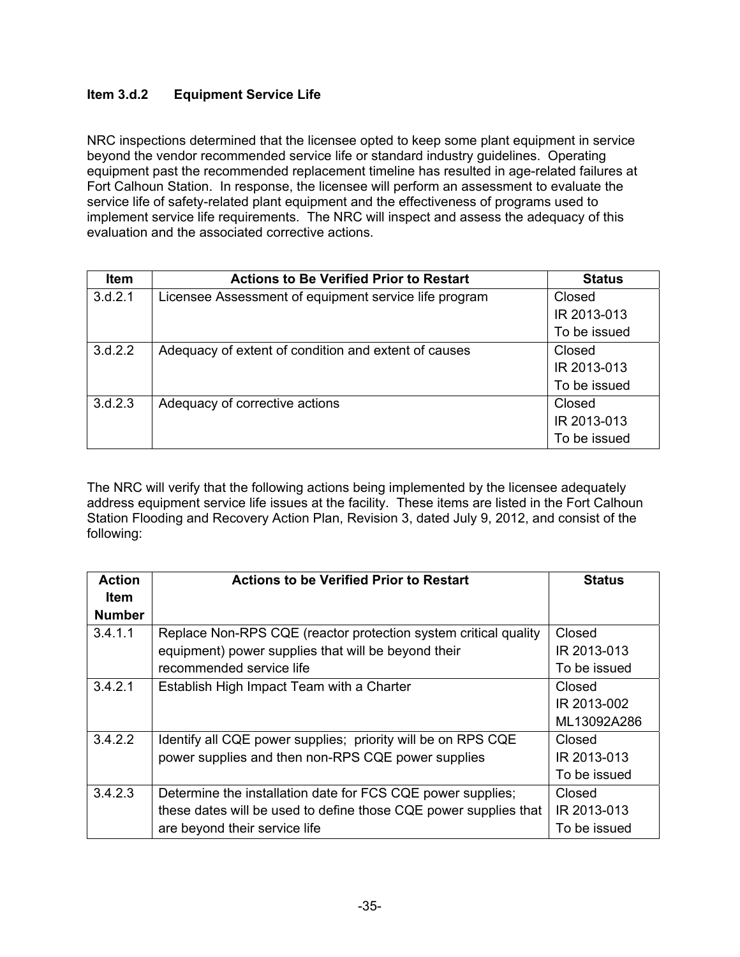## **Item 3.d.2 Equipment Service Life**

NRC inspections determined that the licensee opted to keep some plant equipment in service beyond the vendor recommended service life or standard industry guidelines. Operating equipment past the recommended replacement timeline has resulted in age-related failures at Fort Calhoun Station. In response, the licensee will perform an assessment to evaluate the service life of safety-related plant equipment and the effectiveness of programs used to implement service life requirements. The NRC will inspect and assess the adequacy of this evaluation and the associated corrective actions.

| Item    | <b>Actions to Be Verified Prior to Restart</b>        | <b>Status</b> |
|---------|-------------------------------------------------------|---------------|
| 3.d.2.1 | Licensee Assessment of equipment service life program | Closed        |
|         |                                                       | IR 2013-013   |
|         |                                                       | To be issued  |
| 3.d.2.2 | Adequacy of extent of condition and extent of causes  | Closed        |
|         |                                                       | IR 2013-013   |
|         |                                                       | To be issued  |
| 3.d.2.3 | Adequacy of corrective actions                        | Closed        |
|         |                                                       | IR 2013-013   |
|         |                                                       | To be issued  |

The NRC will verify that the following actions being implemented by the licensee adequately address equipment service life issues at the facility. These items are listed in the Fort Calhoun Station Flooding and Recovery Action Plan, Revision 3, dated July 9, 2012, and consist of the following:

| <b>Action</b> | <b>Actions to be Verified Prior to Restart</b>                   | <b>Status</b> |
|---------------|------------------------------------------------------------------|---------------|
| <b>Item</b>   |                                                                  |               |
| <b>Number</b> |                                                                  |               |
| 3.4.1.1       | Replace Non-RPS CQE (reactor protection system critical quality  | Closed        |
|               | equipment) power supplies that will be beyond their              | IR 2013-013   |
|               | recommended service life                                         | To be issued  |
| 3.4.2.1       | Establish High Impact Team with a Charter                        | <b>Closed</b> |
|               |                                                                  | IR 2013-002   |
|               |                                                                  | ML13092A286   |
| 3.4.2.2       | Identify all CQE power supplies; priority will be on RPS CQE     | <b>Closed</b> |
|               | power supplies and then non-RPS CQE power supplies               | IR 2013-013   |
|               |                                                                  | To be issued  |
| 3.4.2.3       | Determine the installation date for FCS CQE power supplies;      | Closed        |
|               | these dates will be used to define those CQE power supplies that | IR 2013-013   |
|               | are beyond their service life                                    | To be issued  |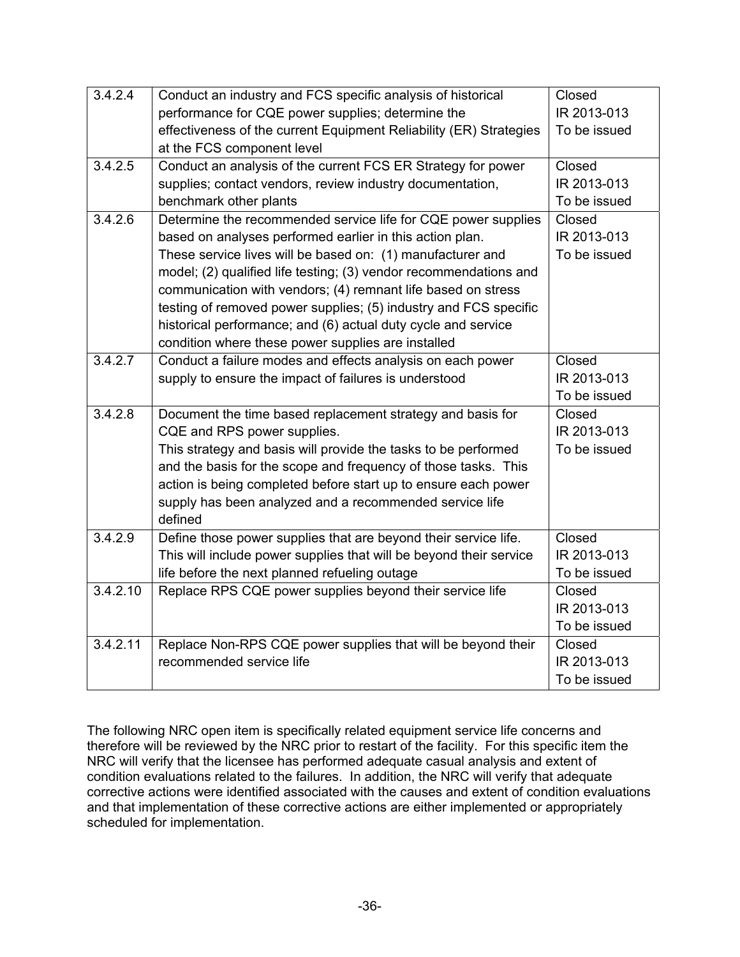| 3.4.2.4  | Conduct an industry and FCS specific analysis of historical        | Closed       |
|----------|--------------------------------------------------------------------|--------------|
|          | performance for CQE power supplies; determine the                  | IR 2013-013  |
|          | effectiveness of the current Equipment Reliability (ER) Strategies | To be issued |
|          | at the FCS component level                                         |              |
| 3.4.2.5  | Conduct an analysis of the current FCS ER Strategy for power       | Closed       |
|          | supplies; contact vendors, review industry documentation,          | IR 2013-013  |
|          | benchmark other plants                                             | To be issued |
| 3.4.2.6  | Determine the recommended service life for CQE power supplies      | Closed       |
|          | based on analyses performed earlier in this action plan.           | IR 2013-013  |
|          | These service lives will be based on: (1) manufacturer and         | To be issued |
|          | model; (2) qualified life testing; (3) vendor recommendations and  |              |
|          | communication with vendors; (4) remnant life based on stress       |              |
|          | testing of removed power supplies; (5) industry and FCS specific   |              |
|          | historical performance; and (6) actual duty cycle and service      |              |
|          | condition where these power supplies are installed                 |              |
| 3.4.2.7  | Conduct a failure modes and effects analysis on each power         | Closed       |
|          | supply to ensure the impact of failures is understood              | IR 2013-013  |
|          |                                                                    | To be issued |
| 3.4.2.8  | Document the time based replacement strategy and basis for         | Closed       |
|          | CQE and RPS power supplies.                                        | IR 2013-013  |
|          | This strategy and basis will provide the tasks to be performed     | To be issued |
|          | and the basis for the scope and frequency of those tasks. This     |              |
|          | action is being completed before start up to ensure each power     |              |
|          | supply has been analyzed and a recommended service life            |              |
|          | defined                                                            |              |
| 3.4.2.9  | Define those power supplies that are beyond their service life.    | Closed       |
|          | This will include power supplies that will be beyond their service | IR 2013-013  |
|          | life before the next planned refueling outage                      | To be issued |
| 3.4.2.10 | Replace RPS CQE power supplies beyond their service life           | Closed       |
|          |                                                                    | IR 2013-013  |
|          |                                                                    | To be issued |
| 3.4.2.11 | Replace Non-RPS CQE power supplies that will be beyond their       | Closed       |
|          | recommended service life                                           | IR 2013-013  |
|          |                                                                    | To be issued |

The following NRC open item is specifically related equipment service life concerns and therefore will be reviewed by the NRC prior to restart of the facility. For this specific item the NRC will verify that the licensee has performed adequate casual analysis and extent of condition evaluations related to the failures. In addition, the NRC will verify that adequate corrective actions were identified associated with the causes and extent of condition evaluations and that implementation of these corrective actions are either implemented or appropriately scheduled for implementation.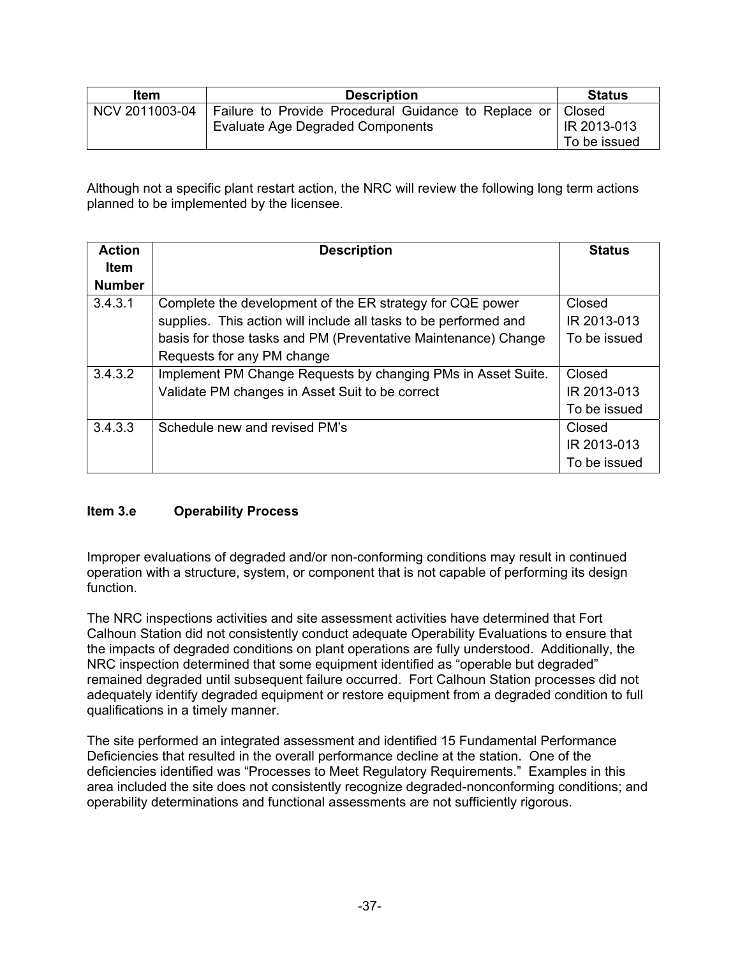| ltem           | <b>Description</b>                                                                                       | <b>Status</b> |
|----------------|----------------------------------------------------------------------------------------------------------|---------------|
| NCV 2011003-04 | Failure to Provide Procedural Guidance to Replace or   Closed<br><b>Evaluate Age Degraded Components</b> | IR 2013-013   |
|                |                                                                                                          | To be issued  |

Although not a specific plant restart action, the NRC will review the following long term actions planned to be implemented by the licensee.

| <b>Action</b> | <b>Description</b>                                               | <b>Status</b> |
|---------------|------------------------------------------------------------------|---------------|
| <b>Item</b>   |                                                                  |               |
| <b>Number</b> |                                                                  |               |
| 3.4.3.1       | Complete the development of the ER strategy for CQE power        | Closed        |
|               | supplies. This action will include all tasks to be performed and | IR 2013-013   |
|               | basis for those tasks and PM (Preventative Maintenance) Change   | To be issued  |
|               | Requests for any PM change                                       |               |
| 3.4.3.2       | Implement PM Change Requests by changing PMs in Asset Suite.     | Closed        |
|               | Validate PM changes in Asset Suit to be correct                  | IR 2013-013   |
|               |                                                                  | To be issued  |
| 3.4.3.3       | Schedule new and revised PM's                                    | Closed        |
|               |                                                                  | IR 2013-013   |
|               |                                                                  | To be issued  |

## **Item 3.e Operability Process**

Improper evaluations of degraded and/or non-conforming conditions may result in continued operation with a structure, system, or component that is not capable of performing its design function.

The NRC inspections activities and site assessment activities have determined that Fort Calhoun Station did not consistently conduct adequate Operability Evaluations to ensure that the impacts of degraded conditions on plant operations are fully understood. Additionally, the NRC inspection determined that some equipment identified as "operable but degraded" remained degraded until subsequent failure occurred. Fort Calhoun Station processes did not adequately identify degraded equipment or restore equipment from a degraded condition to full qualifications in a timely manner.

The site performed an integrated assessment and identified 15 Fundamental Performance Deficiencies that resulted in the overall performance decline at the station. One of the deficiencies identified was "Processes to Meet Regulatory Requirements." Examples in this area included the site does not consistently recognize degraded-nonconforming conditions; and operability determinations and functional assessments are not sufficiently rigorous.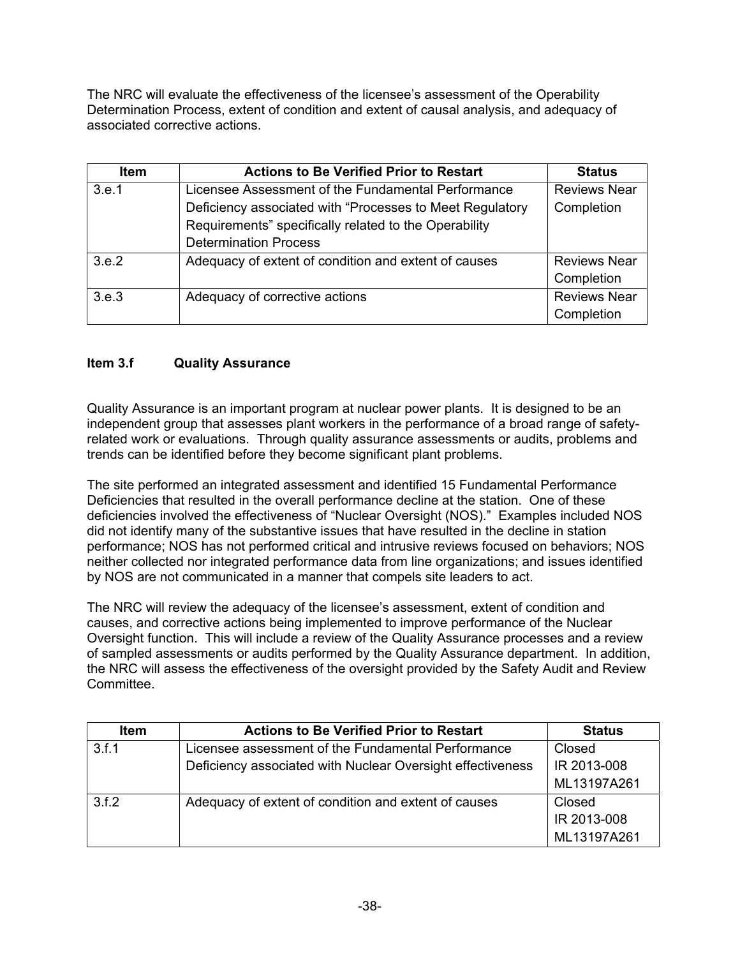The NRC will evaluate the effectiveness of the licensee's assessment of the Operability Determination Process, extent of condition and extent of causal analysis, and adequacy of associated corrective actions.

| <b>Item</b> | <b>Actions to Be Verified Prior to Restart</b>           | <b>Status</b>       |
|-------------|----------------------------------------------------------|---------------------|
| 3.e.1       | Licensee Assessment of the Fundamental Performance       | <b>Reviews Near</b> |
|             | Deficiency associated with "Processes to Meet Regulatory | Completion          |
|             | Requirements" specifically related to the Operability    |                     |
|             | <b>Determination Process</b>                             |                     |
| 3.e.2       | Adequacy of extent of condition and extent of causes     | <b>Reviews Near</b> |
|             |                                                          | Completion          |
| 3.e.3       | Adequacy of corrective actions                           | <b>Reviews Near</b> |
|             |                                                          | Completion          |

## **Item 3.f Quality Assurance**

Quality Assurance is an important program at nuclear power plants. It is designed to be an independent group that assesses plant workers in the performance of a broad range of safetyrelated work or evaluations. Through quality assurance assessments or audits, problems and trends can be identified before they become significant plant problems.

The site performed an integrated assessment and identified 15 Fundamental Performance Deficiencies that resulted in the overall performance decline at the station. One of these deficiencies involved the effectiveness of "Nuclear Oversight (NOS)." Examples included NOS did not identify many of the substantive issues that have resulted in the decline in station performance; NOS has not performed critical and intrusive reviews focused on behaviors; NOS neither collected nor integrated performance data from line organizations; and issues identified by NOS are not communicated in a manner that compels site leaders to act.

The NRC will review the adequacy of the licensee's assessment, extent of condition and causes, and corrective actions being implemented to improve performance of the Nuclear Oversight function. This will include a review of the Quality Assurance processes and a review of sampled assessments or audits performed by the Quality Assurance department. In addition, the NRC will assess the effectiveness of the oversight provided by the Safety Audit and Review Committee.

| <b>Item</b> | <b>Actions to Be Verified Prior to Restart</b>             | <b>Status</b> |
|-------------|------------------------------------------------------------|---------------|
| 3.f.1       | Licensee assessment of the Fundamental Performance         | Closed        |
|             | Deficiency associated with Nuclear Oversight effectiveness | IR 2013-008   |
|             |                                                            | ML13197A261   |
| 3.f.2       | Adequacy of extent of condition and extent of causes       | Closed        |
|             |                                                            | IR 2013-008   |
|             |                                                            | ML13197A261   |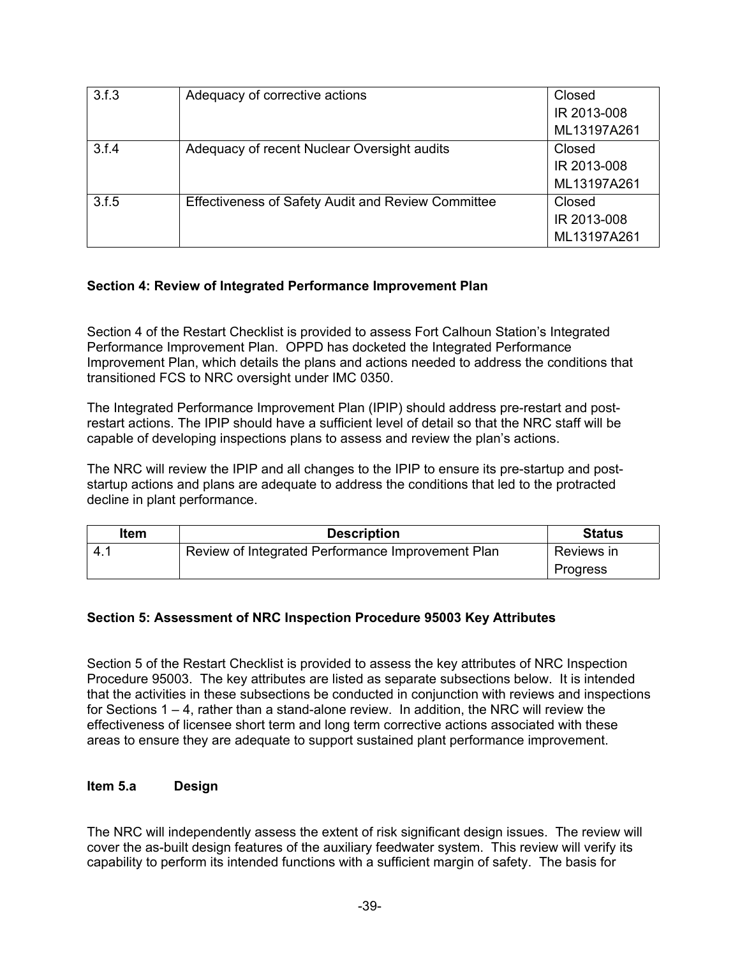| 3.f.3 | Adequacy of corrective actions                            | Closed      |
|-------|-----------------------------------------------------------|-------------|
|       |                                                           | IR 2013-008 |
|       |                                                           | ML13197A261 |
| 3.f.4 | Adequacy of recent Nuclear Oversight audits               | Closed      |
|       |                                                           | IR 2013-008 |
|       |                                                           | ML13197A261 |
| 3.f.5 | <b>Effectiveness of Safety Audit and Review Committee</b> | Closed      |
|       |                                                           | IR 2013-008 |
|       |                                                           | ML13197A261 |

## **Section 4: Review of Integrated Performance Improvement Plan**

Section 4 of the Restart Checklist is provided to assess Fort Calhoun Station's Integrated Performance Improvement Plan. OPPD has docketed the Integrated Performance Improvement Plan, which details the plans and actions needed to address the conditions that transitioned FCS to NRC oversight under IMC 0350.

The Integrated Performance Improvement Plan (IPIP) should address pre-restart and postrestart actions. The IPIP should have a sufficient level of detail so that the NRC staff will be capable of developing inspections plans to assess and review the plan's actions.

The NRC will review the IPIP and all changes to the IPIP to ensure its pre-startup and poststartup actions and plans are adequate to address the conditions that led to the protracted decline in plant performance.

| ltem | <b>Description</b>                                | <b>Status</b> |
|------|---------------------------------------------------|---------------|
| 4.1  | Review of Integrated Performance Improvement Plan | Reviews in    |
|      |                                                   | Progress      |

#### **Section 5: Assessment of NRC Inspection Procedure 95003 Key Attributes**

Section 5 of the Restart Checklist is provided to assess the key attributes of NRC Inspection Procedure 95003. The key attributes are listed as separate subsections below. It is intended that the activities in these subsections be conducted in conjunction with reviews and inspections for Sections 1 – 4, rather than a stand-alone review. In addition, the NRC will review the effectiveness of licensee short term and long term corrective actions associated with these areas to ensure they are adequate to support sustained plant performance improvement.

#### **Item 5.a Design**

The NRC will independently assess the extent of risk significant design issues. The review will cover the as-built design features of the auxiliary feedwater system. This review will verify its capability to perform its intended functions with a sufficient margin of safety. The basis for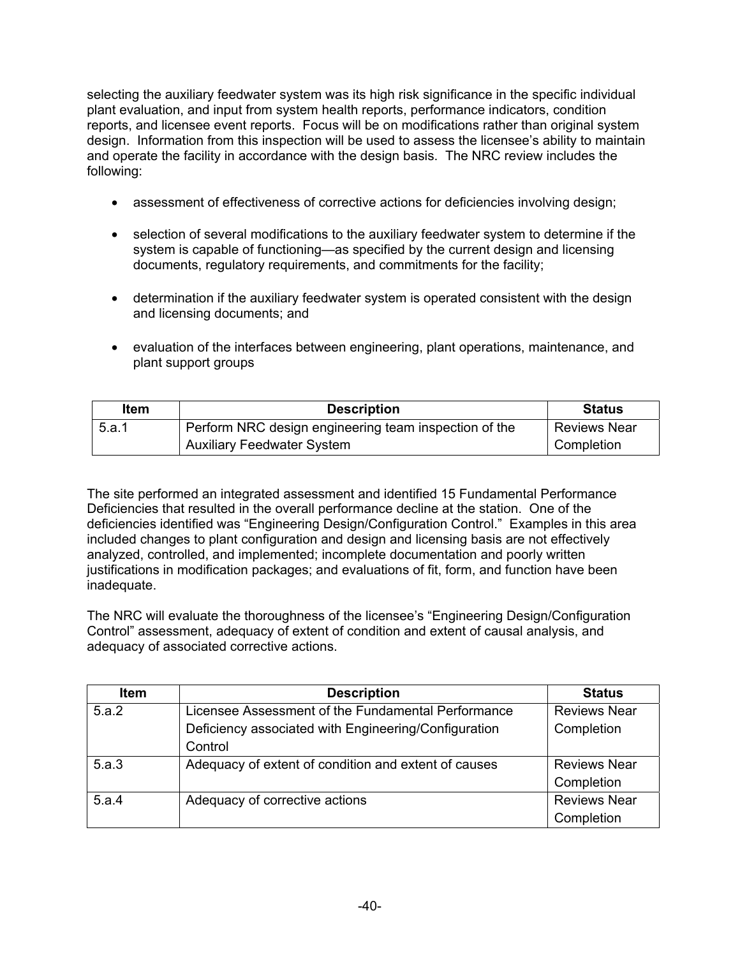selecting the auxiliary feedwater system was its high risk significance in the specific individual plant evaluation, and input from system health reports, performance indicators, condition reports, and licensee event reports. Focus will be on modifications rather than original system design. Information from this inspection will be used to assess the licensee's ability to maintain and operate the facility in accordance with the design basis. The NRC review includes the following:

- assessment of effectiveness of corrective actions for deficiencies involving design;
- selection of several modifications to the auxiliary feedwater system to determine if the system is capable of functioning—as specified by the current design and licensing documents, regulatory requirements, and commitments for the facility;
- determination if the auxiliary feedwater system is operated consistent with the design and licensing documents; and
- evaluation of the interfaces between engineering, plant operations, maintenance, and plant support groups

| <b>Item</b> | <b>Description</b>                                    | <b>Status</b>       |
|-------------|-------------------------------------------------------|---------------------|
| 5.a.1       | Perform NRC design engineering team inspection of the | <b>Reviews Near</b> |
|             | <b>Auxiliary Feedwater System</b>                     | Completion          |

The site performed an integrated assessment and identified 15 Fundamental Performance Deficiencies that resulted in the overall performance decline at the station. One of the deficiencies identified was "Engineering Design/Configuration Control." Examples in this area included changes to plant configuration and design and licensing basis are not effectively analyzed, controlled, and implemented; incomplete documentation and poorly written justifications in modification packages; and evaluations of fit, form, and function have been inadequate.

The NRC will evaluate the thoroughness of the licensee's "Engineering Design/Configuration Control" assessment, adequacy of extent of condition and extent of causal analysis, and adequacy of associated corrective actions.

| <b>Item</b> | <b>Description</b>                                   | <b>Status</b>       |
|-------------|------------------------------------------------------|---------------------|
| 5.a.2       | Licensee Assessment of the Fundamental Performance   | <b>Reviews Near</b> |
|             | Deficiency associated with Engineering/Configuration | Completion          |
|             | Control                                              |                     |
| 5.a.3       | Adequacy of extent of condition and extent of causes | <b>Reviews Near</b> |
|             |                                                      | Completion          |
| 5.a.4       | Adequacy of corrective actions                       | <b>Reviews Near</b> |
|             |                                                      | Completion          |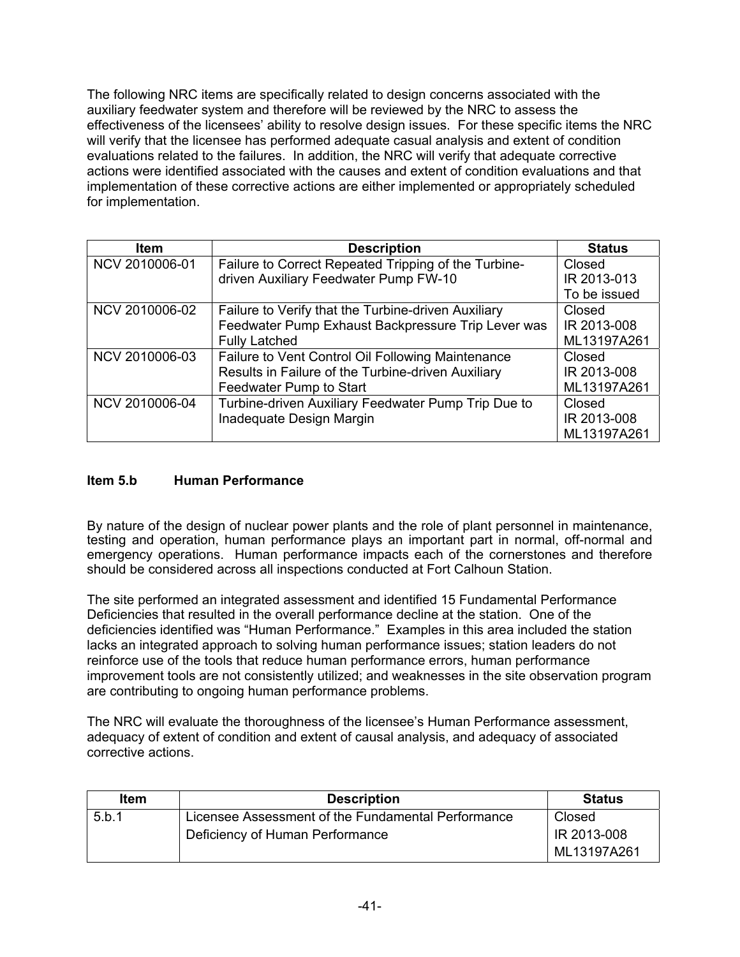The following NRC items are specifically related to design concerns associated with the auxiliary feedwater system and therefore will be reviewed by the NRC to assess the effectiveness of the licensees' ability to resolve design issues. For these specific items the NRC will verify that the licensee has performed adequate casual analysis and extent of condition evaluations related to the failures. In addition, the NRC will verify that adequate corrective actions were identified associated with the causes and extent of condition evaluations and that implementation of these corrective actions are either implemented or appropriately scheduled for implementation.

| ltem           | <b>Description</b>                                   | <b>Status</b> |
|----------------|------------------------------------------------------|---------------|
| NCV 2010006-01 | Failure to Correct Repeated Tripping of the Turbine- | Closed        |
|                | driven Auxiliary Feedwater Pump FW-10                | IR 2013-013   |
|                |                                                      | To be issued  |
| NCV 2010006-02 | Failure to Verify that the Turbine-driven Auxiliary  | Closed        |
|                | Feedwater Pump Exhaust Backpressure Trip Lever was   | IR 2013-008   |
|                | <b>Fully Latched</b>                                 | ML13197A261   |
| NCV 2010006-03 | Failure to Vent Control Oil Following Maintenance    | Closed        |
|                | Results in Failure of the Turbine-driven Auxiliary   | IR 2013-008   |
|                | Feedwater Pump to Start                              | ML13197A261   |
| NCV 2010006-04 | Turbine-driven Auxiliary Feedwater Pump Trip Due to  | Closed        |
|                | Inadequate Design Margin                             | IR 2013-008   |
|                |                                                      | ML13197A261   |

## **Item 5.b Human Performance**

By nature of the design of nuclear power plants and the role of plant personnel in maintenance, testing and operation, human performance plays an important part in normal, off-normal and emergency operations. Human performance impacts each of the cornerstones and therefore should be considered across all inspections conducted at Fort Calhoun Station.

The site performed an integrated assessment and identified 15 Fundamental Performance Deficiencies that resulted in the overall performance decline at the station. One of the deficiencies identified was "Human Performance." Examples in this area included the station lacks an integrated approach to solving human performance issues; station leaders do not reinforce use of the tools that reduce human performance errors, human performance improvement tools are not consistently utilized; and weaknesses in the site observation program are contributing to ongoing human performance problems.

The NRC will evaluate the thoroughness of the licensee's Human Performance assessment, adequacy of extent of condition and extent of causal analysis, and adequacy of associated corrective actions.

| ltem  | <b>Description</b>                                 | <b>Status</b> |
|-------|----------------------------------------------------|---------------|
| 5.b.1 | Licensee Assessment of the Fundamental Performance | Closed        |
|       | Deficiency of Human Performance                    | IR 2013-008   |
|       |                                                    | ML13197A261   |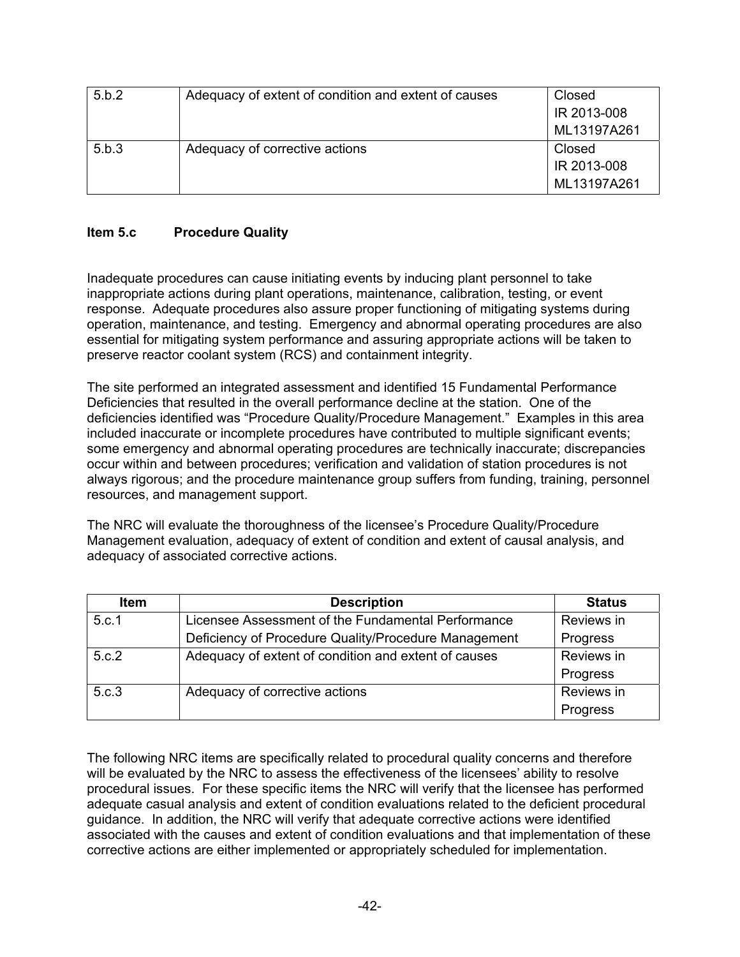| 5.b.2 | Adequacy of extent of condition and extent of causes | Closed      |
|-------|------------------------------------------------------|-------------|
|       |                                                      | IR 2013-008 |
|       |                                                      | ML13197A261 |
| 5.b.3 | Adequacy of corrective actions                       | Closed      |
|       |                                                      | IR 2013-008 |
|       |                                                      | ML13197A261 |

## **Item 5.c Procedure Quality**

Inadequate procedures can cause initiating events by inducing plant personnel to take inappropriate actions during plant operations, maintenance, calibration, testing, or event response. Adequate procedures also assure proper functioning of mitigating systems during operation, maintenance, and testing. Emergency and abnormal operating procedures are also essential for mitigating system performance and assuring appropriate actions will be taken to preserve reactor coolant system (RCS) and containment integrity.

The site performed an integrated assessment and identified 15 Fundamental Performance Deficiencies that resulted in the overall performance decline at the station. One of the deficiencies identified was "Procedure Quality/Procedure Management." Examples in this area included inaccurate or incomplete procedures have contributed to multiple significant events; some emergency and abnormal operating procedures are technically inaccurate; discrepancies occur within and between procedures; verification and validation of station procedures is not always rigorous; and the procedure maintenance group suffers from funding, training, personnel resources, and management support.

The NRC will evaluate the thoroughness of the licensee's Procedure Quality/Procedure Management evaluation, adequacy of extent of condition and extent of causal analysis, and adequacy of associated corrective actions.

| <b>Item</b> | <b>Description</b>                                   | <b>Status</b> |
|-------------|------------------------------------------------------|---------------|
| 5.c.1       | Licensee Assessment of the Fundamental Performance   | Reviews in    |
|             | Deficiency of Procedure Quality/Procedure Management | Progress      |
| 5.c.2       | Adequacy of extent of condition and extent of causes | Reviews in    |
|             |                                                      | Progress      |
| 5.c.3       | Adequacy of corrective actions                       | Reviews in    |
|             |                                                      | Progress      |

The following NRC items are specifically related to procedural quality concerns and therefore will be evaluated by the NRC to assess the effectiveness of the licensees' ability to resolve procedural issues. For these specific items the NRC will verify that the licensee has performed adequate casual analysis and extent of condition evaluations related to the deficient procedural guidance. In addition, the NRC will verify that adequate corrective actions were identified associated with the causes and extent of condition evaluations and that implementation of these corrective actions are either implemented or appropriately scheduled for implementation.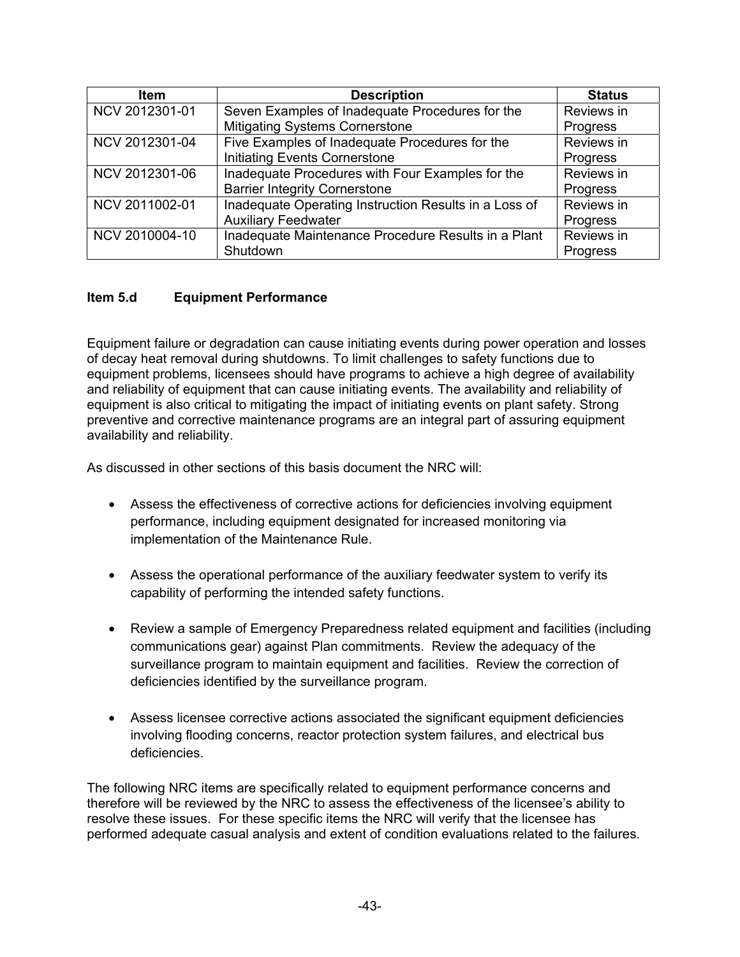| <b>Item</b>    | <b>Description</b>                                    | <b>Status</b> |
|----------------|-------------------------------------------------------|---------------|
| NCV 2012301-01 | Seven Examples of Inadequate Procedures for the       | Reviews in    |
|                | <b>Mitigating Systems Cornerstone</b>                 | Progress      |
| NCV 2012301-04 | Five Examples of Inadequate Procedures for the        | Reviews in    |
|                | <b>Initiating Events Cornerstone</b>                  | Progress      |
| NCV 2012301-06 | Inadequate Procedures with Four Examples for the      | Reviews in    |
|                | <b>Barrier Integrity Cornerstone</b>                  | Progress      |
| NCV 2011002-01 | Inadequate Operating Instruction Results in a Loss of | Reviews in    |
|                | <b>Auxiliary Feedwater</b>                            | Progress      |
| NCV 2010004-10 | Inadequate Maintenance Procedure Results in a Plant   | Reviews in    |
|                | Shutdown                                              | Progress      |

## **Item 5.d Equipment Performance**

Equipment failure or degradation can cause initiating events during power operation and losses of decay heat removal during shutdowns. To limit challenges to safety functions due to equipment problems, licensees should have programs to achieve a high degree of availability and reliability of equipment that can cause initiating events. The availability and reliability of equipment is also critical to mitigating the impact of initiating events on plant safety. Strong preventive and corrective maintenance programs are an integral part of assuring equipment availability and reliability.

As discussed in other sections of this basis document the NRC will:

- Assess the effectiveness of corrective actions for deficiencies involving equipment performance, including equipment designated for increased monitoring via implementation of the Maintenance Rule.
- Assess the operational performance of the auxiliary feedwater system to verify its capability of performing the intended safety functions.
- Review a sample of Emergency Preparedness related equipment and facilities (including communications gear) against Plan commitments. Review the adequacy of the surveillance program to maintain equipment and facilities. Review the correction of deficiencies identified by the surveillance program.
- Assess licensee corrective actions associated the significant equipment deficiencies involving flooding concerns, reactor protection system failures, and electrical bus deficiencies.

The following NRC items are specifically related to equipment performance concerns and therefore will be reviewed by the NRC to assess the effectiveness of the licensee's ability to resolve these issues. For these specific items the NRC will verify that the licensee has performed adequate casual analysis and extent of condition evaluations related to the failures.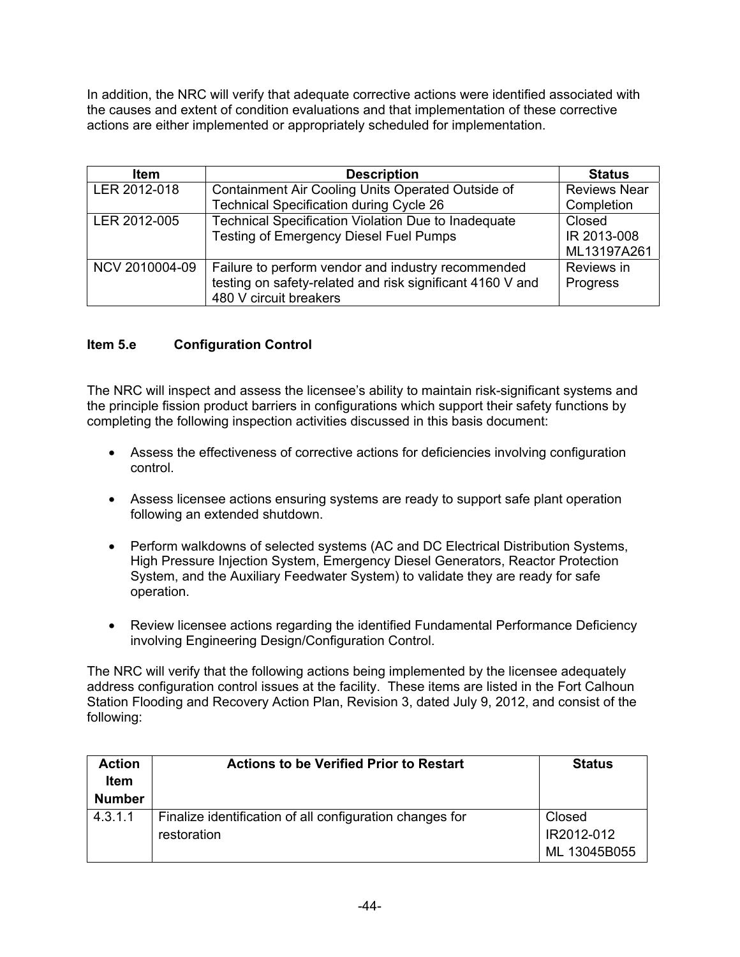In addition, the NRC will verify that adequate corrective actions were identified associated with the causes and extent of condition evaluations and that implementation of these corrective actions are either implemented or appropriately scheduled for implementation.

| <b>Item</b>    | <b>Description</b>                                        | <b>Status</b>       |
|----------------|-----------------------------------------------------------|---------------------|
| LER 2012-018   | Containment Air Cooling Units Operated Outside of         | <b>Reviews Near</b> |
|                | <b>Technical Specification during Cycle 26</b>            | Completion          |
| LER 2012-005   | Technical Specification Violation Due to Inadequate       | Closed              |
|                | <b>Testing of Emergency Diesel Fuel Pumps</b>             | IR 2013-008         |
|                |                                                           | ML13197A261         |
| NCV 2010004-09 | Failure to perform vendor and industry recommended        | Reviews in          |
|                | testing on safety-related and risk significant 4160 V and | Progress            |
|                | 480 V circuit breakers                                    |                     |

## **Item 5.e Configuration Control**

The NRC will inspect and assess the licensee's ability to maintain risk-significant systems and the principle fission product barriers in configurations which support their safety functions by completing the following inspection activities discussed in this basis document:

- Assess the effectiveness of corrective actions for deficiencies involving configuration control.
- Assess licensee actions ensuring systems are ready to support safe plant operation following an extended shutdown.
- Perform walkdowns of selected systems (AC and DC Electrical Distribution Systems, High Pressure Injection System, Emergency Diesel Generators, Reactor Protection System, and the Auxiliary Feedwater System) to validate they are ready for safe operation.
- Review licensee actions regarding the identified Fundamental Performance Deficiency involving Engineering Design/Configuration Control.

The NRC will verify that the following actions being implemented by the licensee adequately address configuration control issues at the facility. These items are listed in the Fort Calhoun Station Flooding and Recovery Action Plan, Revision 3, dated July 9, 2012, and consist of the following:

| <b>Action</b><br><b>Item</b><br><b>Number</b> | <b>Actions to be Verified Prior to Restart</b>           | <b>Status</b> |
|-----------------------------------------------|----------------------------------------------------------|---------------|
| 4.3.1.1                                       | Finalize identification of all configuration changes for | Closed        |
|                                               | restoration                                              | IR2012-012    |
|                                               |                                                          | ML 13045B055  |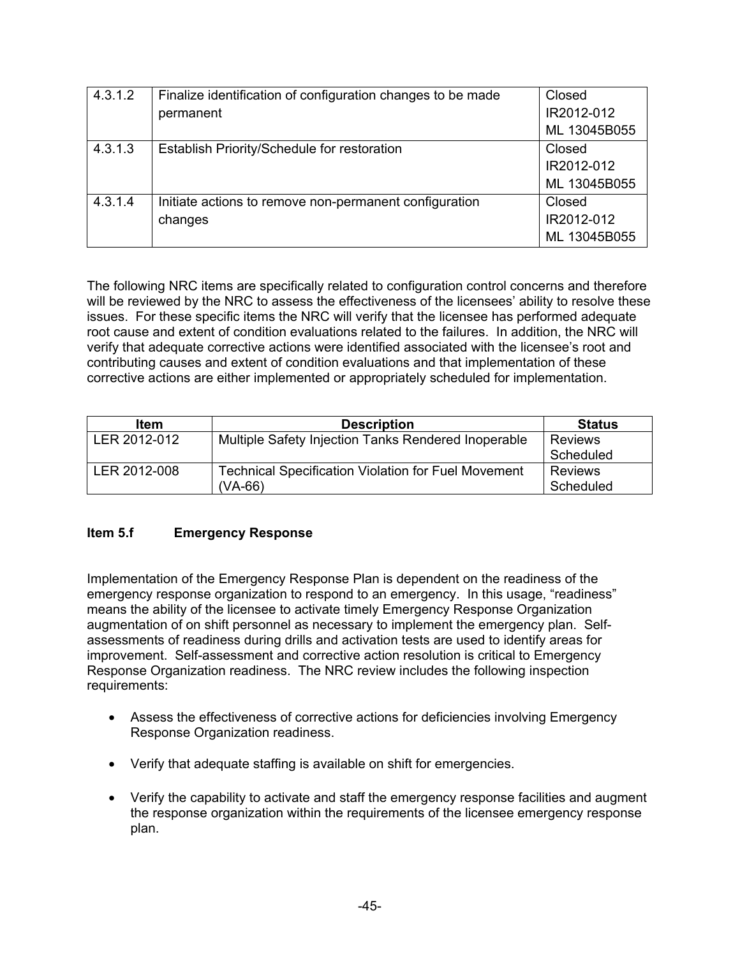| 4.3.1.2 | Finalize identification of configuration changes to be made | Closed       |
|---------|-------------------------------------------------------------|--------------|
|         | permanent                                                   | IR2012-012   |
|         |                                                             | ML 13045B055 |
| 4.3.1.3 | Establish Priority/Schedule for restoration                 | Closed       |
|         |                                                             | IR2012-012   |
|         |                                                             | ML 13045B055 |
| 4.3.1.4 | Initiate actions to remove non-permanent configuration      | Closed       |
|         | changes                                                     | IR2012-012   |
|         |                                                             | ML 13045B055 |

The following NRC items are specifically related to configuration control concerns and therefore will be reviewed by the NRC to assess the effectiveness of the licensees' ability to resolve these issues. For these specific items the NRC will verify that the licensee has performed adequate root cause and extent of condition evaluations related to the failures. In addition, the NRC will verify that adequate corrective actions were identified associated with the licensee's root and contributing causes and extent of condition evaluations and that implementation of these corrective actions are either implemented or appropriately scheduled for implementation.

| ltem         | <b>Description</b>                                         | <b>Status</b>  |
|--------------|------------------------------------------------------------|----------------|
| LER 2012-012 | Multiple Safety Injection Tanks Rendered Inoperable        | <b>Reviews</b> |
|              |                                                            | Scheduled      |
| LER 2012-008 | <b>Technical Specification Violation for Fuel Movement</b> | Reviews        |
|              | (VA-66)                                                    | Scheduled      |

## **Item 5.f Emergency Response**

Implementation of the Emergency Response Plan is dependent on the readiness of the emergency response organization to respond to an emergency. In this usage, "readiness" means the ability of the licensee to activate timely Emergency Response Organization augmentation of on shift personnel as necessary to implement the emergency plan. Selfassessments of readiness during drills and activation tests are used to identify areas for improvement. Self-assessment and corrective action resolution is critical to Emergency Response Organization readiness. The NRC review includes the following inspection requirements:

- Assess the effectiveness of corrective actions for deficiencies involving Emergency Response Organization readiness.
- Verify that adequate staffing is available on shift for emergencies.
- Verify the capability to activate and staff the emergency response facilities and augment the response organization within the requirements of the licensee emergency response plan.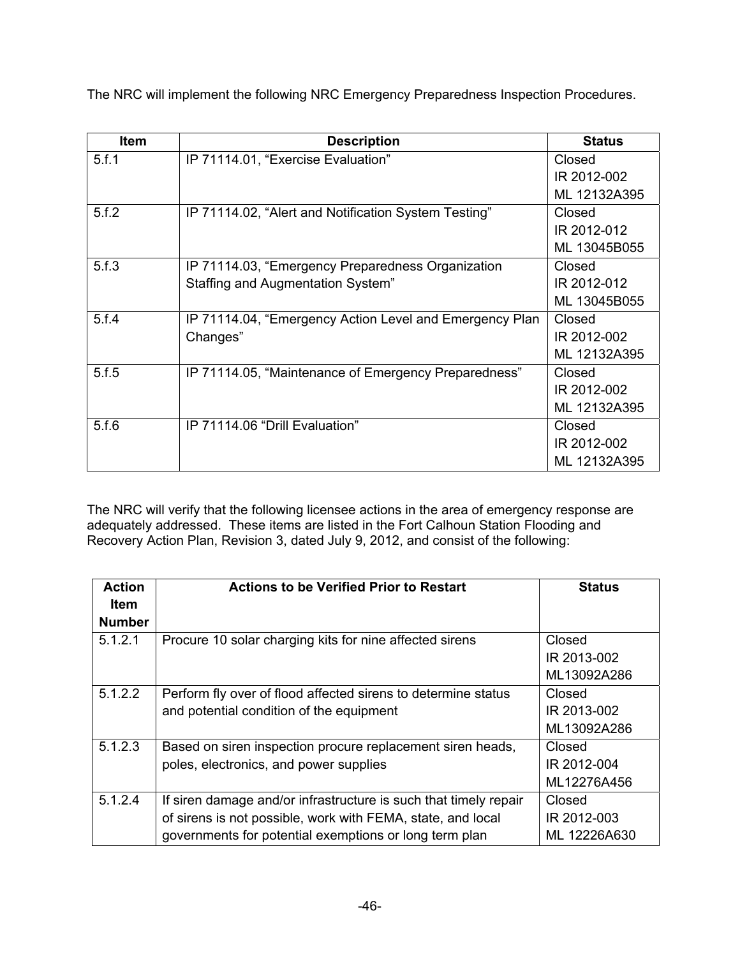The NRC will implement the following NRC Emergency Preparedness Inspection Procedures.

| <b>Item</b> | <b>Description</b>                                      | <b>Status</b> |
|-------------|---------------------------------------------------------|---------------|
| 5.f.1       | IP 71114.01, "Exercise Evaluation"                      | Closed        |
|             |                                                         | IR 2012-002   |
|             |                                                         | ML 12132A395  |
| 5.f.2       | IP 71114.02, "Alert and Notification System Testing"    | Closed        |
|             |                                                         | IR 2012-012   |
|             |                                                         | ML 13045B055  |
| 5.f.3       | IP 71114.03, "Emergency Preparedness Organization       | Closed        |
|             | Staffing and Augmentation System"                       | IR 2012-012   |
|             |                                                         | ML 13045B055  |
| 5.f.4       | IP 71114.04, "Emergency Action Level and Emergency Plan | Closed        |
|             | Changes"                                                | IR 2012-002   |
|             |                                                         | ML 12132A395  |
| 5.f.5       | IP 71114.05, "Maintenance of Emergency Preparedness"    | Closed        |
|             |                                                         | IR 2012-002   |
|             |                                                         | ML 12132A395  |
| 5.f.6       | IP 71114.06 "Drill Evaluation"                          | Closed        |
|             |                                                         | IR 2012-002   |
|             |                                                         | ML 12132A395  |

The NRC will verify that the following licensee actions in the area of emergency response are adequately addressed. These items are listed in the Fort Calhoun Station Flooding and Recovery Action Plan, Revision 3, dated July 9, 2012, and consist of the following:

| <b>Action</b><br><b>Item</b> | <b>Actions to be Verified Prior to Restart</b>                   | <b>Status</b> |
|------------------------------|------------------------------------------------------------------|---------------|
| <b>Number</b>                |                                                                  |               |
| 5.1.2.1                      | Procure 10 solar charging kits for nine affected sirens          | Closed        |
|                              |                                                                  | IR 2013-002   |
|                              |                                                                  | ML13092A286   |
| 5.1.2.2                      | Perform fly over of flood affected sirens to determine status    | Closed        |
|                              | and potential condition of the equipment                         | IR 2013-002   |
|                              |                                                                  | ML13092A286   |
| 5.1.2.3                      | Based on siren inspection procure replacement siren heads,       | Closed        |
|                              | poles, electronics, and power supplies                           | IR 2012-004   |
|                              |                                                                  | ML12276A456   |
| 5.1.2.4                      | If siren damage and/or infrastructure is such that timely repair | Closed        |
|                              | of sirens is not possible, work with FEMA, state, and local      | IR 2012-003   |
|                              | governments for potential exemptions or long term plan           | ML 12226A630  |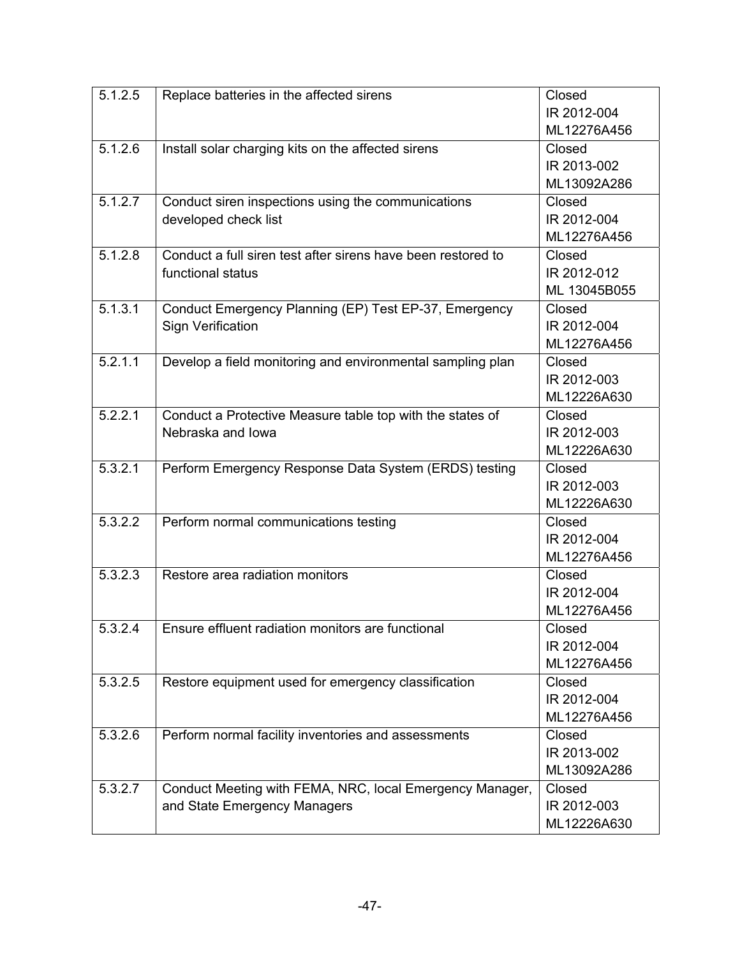| 5.1.2.5              | Replace batteries in the affected sirens                     | Closed       |
|----------------------|--------------------------------------------------------------|--------------|
|                      |                                                              | IR 2012-004  |
|                      |                                                              | ML12276A456  |
| $\overline{5.1.2.6}$ | Install solar charging kits on the affected sirens           | Closed       |
|                      |                                                              | IR 2013-002  |
|                      |                                                              | ML13092A286  |
| 5.1.2.7              | Conduct siren inspections using the communications           | Closed       |
|                      | developed check list                                         | IR 2012-004  |
|                      |                                                              | ML12276A456  |
| 5.1.2.8              | Conduct a full siren test after sirens have been restored to | Closed       |
|                      | functional status                                            | IR 2012-012  |
|                      |                                                              | ML 13045B055 |
| 5.1.3.1              | Conduct Emergency Planning (EP) Test EP-37, Emergency        | Closed       |
|                      | <b>Sign Verification</b>                                     | IR 2012-004  |
|                      |                                                              | ML12276A456  |
| 5.2.1.1              | Develop a field monitoring and environmental sampling plan   | Closed       |
|                      |                                                              | IR 2012-003  |
|                      |                                                              | ML12226A630  |
| 5.2.2.1              | Conduct a Protective Measure table top with the states of    | Closed       |
|                      | Nebraska and lowa                                            | IR 2012-003  |
|                      |                                                              | ML12226A630  |
| 5.3.2.1              | Perform Emergency Response Data System (ERDS) testing        | Closed       |
|                      |                                                              | IR 2012-003  |
|                      |                                                              | ML12226A630  |
| 5.3.2.2              | Perform normal communications testing                        | Closed       |
|                      |                                                              | IR 2012-004  |
|                      |                                                              | ML12276A456  |
| $\overline{5.3.2.3}$ | Restore area radiation monitors                              | Closed       |
|                      |                                                              | IR 2012-004  |
|                      |                                                              | ML12276A456  |
| 5.3.2.4              | Ensure effluent radiation monitors are functional            | Closed       |
|                      |                                                              | IR 2012-004  |
|                      |                                                              | ML12276A456  |
| 5.3.2.5              | Restore equipment used for emergency classification          | Closed       |
|                      |                                                              | IR 2012-004  |
|                      |                                                              | ML12276A456  |
| 5.3.2.6              | Perform normal facility inventories and assessments          | Closed       |
|                      |                                                              | IR 2013-002  |
|                      |                                                              | ML13092A286  |
| 5.3.2.7              | Conduct Meeting with FEMA, NRC, local Emergency Manager,     | Closed       |
|                      | and State Emergency Managers                                 | IR 2012-003  |
|                      |                                                              | ML12226A630  |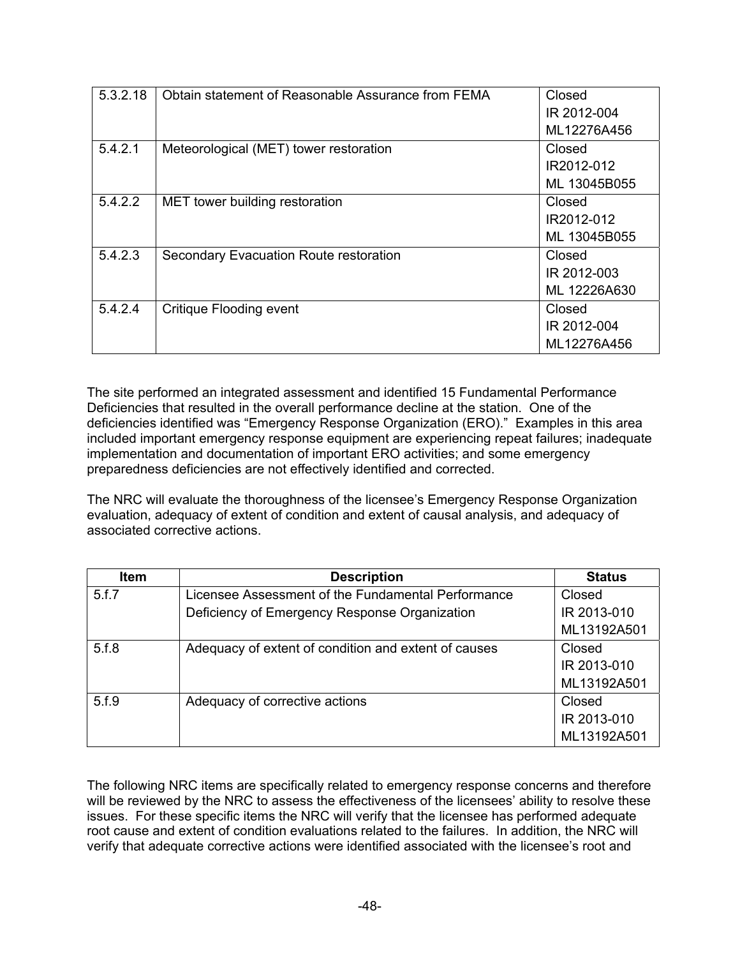| 5.3.2.18 | Obtain statement of Reasonable Assurance from FEMA | Closed       |
|----------|----------------------------------------------------|--------------|
|          |                                                    | IR 2012-004  |
|          |                                                    | ML12276A456  |
| 5.4.2.1  | Meteorological (MET) tower restoration             | Closed       |
|          |                                                    | IR2012-012   |
|          |                                                    | ML 13045B055 |
| 5.4.2.2  | MET tower building restoration                     | Closed       |
|          |                                                    | IR2012-012   |
|          |                                                    | ML 13045B055 |
| 5.4.2.3  | Secondary Evacuation Route restoration             | Closed       |
|          |                                                    | IR 2012-003  |
|          |                                                    | ML 12226A630 |
| 5.4.2.4  | <b>Critique Flooding event</b>                     | Closed       |
|          |                                                    | IR 2012-004  |
|          |                                                    | ML12276A456  |

The site performed an integrated assessment and identified 15 Fundamental Performance Deficiencies that resulted in the overall performance decline at the station. One of the deficiencies identified was "Emergency Response Organization (ERO)." Examples in this area included important emergency response equipment are experiencing repeat failures; inadequate implementation and documentation of important ERO activities; and some emergency preparedness deficiencies are not effectively identified and corrected.

The NRC will evaluate the thoroughness of the licensee's Emergency Response Organization evaluation, adequacy of extent of condition and extent of causal analysis, and adequacy of associated corrective actions.

| <b>Item</b> | <b>Description</b>                                   | <b>Status</b> |
|-------------|------------------------------------------------------|---------------|
| 5.f.7       | Licensee Assessment of the Fundamental Performance   | Closed        |
|             | Deficiency of Emergency Response Organization        | IR 2013-010   |
|             |                                                      | ML13192A501   |
| 5.f.8       | Adequacy of extent of condition and extent of causes | Closed        |
|             |                                                      | IR 2013-010   |
|             |                                                      | ML13192A501   |
| 5.f.9       | Adequacy of corrective actions                       | Closed        |
|             |                                                      | IR 2013-010   |
|             |                                                      | ML13192A501   |

The following NRC items are specifically related to emergency response concerns and therefore will be reviewed by the NRC to assess the effectiveness of the licensees' ability to resolve these issues. For these specific items the NRC will verify that the licensee has performed adequate root cause and extent of condition evaluations related to the failures. In addition, the NRC will verify that adequate corrective actions were identified associated with the licensee's root and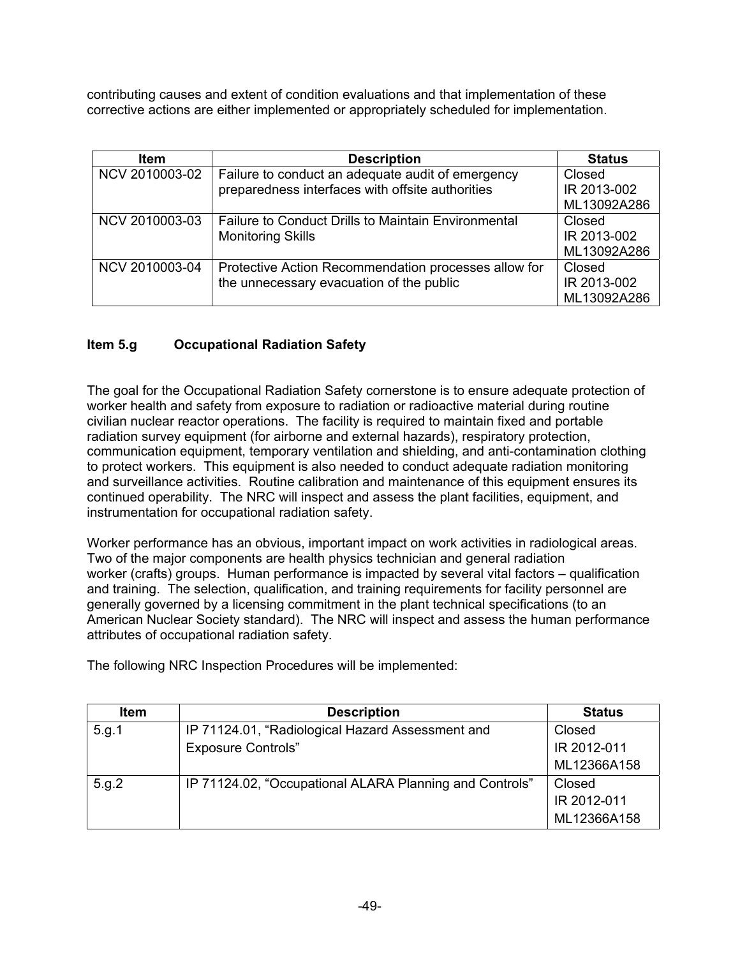contributing causes and extent of condition evaluations and that implementation of these corrective actions are either implemented or appropriately scheduled for implementation.

| <b>Item</b>    | <b>Description</b>                                         | <b>Status</b> |
|----------------|------------------------------------------------------------|---------------|
| NCV 2010003-02 | Failure to conduct an adequate audit of emergency          | Closed        |
|                | preparedness interfaces with offsite authorities           | IR 2013-002   |
|                |                                                            | ML13092A286   |
| NCV 2010003-03 | <b>Failure to Conduct Drills to Maintain Environmental</b> | Closed        |
|                | <b>Monitoring Skills</b>                                   | IR 2013-002   |
|                |                                                            | ML13092A286   |
| NCV 2010003-04 | Protective Action Recommendation processes allow for       | Closed        |
|                | the unnecessary evacuation of the public                   | IR 2013-002   |
|                |                                                            | ML13092A286   |

## **Item 5.g Occupational Radiation Safety**

The goal for the Occupational Radiation Safety cornerstone is to ensure adequate protection of worker health and safety from exposure to radiation or radioactive material during routine civilian nuclear reactor operations. The facility is required to maintain fixed and portable radiation survey equipment (for airborne and external hazards), respiratory protection, communication equipment, temporary ventilation and shielding, and anti-contamination clothing to protect workers. This equipment is also needed to conduct adequate radiation monitoring and surveillance activities. Routine calibration and maintenance of this equipment ensures its continued operability. The NRC will inspect and assess the plant facilities, equipment, and instrumentation for occupational radiation safety.

Worker performance has an obvious, important impact on work activities in radiological areas. Two of the major components are health physics technician and general radiation worker (crafts) groups. Human performance is impacted by several vital factors – qualification and training. The selection, qualification, and training requirements for facility personnel are generally governed by a licensing commitment in the plant technical specifications (to an American Nuclear Society standard). The NRC will inspect and assess the human performance attributes of occupational radiation safety.

The following NRC Inspection Procedures will be implemented:

| <b>Item</b> | <b>Description</b>                                      | <b>Status</b> |
|-------------|---------------------------------------------------------|---------------|
| 5.9.1       | IP 71124.01, "Radiological Hazard Assessment and        | Closed        |
|             | <b>Exposure Controls"</b>                               | IR 2012-011   |
|             |                                                         | ML12366A158   |
| 5.g.2       | IP 71124.02, "Occupational ALARA Planning and Controls" | Closed        |
|             |                                                         | IR 2012-011   |
|             |                                                         | ML12366A158   |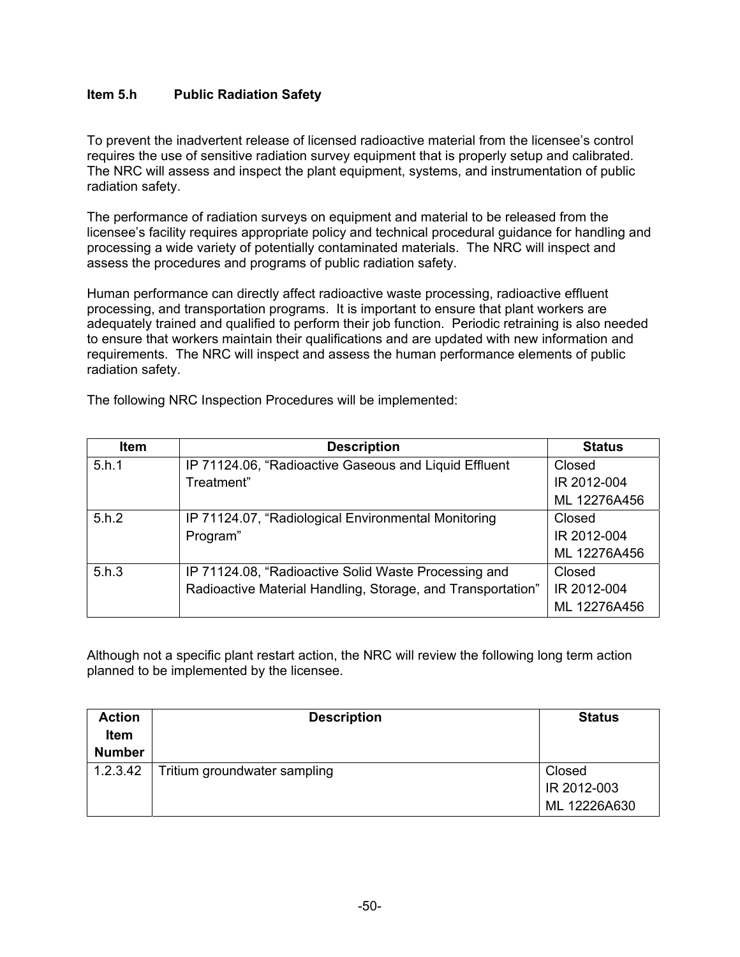## **Item 5.h Public Radiation Safety**

To prevent the inadvertent release of licensed radioactive material from the licensee's control requires the use of sensitive radiation survey equipment that is properly setup and calibrated. The NRC will assess and inspect the plant equipment, systems, and instrumentation of public radiation safety.

The performance of radiation surveys on equipment and material to be released from the licensee's facility requires appropriate policy and technical procedural guidance for handling and processing a wide variety of potentially contaminated materials. The NRC will inspect and assess the procedures and programs of public radiation safety.

Human performance can directly affect radioactive waste processing, radioactive effluent processing, and transportation programs. It is important to ensure that plant workers are adequately trained and qualified to perform their job function. Periodic retraining is also needed to ensure that workers maintain their qualifications and are updated with new information and requirements. The NRC will inspect and assess the human performance elements of public radiation safety.

The following NRC Inspection Procedures will be implemented:

| <b>Item</b> | <b>Description</b>                                          | <b>Status</b> |
|-------------|-------------------------------------------------------------|---------------|
| 5.h.1       | IP 71124.06, "Radioactive Gaseous and Liquid Effluent       | Closed        |
|             | Treatment"                                                  | IR 2012-004   |
|             |                                                             | ML 12276A456  |
| 5.h.2       | IP 71124.07, "Radiological Environmental Monitoring         | Closed        |
|             | Program"                                                    | IR 2012-004   |
|             |                                                             | ML 12276A456  |
| 5.h.3       | IP 71124.08, "Radioactive Solid Waste Processing and        | Closed        |
|             | Radioactive Material Handling, Storage, and Transportation" | IR 2012-004   |
|             |                                                             | ML 12276A456  |

Although not a specific plant restart action, the NRC will review the following long term action planned to be implemented by the licensee.

| <b>Action</b> | <b>Description</b>           | <b>Status</b> |
|---------------|------------------------------|---------------|
| <b>Item</b>   |                              |               |
| <b>Number</b> |                              |               |
| 1.2.3.42      | Tritium groundwater sampling | Closed        |
|               |                              | IR 2012-003   |
|               |                              | ML 12226A630  |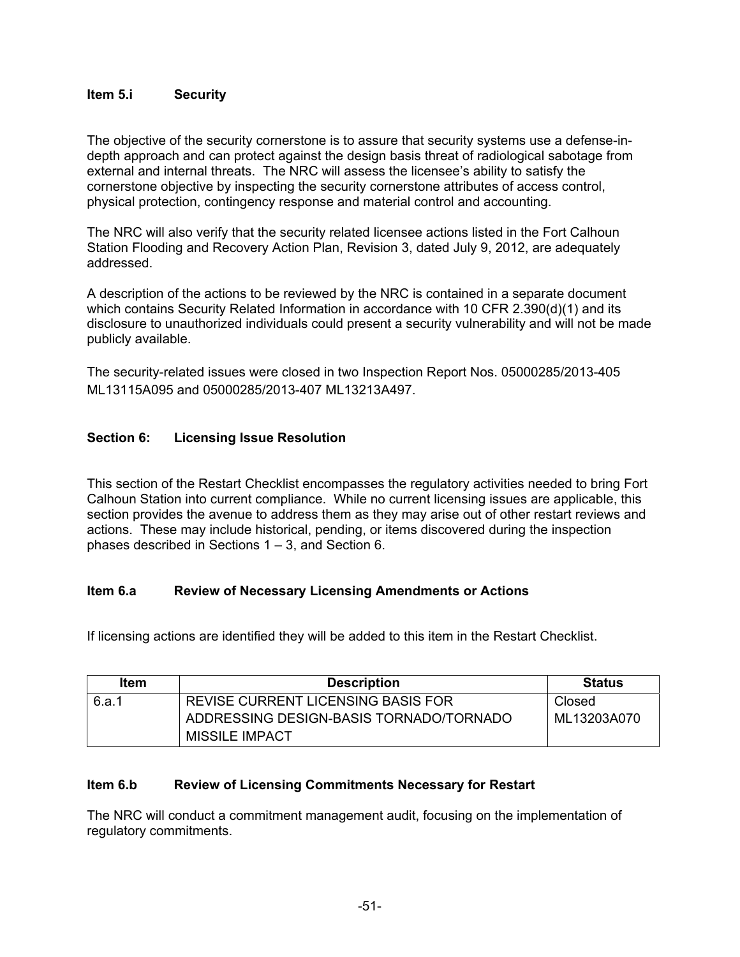## **Item 5.i Security**

The objective of the security cornerstone is to assure that security systems use a defense-indepth approach and can protect against the design basis threat of radiological sabotage from external and internal threats. The NRC will assess the licensee's ability to satisfy the cornerstone objective by inspecting the security cornerstone attributes of access control, physical protection, contingency response and material control and accounting.

The NRC will also verify that the security related licensee actions listed in the Fort Calhoun Station Flooding and Recovery Action Plan, Revision 3, dated July 9, 2012, are adequately addressed.

A description of the actions to be reviewed by the NRC is contained in a separate document which contains Security Related Information in accordance with 10 CFR 2.390(d)(1) and its disclosure to unauthorized individuals could present a security vulnerability and will not be made publicly available.

The security-related issues were closed in two Inspection Report Nos. 05000285/2013-405 ML13115A095 and 05000285/2013-407 ML13213A497.

## **Section 6: Licensing Issue Resolution**

This section of the Restart Checklist encompasses the regulatory activities needed to bring Fort Calhoun Station into current compliance. While no current licensing issues are applicable, this section provides the avenue to address them as they may arise out of other restart reviews and actions. These may include historical, pending, or items discovered during the inspection phases described in Sections 1 – 3, and Section 6.

## **Item 6.a Review of Necessary Licensing Amendments or Actions**

If licensing actions are identified they will be added to this item in the Restart Checklist.

| <b>Description</b>                        | <b>Status</b>         |
|-------------------------------------------|-----------------------|
| <b>REVISE CURRENT LICENSING BASIS FOR</b> | Closed                |
| ADDRESSING DESIGN-BASIS TORNADO/TORNADO   | ML13203A070           |
|                                           | <b>MISSILE IMPACT</b> |

## **Item 6.b Review of Licensing Commitments Necessary for Restart**

The NRC will conduct a commitment management audit, focusing on the implementation of regulatory commitments.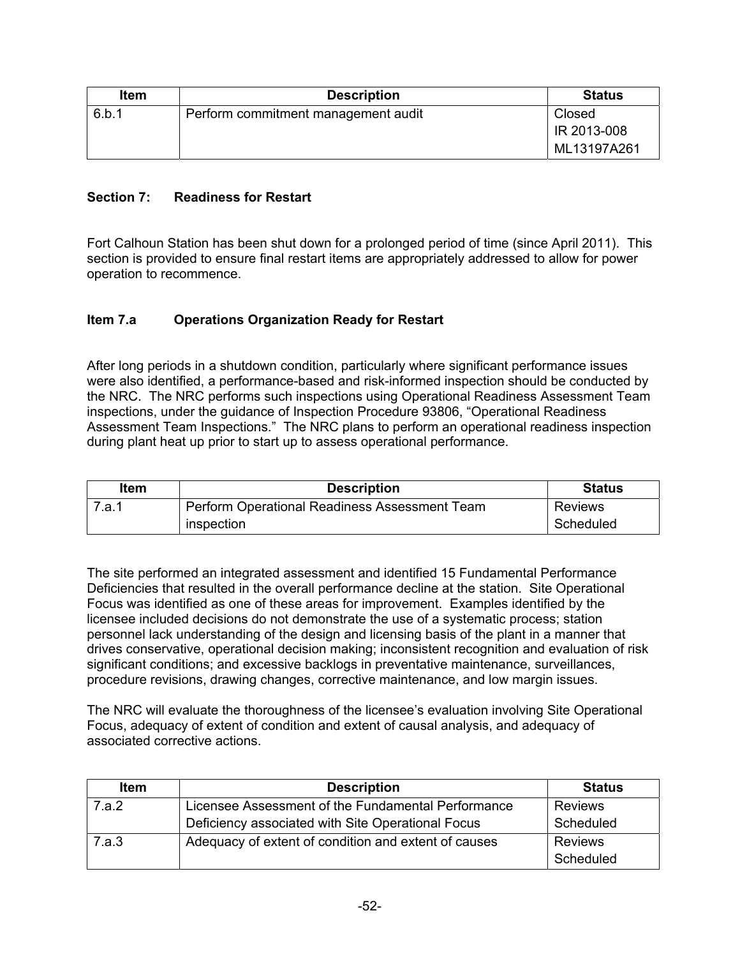| <b>Item</b> | <b>Description</b>                  | <b>Status</b> |
|-------------|-------------------------------------|---------------|
| 6.b.1       | Perform commitment management audit | Closed        |
|             |                                     | IR 2013-008   |
|             |                                     | ML13197A261   |

## **Section 7: Readiness for Restart**

Fort Calhoun Station has been shut down for a prolonged period of time (since April 2011). This section is provided to ensure final restart items are appropriately addressed to allow for power operation to recommence.

## **Item 7.a Operations Organization Ready for Restart**

After long periods in a shutdown condition, particularly where significant performance issues were also identified, a performance-based and risk-informed inspection should be conducted by the NRC. The NRC performs such inspections using Operational Readiness Assessment Team inspections, under the guidance of Inspection Procedure 93806, "Operational Readiness Assessment Team Inspections." The NRC plans to perform an operational readiness inspection during plant heat up prior to start up to assess operational performance.

| ltem  | <b>Description</b>                            | <b>Status</b> |
|-------|-----------------------------------------------|---------------|
| 7.a.1 | Perform Operational Readiness Assessment Team | Reviews       |
|       | inspection                                    | Scheduled     |

The site performed an integrated assessment and identified 15 Fundamental Performance Deficiencies that resulted in the overall performance decline at the station. Site Operational Focus was identified as one of these areas for improvement. Examples identified by the licensee included decisions do not demonstrate the use of a systematic process; station personnel lack understanding of the design and licensing basis of the plant in a manner that drives conservative, operational decision making; inconsistent recognition and evaluation of risk significant conditions; and excessive backlogs in preventative maintenance, surveillances, procedure revisions, drawing changes, corrective maintenance, and low margin issues.

The NRC will evaluate the thoroughness of the licensee's evaluation involving Site Operational Focus, adequacy of extent of condition and extent of causal analysis, and adequacy of associated corrective actions.

| <b>Item</b> | <b>Description</b>                                   | <b>Status</b>  |
|-------------|------------------------------------------------------|----------------|
| 7.a.2       | Licensee Assessment of the Fundamental Performance   | <b>Reviews</b> |
|             | Deficiency associated with Site Operational Focus    | Scheduled      |
| 7.a.3       | Adequacy of extent of condition and extent of causes | <b>Reviews</b> |
|             |                                                      | Scheduled      |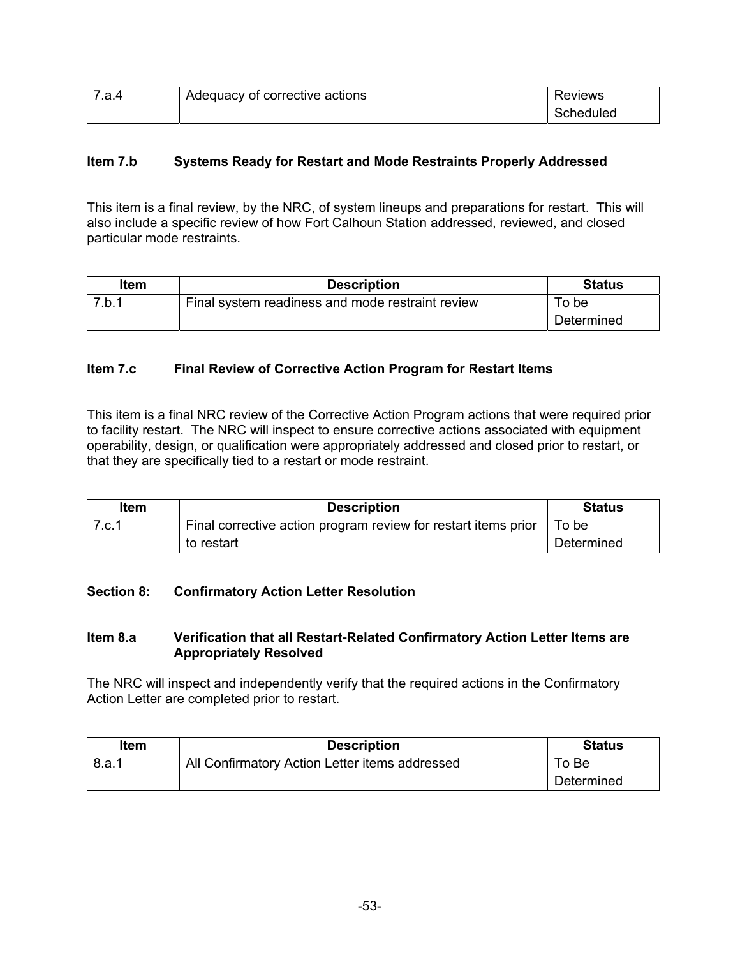| ،a. | Adequacy of corrective actions | Reviews   |
|-----|--------------------------------|-----------|
|     |                                | Scheduled |

## **Item 7.b Systems Ready for Restart and Mode Restraints Properly Addressed**

This item is a final review, by the NRC, of system lineups and preparations for restart. This will also include a specific review of how Fort Calhoun Station addressed, reviewed, and closed particular mode restraints.

| ltem  | <b>Description</b>                               | <b>Status</b> |
|-------|--------------------------------------------------|---------------|
| 7.b.1 | Final system readiness and mode restraint review | To be         |
|       |                                                  | Determined    |

#### **Item 7.c Final Review of Corrective Action Program for Restart Items**

This item is a final NRC review of the Corrective Action Program actions that were required prior to facility restart. The NRC will inspect to ensure corrective actions associated with equipment operability, design, or qualification were appropriately addressed and closed prior to restart, or that they are specifically tied to a restart or mode restraint.

| ltem  | <b>Description</b>                                             | <b>Status</b> |
|-------|----------------------------------------------------------------|---------------|
| 7.c.1 | Final corrective action program review for restart items prior | To be         |
|       | to restart                                                     | Determined    |

## **Section 8: Confirmatory Action Letter Resolution**

#### **Item 8.a Verification that all Restart-Related Confirmatory Action Letter Items are Appropriately Resolved**

The NRC will inspect and independently verify that the required actions in the Confirmatory Action Letter are completed prior to restart.

| Item  | <b>Description</b>                             | <b>Status</b> |
|-------|------------------------------------------------|---------------|
| 8.a.1 | All Confirmatory Action Letter items addressed | To Be         |
|       |                                                | Determined    |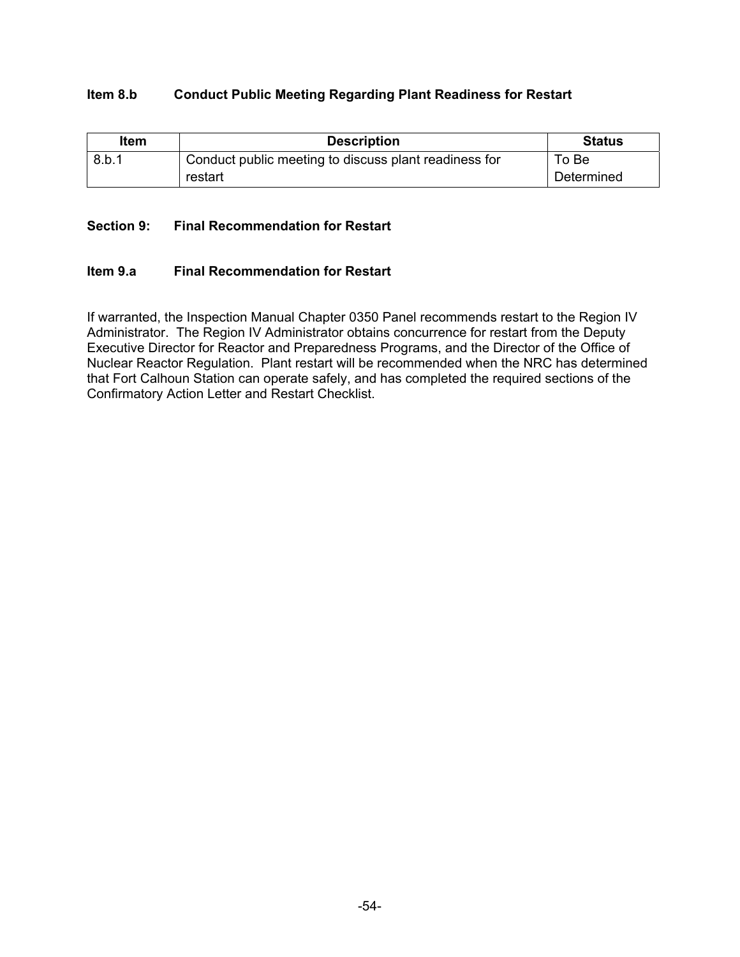#### **Item 8.b Conduct Public Meeting Regarding Plant Readiness for Restart**

| Item  | <b>Description</b>                                    | <b>Status</b> |
|-------|-------------------------------------------------------|---------------|
| 8.b.1 | Conduct public meeting to discuss plant readiness for | To Be         |
|       | restart                                               | Determined    |

#### **Section 9: Final Recommendation for Restart**

#### **Item 9.a Final Recommendation for Restart**

If warranted, the Inspection Manual Chapter 0350 Panel recommends restart to the Region IV Administrator. The Region IV Administrator obtains concurrence for restart from the Deputy Executive Director for Reactor and Preparedness Programs, and the Director of the Office of Nuclear Reactor Regulation. Plant restart will be recommended when the NRC has determined that Fort Calhoun Station can operate safely, and has completed the required sections of the Confirmatory Action Letter and Restart Checklist.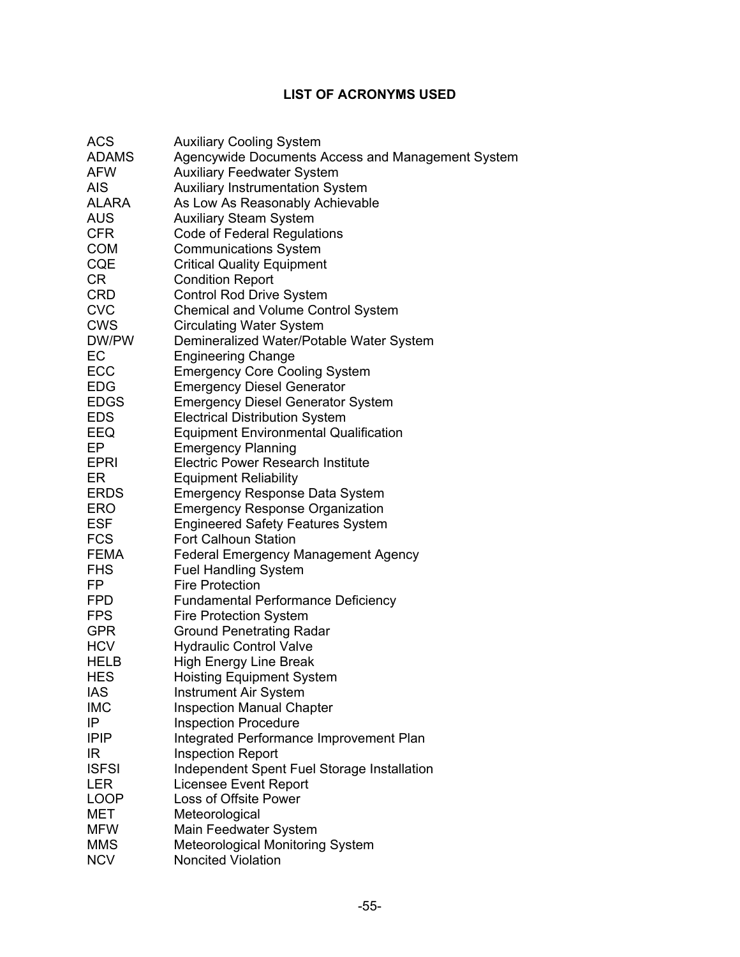## **LIST OF ACRONYMS USED**

| <b>ACS</b>   | <b>Auxiliary Cooling System</b>                   |
|--------------|---------------------------------------------------|
| <b>ADAMS</b> | Agencywide Documents Access and Management System |
| <b>AFW</b>   | <b>Auxiliary Feedwater System</b>                 |
| <b>AIS</b>   | <b>Auxiliary Instrumentation System</b>           |
| <b>ALARA</b> | As Low As Reasonably Achievable                   |
| <b>AUS</b>   | <b>Auxiliary Steam System</b>                     |
| <b>CFR</b>   | Code of Federal Regulations                       |
| <b>COM</b>   | <b>Communications System</b>                      |
| <b>CQE</b>   | <b>Critical Quality Equipment</b>                 |
| CR           | <b>Condition Report</b>                           |
| <b>CRD</b>   | <b>Control Rod Drive System</b>                   |
| <b>CVC</b>   | <b>Chemical and Volume Control System</b>         |
| <b>CWS</b>   | <b>Circulating Water System</b>                   |
| DW/PW        | Demineralized Water/Potable Water System          |
| EC           | <b>Engineering Change</b>                         |
| <b>ECC</b>   | <b>Emergency Core Cooling System</b>              |
| <b>EDG</b>   | <b>Emergency Diesel Generator</b>                 |
| <b>EDGS</b>  | <b>Emergency Diesel Generator System</b>          |
| <b>EDS</b>   | <b>Electrical Distribution System</b>             |
| EEQ          | <b>Equipment Environmental Qualification</b>      |
| EP           | <b>Emergency Planning</b>                         |
| <b>EPRI</b>  | <b>Electric Power Research Institute</b>          |
| ER           | <b>Equipment Reliability</b>                      |
| ERDS         | <b>Emergency Response Data System</b>             |
| ERO          | <b>Emergency Response Organization</b>            |
| <b>ESF</b>   | <b>Engineered Safety Features System</b>          |
| <b>FCS</b>   | <b>Fort Calhoun Station</b>                       |
| <b>FEMA</b>  | <b>Federal Emergency Management Agency</b>        |
| <b>FHS</b>   | <b>Fuel Handling System</b>                       |
| FP           | <b>Fire Protection</b>                            |
| <b>FPD</b>   | <b>Fundamental Performance Deficiency</b>         |
| <b>FPS</b>   | <b>Fire Protection System</b>                     |
| <b>GPR</b>   | <b>Ground Penetrating Radar</b>                   |
| <b>HCV</b>   | <b>Hydraulic Control Valve</b>                    |
| <b>HELB</b>  | <b>High Energy Line Break</b>                     |
| <b>HES</b>   | <b>Hoisting Equipment System</b>                  |
| IAS          | Instrument Air System                             |
| <b>IMC</b>   | <b>Inspection Manual Chapter</b>                  |
| ΙP           | <b>Inspection Procedure</b>                       |
| <b>IPIP</b>  | Integrated Performance Improvement Plan           |
| IR.          | <b>Inspection Report</b>                          |
| <b>ISFSI</b> | Independent Spent Fuel Storage Installation       |
| <b>LER</b>   | <b>Licensee Event Report</b>                      |
| LOOP         | Loss of Offsite Power                             |
| MET          | Meteorological                                    |
| MFW          | Main Feedwater System                             |
| <b>MMS</b>   | Meteorological Monitoring System                  |
| <b>NCV</b>   | Noncited Violation                                |